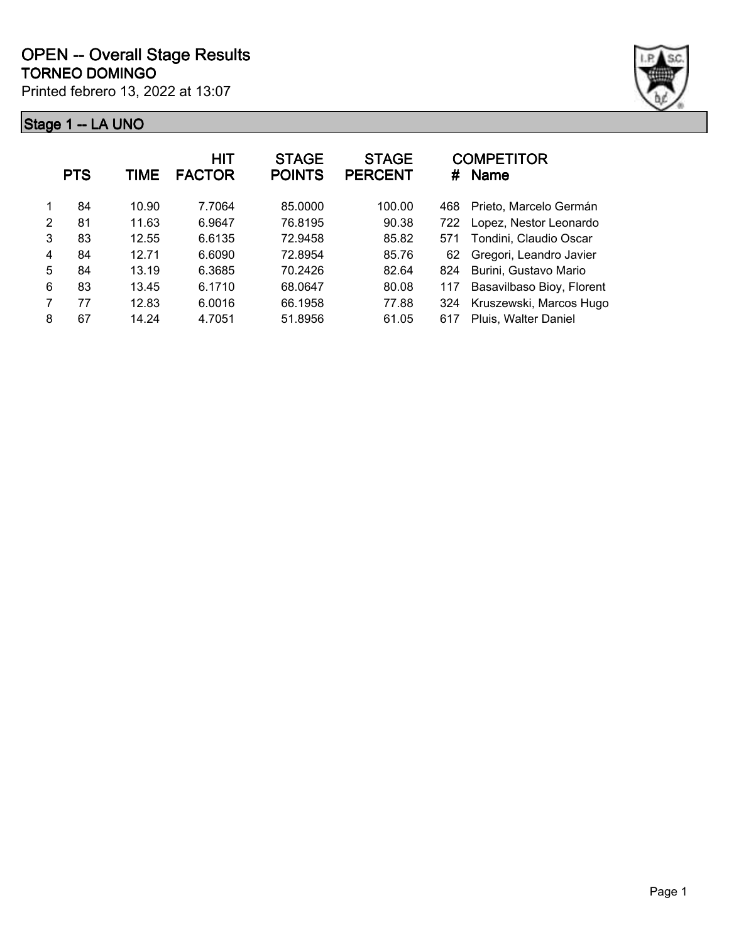

|   | <b>PTS</b> | TIME  | <b>HIT</b><br><b>FACTOR</b> | <b>STAGE</b><br><b>POINTS</b> | <b>STAGE</b><br><b>PERCENT</b> | #   | <b>COMPETITOR</b><br><b>Name</b> |
|---|------------|-------|-----------------------------|-------------------------------|--------------------------------|-----|----------------------------------|
|   | 84         | 10.90 | 7.7064                      | 85.0000                       | 100.00                         | 468 | Prieto, Marcelo Germán           |
| 2 | 81         | 11.63 | 6.9647                      | 76.8195                       | 90.38                          | 722 | Lopez, Nestor Leonardo           |
| 3 | 83         | 12.55 | 6.6135                      | 72.9458                       | 85.82                          | 571 | Tondini, Claudio Oscar           |
| 4 | 84         | 12.71 | 6.6090                      | 72.8954                       | 85.76                          | 62  | Gregori, Leandro Javier          |
| 5 | 84         | 13.19 | 6.3685                      | 70.2426                       | 82.64                          | 824 | Burini, Gustavo Mario            |
| 6 | 83         | 13.45 | 6.1710                      | 68.0647                       | 80.08                          | 117 | Basavilbaso Bioy, Florent        |
| 7 | 77         | 12.83 | 6.0016                      | 66.1958                       | 77.88                          | 324 | Kruszewski, Marcos Hugo          |
| 8 | 67         | 14.24 | 4.7051                      | 51.8956                       | 61.05                          | 617 | Pluis, Walter Daniel             |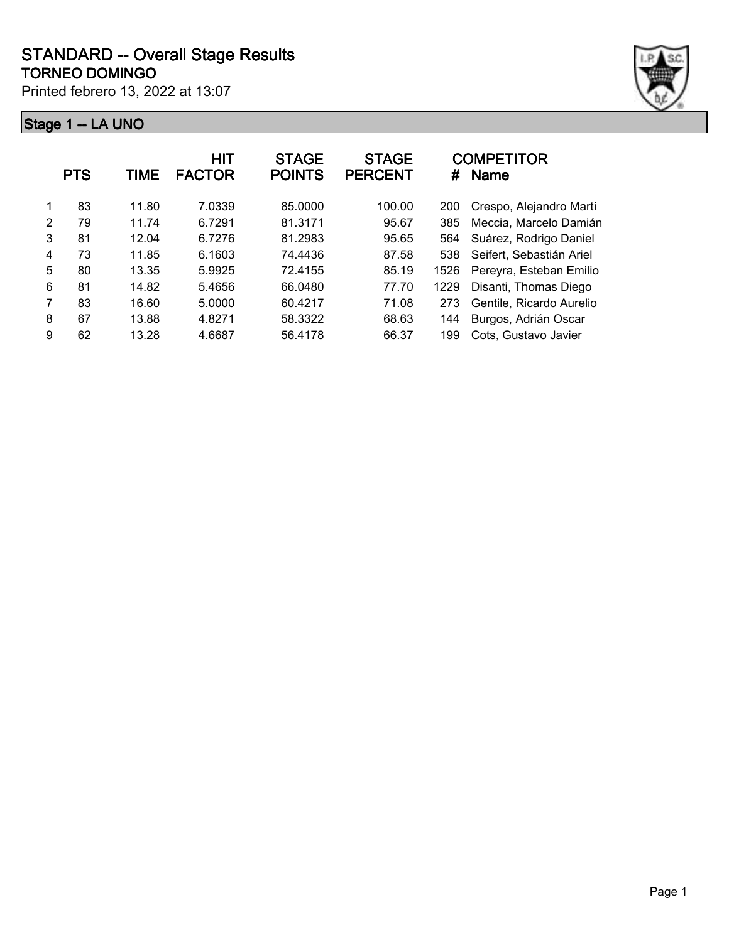

|               | <b>PTS</b> | TIME  | HIT<br><b>FACTOR</b> | <b>STAGE</b><br><b>POINTS</b> | <b>STAGE</b><br><b>PERCENT</b> | #    | <b>COMPETITOR</b><br><b>Name</b> |
|---------------|------------|-------|----------------------|-------------------------------|--------------------------------|------|----------------------------------|
| 1             | 83         | 11.80 | 7.0339               | 85.0000                       | 100.00                         | 200  | Crespo, Alejandro Martí          |
| $\mathcal{P}$ | 79         | 11.74 | 6.7291               | 81.3171                       | 95.67                          | 385  | Meccia, Marcelo Damián           |
| 3             | 81         | 12.04 | 6.7276               | 81.2983                       | 95.65                          | 564  | Suárez, Rodrigo Daniel           |
| 4             | 73         | 11.85 | 6.1603               | 74.4436                       | 87.58                          | 538  | Seifert, Sebastián Ariel         |
| 5             | 80         | 13.35 | 5.9925               | 72.4155                       | 85.19                          | 1526 | Pereyra, Esteban Emilio          |
| 6             | 81         | 14.82 | 5.4656               | 66.0480                       | 77.70                          | 1229 | Disanti, Thomas Diego            |
| 7             | 83         | 16.60 | 5.0000               | 60.4217                       | 71.08                          | 273  | Gentile, Ricardo Aurelio         |
| 8             | 67         | 13.88 | 4.8271               | 58.3322                       | 68.63                          | 144  | Burgos, Adrián Oscar             |
| 9             | 62         | 13.28 | 4.6687               | 56.4178                       | 66.37                          | 199  | Cots, Gustavo Javier             |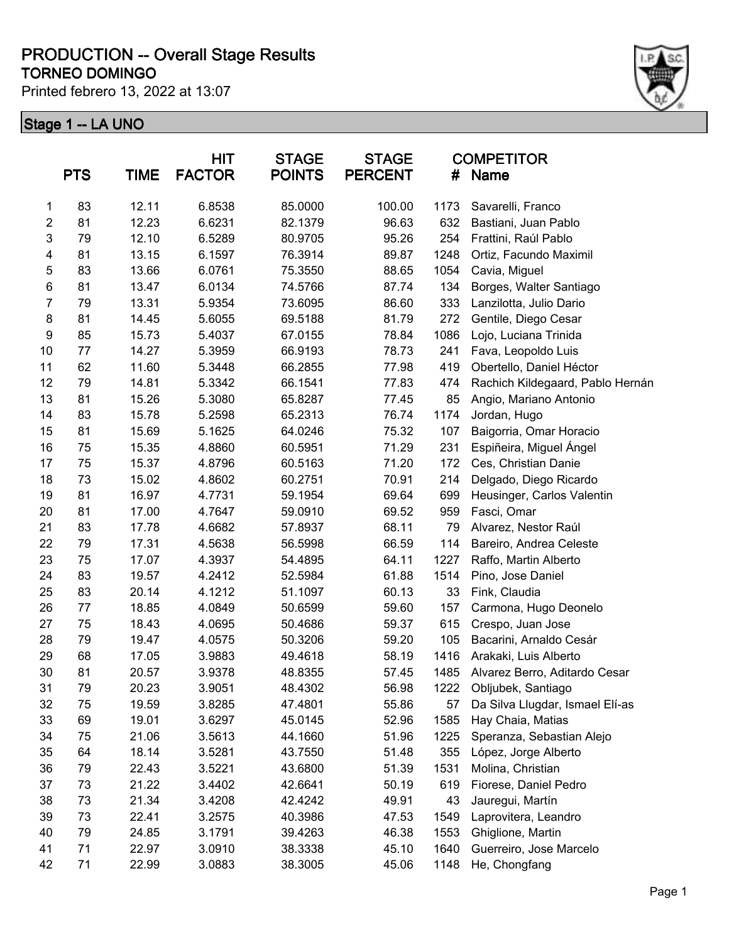#### **TORNEO DOMINGO PRODUCTION -- Overall Stage Results**

Printed febrero 13, 2022 at 13:07



|                | <b>PTS</b> | TIME  | <b>HIT</b><br><b>FACTOR</b> | <b>STAGE</b><br><b>POINTS</b> | <b>STAGE</b><br><b>PERCENT</b> | #    | <b>COMPETITOR</b><br><b>Name</b> |
|----------------|------------|-------|-----------------------------|-------------------------------|--------------------------------|------|----------------------------------|
| 1              | 83         | 12.11 | 6.8538                      | 85.0000                       | 100.00                         | 1173 | Savarelli, Franco                |
| $\overline{2}$ | 81         | 12.23 | 6.6231                      | 82.1379                       | 96.63                          | 632  | Bastiani, Juan Pablo             |
| $\mathbf{3}$   | 79         | 12.10 | 6.5289                      | 80.9705                       | 95.26                          | 254  | Frattini, Raúl Pablo             |
| 4              | 81         | 13.15 | 6.1597                      | 76.3914                       | 89.87                          | 1248 | Ortiz, Facundo Maximil           |
| 5              | 83         | 13.66 | 6.0761                      | 75.3550                       | 88.65                          | 1054 | Cavia, Miguel                    |
| 6              | 81         | 13.47 | 6.0134                      | 74.5766                       | 87.74                          | 134  | Borges, Walter Santiago          |
| $\overline{7}$ | 79         | 13.31 | 5.9354                      | 73.6095                       | 86.60                          | 333  | Lanzilotta, Julio Dario          |
| 8              | 81         | 14.45 | 5.6055                      | 69.5188                       | 81.79                          | 272  | Gentile, Diego Cesar             |
| 9              | 85         | 15.73 | 5.4037                      | 67.0155                       | 78.84                          | 1086 | Lojo, Luciana Trinida            |
| 10             | 77         | 14.27 | 5.3959                      | 66.9193                       | 78.73                          | 241  | Fava, Leopoldo Luis              |
| 11             | 62         | 11.60 | 5.3448                      | 66.2855                       | 77.98                          | 419  | Obertello, Daniel Héctor         |
| 12             | 79         | 14.81 | 5.3342                      | 66.1541                       | 77.83                          | 474  | Rachich Kildegaard, Pablo Hernán |
| 13             | 81         | 15.26 | 5.3080                      | 65.8287                       | 77.45                          | 85   | Angio, Mariano Antonio           |
| 14             | 83         | 15.78 | 5.2598                      | 65.2313                       | 76.74                          | 1174 | Jordan, Hugo                     |
| 15             | 81         | 15.69 | 5.1625                      | 64.0246                       | 75.32                          | 107  | Baigorria, Omar Horacio          |
| 16             | 75         | 15.35 | 4.8860                      | 60.5951                       | 71.29                          | 231  | Espiñeira, Miguel Ángel          |
| 17             | 75         | 15.37 | 4.8796                      | 60.5163                       | 71.20                          | 172  | Ces, Christian Danie             |
| 18             | 73         | 15.02 | 4.8602                      | 60.2751                       | 70.91                          | 214  | Delgado, Diego Ricardo           |
| 19             | 81         | 16.97 | 4.7731                      | 59.1954                       | 69.64                          | 699  | Heusinger, Carlos Valentin       |
| 20             | 81         | 17.00 | 4.7647                      | 59.0910                       | 69.52                          | 959  | Fasci, Omar                      |
| 21             | 83         | 17.78 | 4.6682                      | 57.8937                       | 68.11                          | 79   | Alvarez, Nestor Raúl             |
| 22             | 79         | 17.31 | 4.5638                      | 56.5998                       | 66.59                          | 114  | Bareiro, Andrea Celeste          |
| 23             | 75         | 17.07 | 4.3937                      | 54.4895                       | 64.11                          | 1227 | Raffo, Martin Alberto            |
| 24             | 83         | 19.57 | 4.2412                      | 52.5984                       | 61.88                          | 1514 | Pino, Jose Daniel                |
| 25             | 83         | 20.14 | 4.1212                      | 51.1097                       | 60.13                          | 33   | Fink, Claudia                    |
| 26             | 77         | 18.85 | 4.0849                      | 50.6599                       | 59.60                          | 157  | Carmona, Hugo Deonelo            |
| 27             | 75         | 18.43 | 4.0695                      | 50.4686                       | 59.37                          | 615  | Crespo, Juan Jose                |
| 28             | 79         | 19.47 | 4.0575                      | 50.3206                       | 59.20                          | 105  | Bacarini, Arnaldo Cesár          |
| 29             | 68         | 17.05 | 3.9883                      | 49.4618                       | 58.19                          | 1416 | Arakaki, Luis Alberto            |
| 30             | 81         | 20.57 | 3.9378                      | 48.8355                       | 57.45                          | 1485 | Alvarez Berro, Aditardo Cesar    |
| 31             | 79         | 20.23 | 3.9051                      | 48.4302                       | 56.98                          | 1222 | Obljubek, Santiago               |
| 32             | 75         | 19.59 | 3.8285                      | 47.4801                       | 55.86                          | 57   | Da Silva Llugdar, Ismael Elí-as  |
| 33             | 69         | 19.01 | 3.6297                      | 45.0145                       | 52.96                          | 1585 | Hay Chaia, Matias                |
| 34             | 75         | 21.06 | 3.5613                      | 44.1660                       | 51.96                          | 1225 | Speranza, Sebastian Alejo        |
| 35             | 64         | 18.14 | 3.5281                      | 43.7550                       | 51.48                          | 355  | López, Jorge Alberto             |
| 36             | 79         | 22.43 | 3.5221                      | 43.6800                       | 51.39                          | 1531 | Molina, Christian                |
| 37             | 73         | 21.22 | 3.4402                      | 42.6641                       | 50.19                          | 619  | Fiorese, Daniel Pedro            |
| 38             | 73         | 21.34 | 3.4208                      | 42.4242                       | 49.91                          | 43   | Jauregui, Martín                 |
| 39             | 73         | 22.41 | 3.2575                      | 40.3986                       | 47.53                          | 1549 | Laprovitera, Leandro             |
| 40             | 79         | 24.85 | 3.1791                      | 39.4263                       | 46.38                          | 1553 | Ghiglione, Martin                |
| 41             | 71         | 22.97 | 3.0910                      | 38.3338                       | 45.10                          | 1640 | Guerreiro, Jose Marcelo          |
| 42             | 71         | 22.99 | 3.0883                      | 38.3005                       | 45.06                          | 1148 | He, Chongfang                    |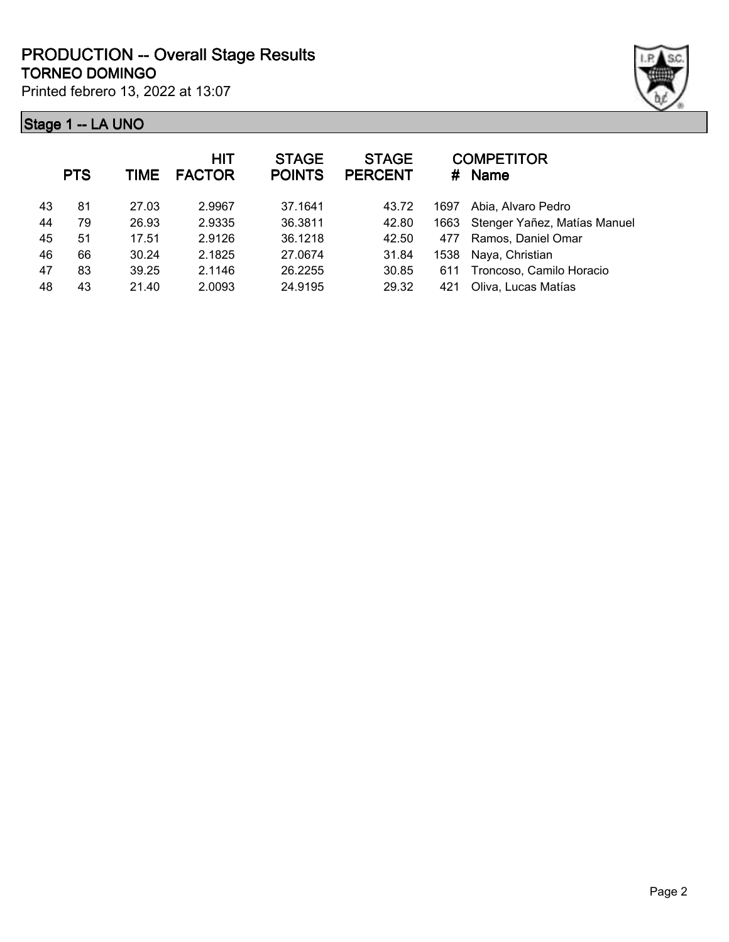

|    | <b>PTS</b> | TIME  | HIT<br><b>FACTOR</b> | <b>STAGE</b><br><b>POINTS</b> | <b>STAGE</b><br><b>PERCENT</b> | #    | <b>COMPETITOR</b><br><b>Name</b> |
|----|------------|-------|----------------------|-------------------------------|--------------------------------|------|----------------------------------|
| 43 | 81         | 27.03 | 2.9967               | 37.1641                       | 43.72                          | 1697 | Abia, Alvaro Pedro               |
| 44 | 79         | 26.93 | 2.9335               | 36.3811                       | 42.80                          | 1663 | Stenger Yañez, Matías Manuel     |
| 45 | 51         | 17.51 | 2.9126               | 36.1218                       | 42.50                          | 477  | Ramos, Daniel Omar               |
| 46 | 66         | 30.24 | 2.1825               | 27.0674                       | 31.84                          | 1538 | Naya, Christian                  |
| 47 | 83         | 39.25 | 2.1146               | 26.2255                       | 30.85                          | 611  | Troncoso, Camilo Horacio         |
| 48 | 43         | 21.40 | 2.0093               | 24.9195                       | 29.32                          | 421  | Oliva, Lucas Matías              |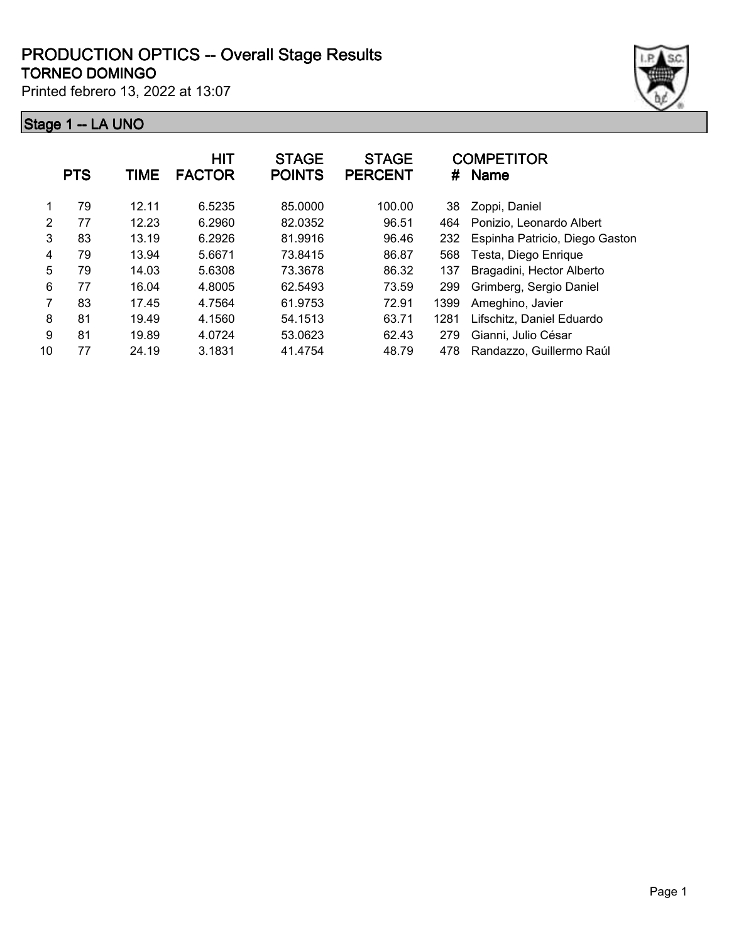#### **TORNEO DOMINGO PRODUCTION OPTICS -- Overall Stage Results**

Printed febrero 13, 2022 at 13:07



|    | <b>PTS</b> | TIME  | <b>HIT</b><br><b>FACTOR</b> | <b>STAGE</b><br><b>POINTS</b> | <b>STAGE</b><br><b>PERCENT</b> | #    | <b>COMPETITOR</b><br><b>Name</b> |
|----|------------|-------|-----------------------------|-------------------------------|--------------------------------|------|----------------------------------|
|    | 79         | 12.11 | 6.5235                      | 85.0000                       | 100.00                         | 38   | Zoppi, Daniel                    |
| 2  | 77         | 12.23 | 6.2960                      | 82.0352                       | 96.51                          | 464  | Ponizio, Leonardo Albert         |
| 3  | 83         | 13.19 | 6.2926                      | 81.9916                       | 96.46                          | 232  | Espinha Patricio, Diego Gaston   |
| 4  | 79         | 13.94 | 5.6671                      | 73.8415                       | 86.87                          | 568  | Testa, Diego Enrique             |
| 5  | 79         | 14.03 | 5.6308                      | 73.3678                       | 86.32                          | 137  | Bragadini, Hector Alberto        |
| 6  | 77         | 16.04 | 4.8005                      | 62.5493                       | 73.59                          | 299  | Grimberg, Sergio Daniel          |
| 7  | 83         | 17.45 | 4.7564                      | 61.9753                       | 72.91                          | 1399 | Ameghino, Javier                 |
| 8  | 81         | 19.49 | 4.1560                      | 54.1513                       | 63.71                          | 1281 | Lifschitz, Daniel Eduardo        |
| 9  | 81         | 19.89 | 4.0724                      | 53.0623                       | 62.43                          | 279  | Gianni, Julio César              |
| 10 | 77         | 24.19 | 3.1831                      | 41.4754                       | 48.79                          | 478  | Randazzo, Guillermo Raúl         |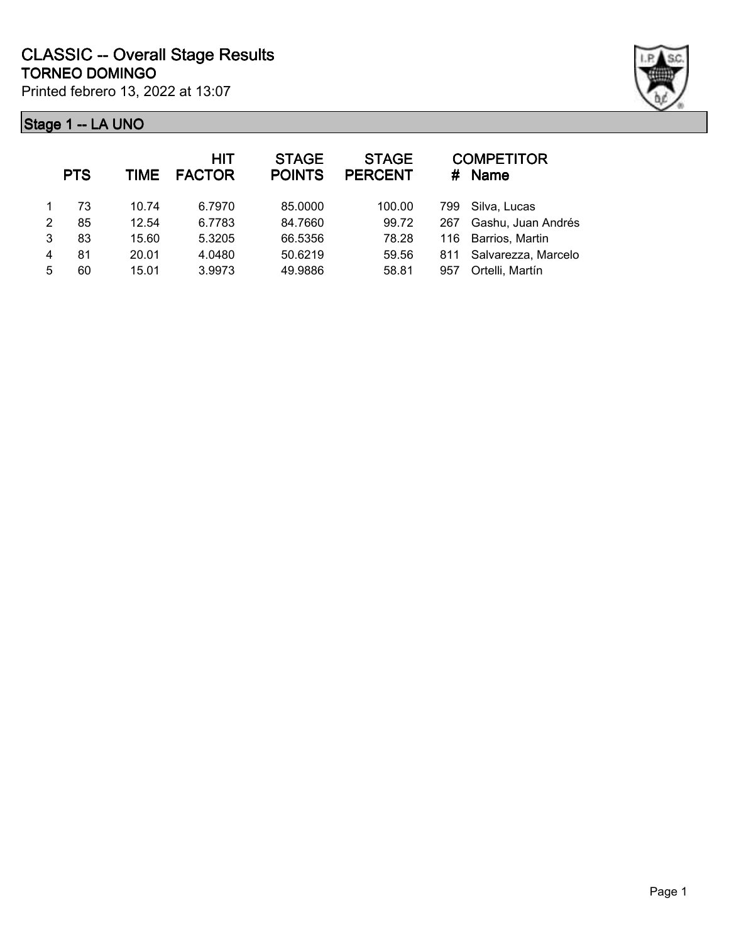| Stage 1 -- LA UNO |  |  |
|-------------------|--|--|



|   | <b>PTS</b> | <b>TIME</b> | <b>HIT</b><br><b>FACTOR</b> | <b>STAGE</b><br><b>POINTS</b> | <b>STAGE</b><br><b>PERCENT</b> |     | <b>COMPETITOR</b><br># Name |
|---|------------|-------------|-----------------------------|-------------------------------|--------------------------------|-----|-----------------------------|
|   | 73         | 10.74       | 6.7970                      | 85.0000                       | 100.00                         | 799 | Silva, Lucas                |
| 2 | 85         | 12.54       | 6.7783                      | 84.7660                       | 99.72                          | 267 | Gashu, Juan Andrés          |
| 3 | 83         | 15.60       | 5.3205                      | 66.5356                       | 78.28                          | 116 | Barrios, Martin             |
| 4 | 81         | 20.01       | 4.0480                      | 50.6219                       | 59.56                          | 811 | Salvarezza, Marcelo         |
| 5 | 60         | 15.01       | 3.9973                      | 49.9886                       | 58.81                          | 957 | Ortelli, Martín             |
|   |            |             |                             |                               |                                |     |                             |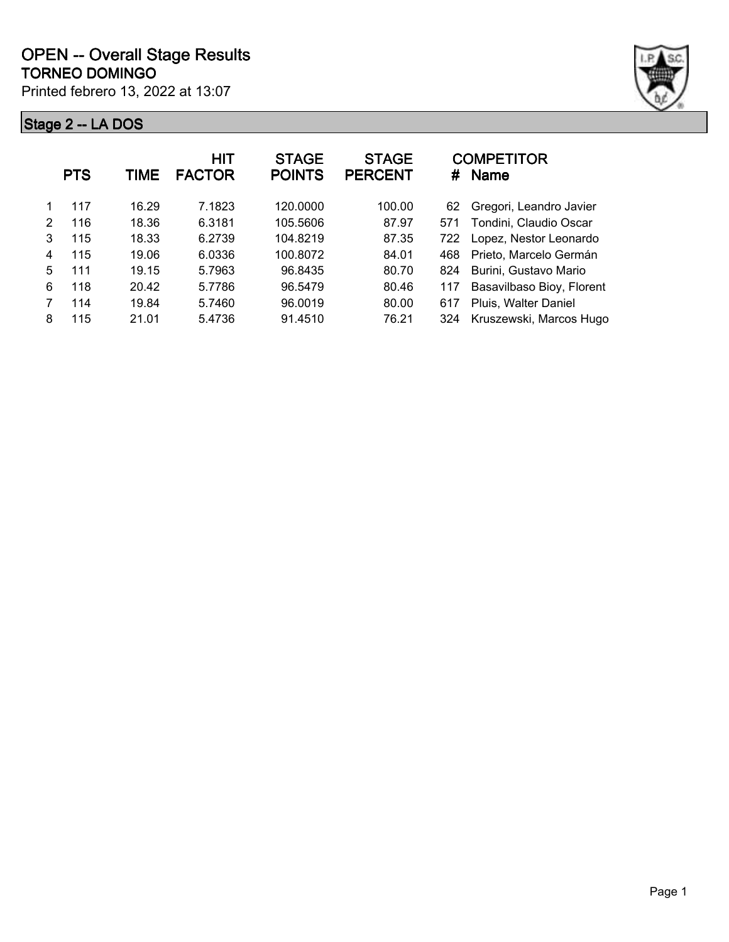

|   | <b>PTS</b> | TIME  | HIT<br><b>FACTOR</b> | <b>STAGE</b><br><b>POINTS</b> | <b>STAGE</b><br><b>PERCENT</b> | #   | <b>COMPETITOR</b><br><b>Name</b> |
|---|------------|-------|----------------------|-------------------------------|--------------------------------|-----|----------------------------------|
|   | 117        | 16.29 | 7.1823               | 120,0000                      | 100.00                         | 62  | Gregori, Leandro Javier          |
| 2 | 116        | 18.36 | 6.3181               | 105.5606                      | 87.97                          | 571 | Tondini, Claudio Oscar           |
| 3 | 115        | 18.33 | 6.2739               | 104.8219                      | 87.35                          | 722 | Lopez, Nestor Leonardo           |
| 4 | 115        | 19.06 | 6.0336               | 100.8072                      | 84.01                          | 468 | Prieto, Marcelo Germán           |
| 5 | 111        | 19.15 | 5.7963               | 96.8435                       | 80.70                          | 824 | Burini, Gustavo Mario            |
| 6 | 118        | 20.42 | 5.7786               | 96.5479                       | 80.46                          | 117 | Basavilbaso Bioy, Florent        |
| 7 | 114        | 19.84 | 5.7460               | 96.0019                       | 80.00                          | 617 | Pluis, Walter Daniel             |
| 8 | 115        | 21.01 | 5.4736               | 91.4510                       | 76.21                          | 324 | Kruszewski, Marcos Hugo          |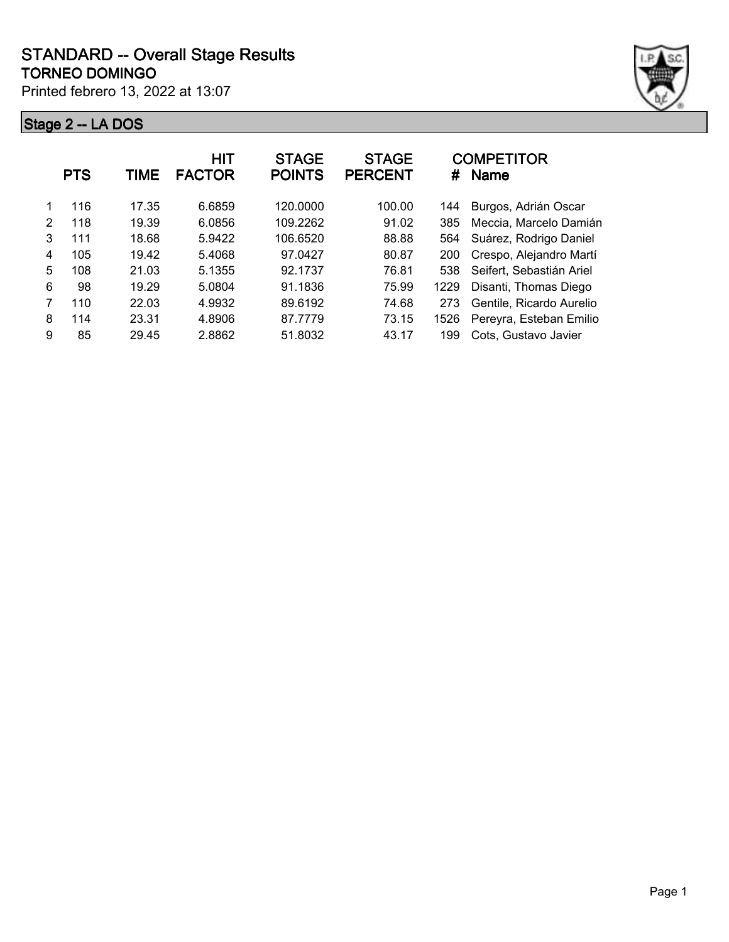

|   | <b>PTS</b> | TIME  | HIT<br><b>FACTOR</b> | <b>STAGE</b><br><b>POINTS</b> | <b>STAGE</b><br><b>PERCENT</b> | #    | <b>COMPETITOR</b><br><b>Name</b> |
|---|------------|-------|----------------------|-------------------------------|--------------------------------|------|----------------------------------|
|   | 116        | 17.35 | 6.6859               | 120.0000                      | 100.00                         | 144  | Burgos, Adrián Oscar             |
| 2 | 118        | 19.39 | 6.0856               | 109.2262                      | 91.02                          | 385  | Meccia, Marcelo Damián           |
| 3 | 111        | 18.68 | 5.9422               | 106.6520                      | 88.88                          | 564  | Suárez, Rodrigo Daniel           |
| 4 | 105        | 19.42 | 5.4068               | 97.0427                       | 80.87                          | 200  | Crespo, Alejandro Martí          |
| 5 | 108        | 21.03 | 5.1355               | 92.1737                       | 76.81                          | 538  | Seifert, Sebastián Ariel         |
| 6 | 98         | 19.29 | 5.0804               | 91.1836                       | 75.99                          | 1229 | Disanti, Thomas Diego            |
| 7 | 110        | 22.03 | 4.9932               | 89.6192                       | 74.68                          | 273  | Gentile, Ricardo Aurelio         |
| 8 | 114        | 23.31 | 4.8906               | 87.7779                       | 73.15                          | 1526 | Pereyra, Esteban Emilio          |
| 9 | 85         | 29.45 | 2.8862               | 51.8032                       | 43.17                          | 199  | Cots, Gustavo Javier             |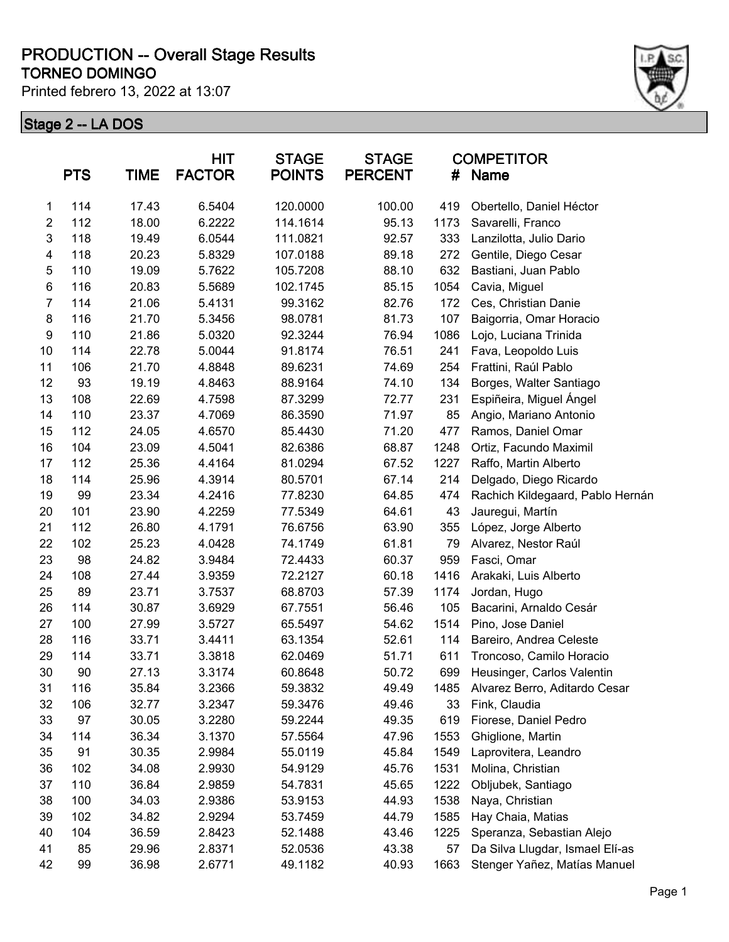#### **TORNEO DOMINGO PRODUCTION -- Overall Stage Results**

Printed febrero 13, 2022 at 13:07



|                | <b>PTS</b> | <b>TIME</b> | <b>HIT</b><br><b>FACTOR</b> | <b>STAGE</b><br><b>POINTS</b> | <b>STAGE</b><br><b>PERCENT</b> | #    | <b>COMPETITOR</b><br>Name        |
|----------------|------------|-------------|-----------------------------|-------------------------------|--------------------------------|------|----------------------------------|
| $\mathbf{1}$   | 114        | 17.43       | 6.5404                      | 120.0000                      | 100.00                         | 419  | Obertello, Daniel Héctor         |
| $\overline{2}$ | 112        | 18.00       | 6.2222                      | 114.1614                      | 95.13                          | 1173 | Savarelli, Franco                |
| 3              | 118        | 19.49       | 6.0544                      | 111.0821                      | 92.57                          | 333  | Lanzilotta, Julio Dario          |
| 4              | 118        | 20.23       | 5.8329                      | 107.0188                      | 89.18                          | 272  | Gentile, Diego Cesar             |
| $\mathbf 5$    | 110        | 19.09       | 5.7622                      | 105.7208                      | 88.10                          | 632  | Bastiani, Juan Pablo             |
| 6              | 116        | 20.83       | 5.5689                      | 102.1745                      | 85.15                          | 1054 | Cavia, Miguel                    |
| $\overline{7}$ | 114        | 21.06       | 5.4131                      | 99.3162                       | 82.76                          | 172  | Ces, Christian Danie             |
| 8              | 116        | 21.70       | 5.3456                      | 98.0781                       | 81.73                          | 107  | Baigorria, Omar Horacio          |
| 9              | 110        | 21.86       | 5.0320                      | 92.3244                       | 76.94                          | 1086 | Lojo, Luciana Trinida            |
| 10             | 114        | 22.78       | 5.0044                      | 91.8174                       | 76.51                          | 241  | Fava, Leopoldo Luis              |
| 11             | 106        | 21.70       | 4.8848                      | 89.6231                       | 74.69                          | 254  | Frattini, Raúl Pablo             |
| 12             | 93         | 19.19       | 4.8463                      | 88.9164                       | 74.10                          | 134  | Borges, Walter Santiago          |
| 13             | 108        | 22.69       | 4.7598                      | 87.3299                       | 72.77                          | 231  | Espiñeira, Miguel Ángel          |
| 14             | 110        | 23.37       | 4.7069                      | 86.3590                       | 71.97                          | 85   | Angio, Mariano Antonio           |
| 15             | 112        | 24.05       | 4.6570                      | 85.4430                       | 71.20                          | 477  | Ramos, Daniel Omar               |
| 16             | 104        | 23.09       | 4.5041                      | 82.6386                       | 68.87                          | 1248 | Ortiz, Facundo Maximil           |
| 17             | 112        | 25.36       | 4.4164                      | 81.0294                       | 67.52                          | 1227 | Raffo, Martin Alberto            |
| 18             | 114        | 25.96       | 4.3914                      | 80.5701                       | 67.14                          | 214  | Delgado, Diego Ricardo           |
| 19             | 99         | 23.34       | 4.2416                      | 77.8230                       | 64.85                          | 474  | Rachich Kildegaard, Pablo Hernán |
| 20             | 101        | 23.90       | 4.2259                      | 77.5349                       | 64.61                          | 43   | Jauregui, Martín                 |
| 21             | 112        | 26.80       | 4.1791                      | 76.6756                       | 63.90                          | 355  | López, Jorge Alberto             |
| 22             | 102        | 25.23       | 4.0428                      | 74.1749                       | 61.81                          | 79   | Alvarez, Nestor Raúl             |
| 23             | 98         | 24.82       | 3.9484                      | 72.4433                       | 60.37                          | 959  | Fasci, Omar                      |
| 24             | 108        | 27.44       | 3.9359                      | 72.2127                       | 60.18                          | 1416 | Arakaki, Luis Alberto            |
| 25             | 89         | 23.71       | 3.7537                      | 68.8703                       | 57.39                          | 1174 | Jordan, Hugo                     |
| 26             | 114        | 30.87       | 3.6929                      | 67.7551                       | 56.46                          | 105  | Bacarini, Arnaldo Cesár          |
| 27             | 100        | 27.99       | 3.5727                      | 65.5497                       | 54.62                          | 1514 | Pino, Jose Daniel                |
| 28             | 116        | 33.71       | 3.4411                      | 63.1354                       | 52.61                          | 114  | Bareiro, Andrea Celeste          |
| 29             | 114        | 33.71       | 3.3818                      | 62.0469                       | 51.71                          | 611  | Troncoso, Camilo Horacio         |
| 30             | 90         | 27.13       | 3.3174                      | 60.8648                       | 50.72                          | 699  | Heusinger, Carlos Valentin       |
| 31             | 116        | 35.84       | 3.2366                      | 59.3832                       | 49.49                          | 1485 | Alvarez Berro, Aditardo Cesar    |
| 32             | 106        | 32.77       | 3.2347                      | 59.3476                       | 49.46                          | 33   | Fink, Claudia                    |
| 33             | 97         | 30.05       | 3.2280                      | 59.2244                       | 49.35                          | 619  | Fiorese, Daniel Pedro            |
| 34             | 114        | 36.34       | 3.1370                      | 57.5564                       | 47.96                          | 1553 | Ghiglione, Martin                |
| 35             | 91         | 30.35       | 2.9984                      | 55.0119                       | 45.84                          | 1549 | Laprovitera, Leandro             |
| 36             | 102        | 34.08       | 2.9930                      | 54.9129                       | 45.76                          | 1531 | Molina, Christian                |
| 37             | 110        | 36.84       | 2.9859                      | 54.7831                       | 45.65                          | 1222 | Obljubek, Santiago               |
| 38             | 100        | 34.03       | 2.9386                      | 53.9153                       | 44.93                          | 1538 | Naya, Christian                  |
| 39             | 102        | 34.82       | 2.9294                      | 53.7459                       | 44.79                          | 1585 | Hay Chaia, Matias                |
| 40             | 104        | 36.59       | 2.8423                      | 52.1488                       | 43.46                          | 1225 | Speranza, Sebastian Alejo        |
| 41             | 85         | 29.96       | 2.8371                      | 52.0536                       | 43.38                          | 57   | Da Silva Llugdar, Ismael Elí-as  |
| 42             | 99         | 36.98       | 2.6771                      | 49.1182                       | 40.93                          | 1663 | Stenger Yañez, Matías Manuel     |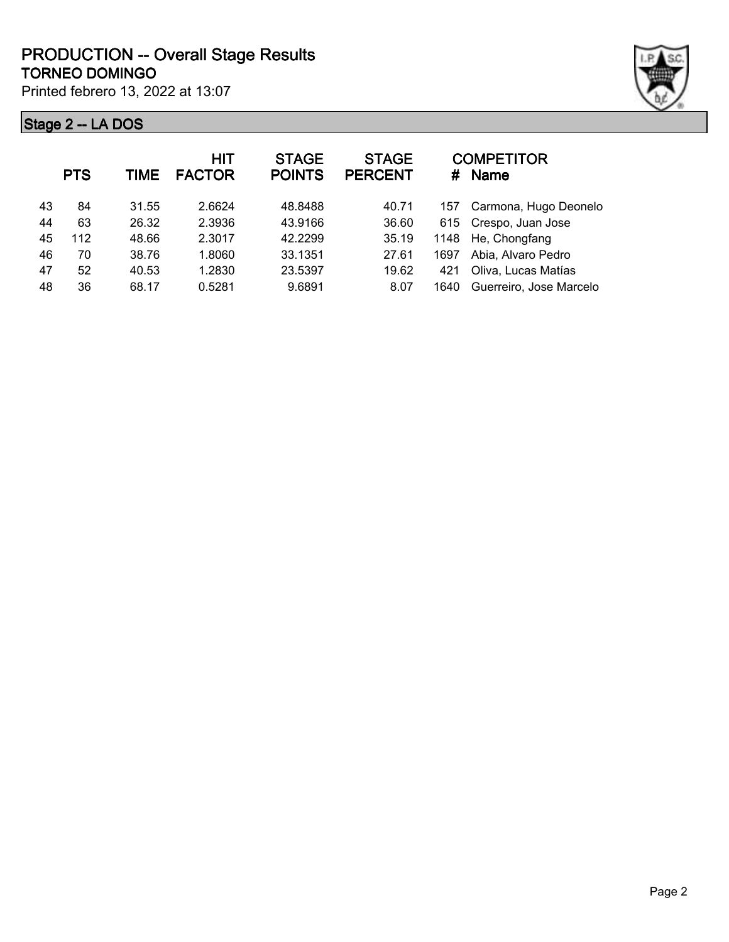|    | <b>PTS</b> | <b>TIME</b> | <b>HIT</b><br><b>FACTOR</b> | <b>STAGE</b><br><b>POINTS</b> | <b>STAGE</b><br><b>PERCENT</b> | #    | <b>COMPETITOR</b><br><b>Name</b> |
|----|------------|-------------|-----------------------------|-------------------------------|--------------------------------|------|----------------------------------|
| 43 | 84         | 31.55       | 2.6624                      | 48.8488                       | 40.71                          | 157  | Carmona, Hugo Deonelo            |
| 44 | 63         | 26.32       | 2.3936                      | 43.9166                       | 36.60                          |      | 615 Crespo, Juan Jose            |
| 45 | 112        | 48.66       | 2.3017                      | 42.2299                       | 35.19                          |      | 1148 He, Chongfang               |
| 46 | 70         | 38.76       | 1.8060                      | 33.1351                       | 27.61                          | 1697 | Abia, Alvaro Pedro               |
| 47 | 52         | 40.53       | 1.2830                      | 23.5397                       | 19.62                          | 421  | Oliva, Lucas Matías              |
| 48 | 36         | 68.17       | 0.5281                      | 9.6891                        | 8.07                           | 1640 | Guerreiro, Jose Marcelo          |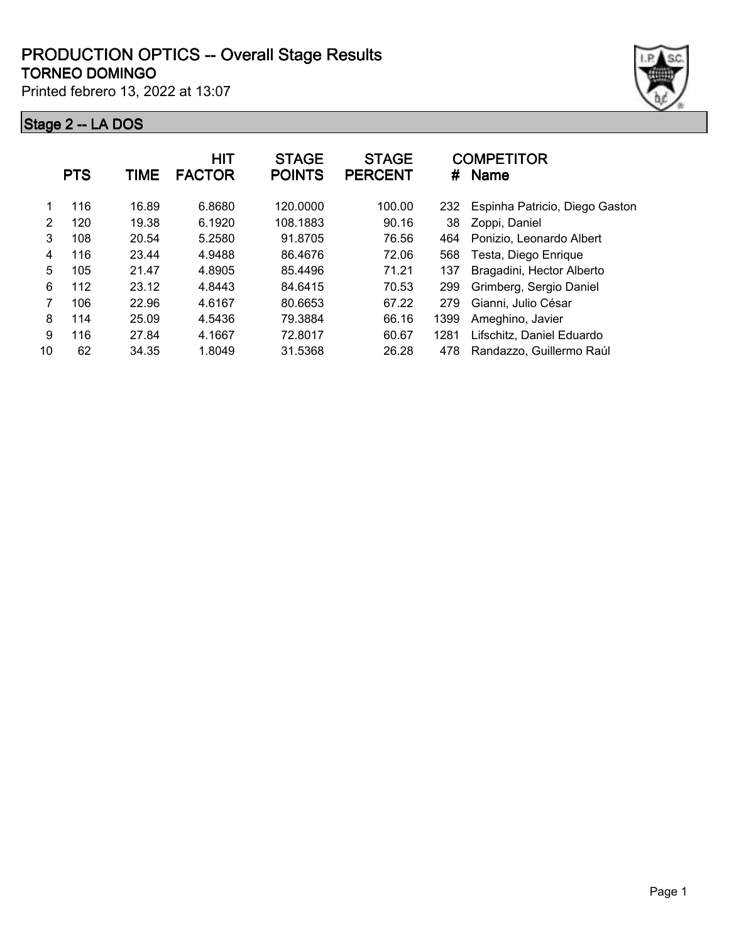#### **TORNEO DOMINGO PRODUCTION OPTICS -- Overall Stage Results**

Printed febrero 13, 2022 at 13:07



|               | <b>PTS</b> | <b>TIME</b> | <b>HIT</b><br><b>FACTOR</b> | <b>STAGE</b><br><b>POINTS</b> | <b>STAGE</b><br><b>PERCENT</b> | #    | <b>COMPETITOR</b><br><b>Name</b> |
|---------------|------------|-------------|-----------------------------|-------------------------------|--------------------------------|------|----------------------------------|
| 1             | 116        | 16.89       | 6.8680                      | 120.0000                      | 100.00                         | 232  | Espinha Patricio, Diego Gaston   |
| $\mathcal{P}$ | 120        | 19.38       | 6.1920                      | 108.1883                      | 90.16                          | 38   | Zoppi, Daniel                    |
| 3             | 108        | 20.54       | 5.2580                      | 91.8705                       | 76.56                          | 464  | Ponizio, Leonardo Albert         |
| 4             | 116        | 23.44       | 4.9488                      | 86.4676                       | 72.06                          | 568  | Testa, Diego Enrique             |
| 5             | 105        | 21.47       | 4.8905                      | 85.4496                       | 71.21                          | 137  | Bragadini, Hector Alberto        |
| 6             | 112        | 23.12       | 4.8443                      | 84.6415                       | 70.53                          | 299  | Grimberg, Sergio Daniel          |
| 7             | 106        | 22.96       | 4.6167                      | 80.6653                       | 67.22                          | 279  | Gianni, Julio César              |
| 8             | 114        | 25.09       | 4.5436                      | 79.3884                       | 66.16                          | 1399 | Ameghino, Javier                 |
| 9             | 116        | 27.84       | 4.1667                      | 72.8017                       | 60.67                          | 1281 | Lifschitz, Daniel Eduardo        |
| 10            | 62         | 34.35       | 1.8049                      | 31.5368                       | 26.28                          | 478  | Randazzo, Guillermo Raúl         |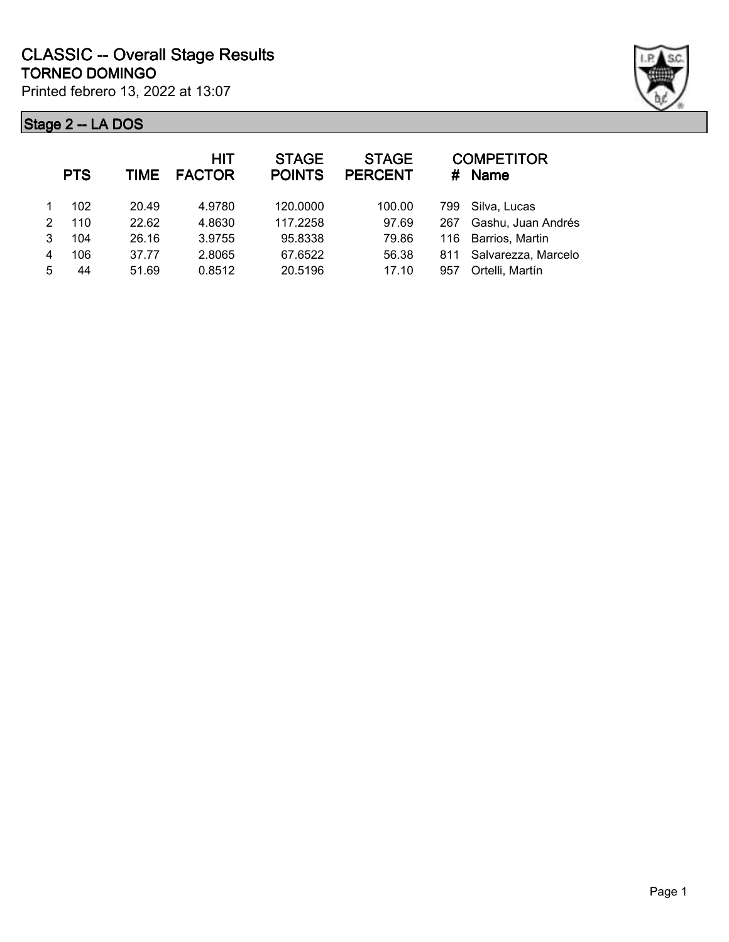

|   | <b>PTS</b> | TIME  | HIT<br><b>FACTOR</b> | <b>STAGE</b><br><b>POINTS</b> | <b>STAGE</b><br><b>PERCENT</b> |     | <b>COMPETITOR</b><br># Name |
|---|------------|-------|----------------------|-------------------------------|--------------------------------|-----|-----------------------------|
|   | 102        | 20.49 | 4.9780               | 120.0000                      | 100.00                         | 799 | Silva, Lucas                |
| 2 | 110        | 22.62 | 4.8630               | 117.2258                      | 97.69                          | 267 | Gashu, Juan Andrés          |
| 3 | 104        | 26.16 | 3.9755               | 95.8338                       | 79.86                          |     | 116 Barrios, Martin         |
| 4 | 106        | 37.77 | 2.8065               | 67.6522                       | 56.38                          | 811 | Salvarezza, Marcelo         |
| 5 | 44         | 51.69 | 0.8512               | 20.5196                       | 17.10                          | 957 | Ortelli, Martín             |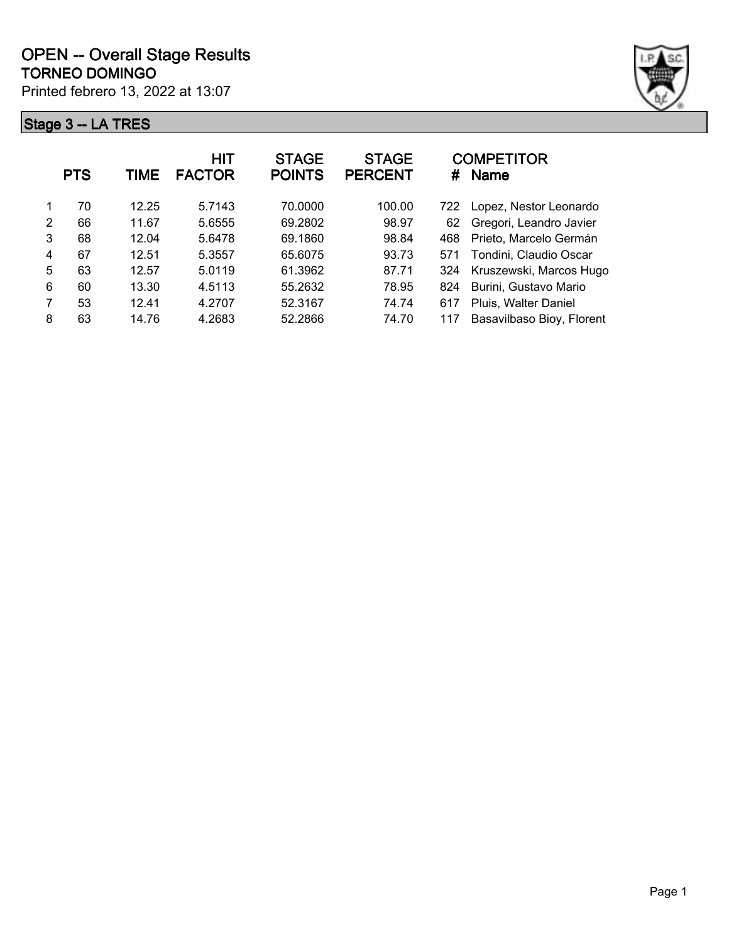

|   | <b>PTS</b> | TIME  | <b>HIT</b><br><b>FACTOR</b> | <b>STAGE</b><br><b>POINTS</b> | <b>STAGE</b><br><b>PERCENT</b> | #   | <b>COMPETITOR</b><br><b>Name</b> |
|---|------------|-------|-----------------------------|-------------------------------|--------------------------------|-----|----------------------------------|
|   | 70         | 12.25 | 5.7143                      | 70.0000                       | 100.00                         | 722 | Lopez, Nestor Leonardo           |
| 2 | 66         | 11.67 | 5.6555                      | 69.2802                       | 98.97                          | 62  | Gregori, Leandro Javier          |
| 3 | 68         | 12.04 | 5.6478                      | 69.1860                       | 98.84                          | 468 | Prieto, Marcelo Germán           |
| 4 | 67         | 12.51 | 5.3557                      | 65.6075                       | 93.73                          | 571 | Tondini, Claudio Oscar           |
| 5 | 63         | 12.57 | 5.0119                      | 61.3962                       | 87.71                          | 324 | Kruszewski, Marcos Hugo          |
| 6 | 60         | 13.30 | 4.5113                      | 55.2632                       | 78.95                          | 824 | Burini, Gustavo Mario            |
| 7 | 53         | 12.41 | 4.2707                      | 52.3167                       | 74.74                          | 617 | Pluis, Walter Daniel             |
| 8 | 63         | 14.76 | 4.2683                      | 52.2866                       | 74.70                          | 117 | Basavilbaso Bioy, Florent        |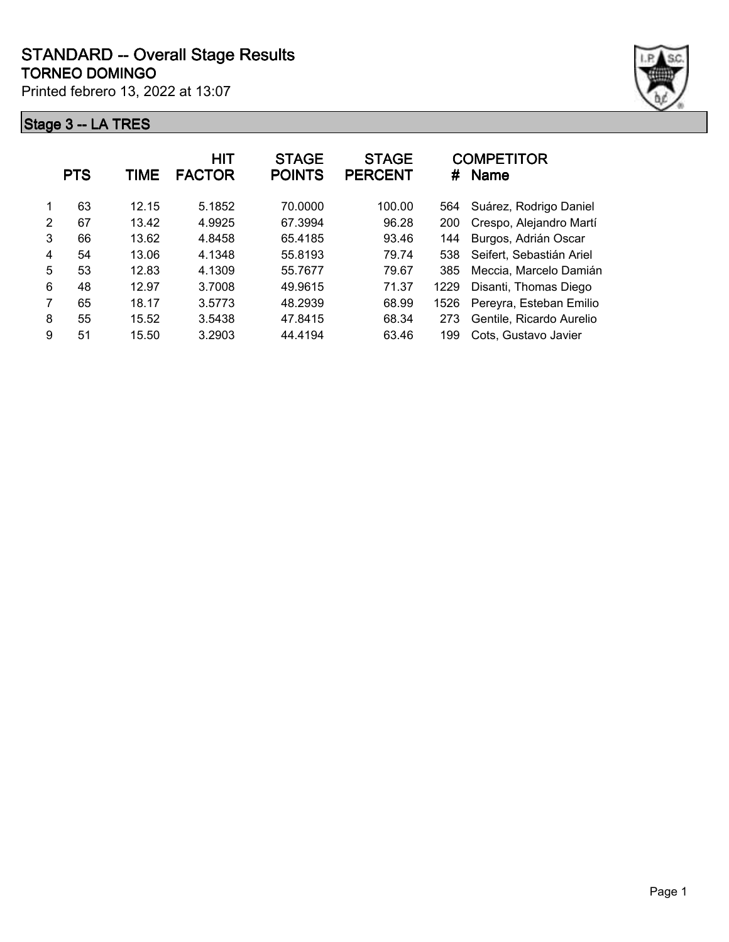

|               | <b>PTS</b> | TIME  | HIT<br><b>FACTOR</b> | <b>STAGE</b><br><b>POINTS</b> | <b>STAGE</b><br><b>PERCENT</b> | #    | <b>COMPETITOR</b><br><b>Name</b> |
|---------------|------------|-------|----------------------|-------------------------------|--------------------------------|------|----------------------------------|
|               | 63         | 12.15 | 5.1852               | 70.0000                       | 100.00                         | 564  | Suárez, Rodrigo Daniel           |
| $\mathcal{P}$ | 67         | 13.42 | 4.9925               | 67.3994                       | 96.28                          | 200  | Crespo, Alejandro Martí          |
| 3             | 66         | 13.62 | 4.8458               | 65.4185                       | 93.46                          | 144  | Burgos, Adrián Oscar             |
| 4             | 54         | 13.06 | 4.1348               | 55.8193                       | 79.74                          | 538  | Seifert, Sebastián Ariel         |
| 5             | 53         | 12.83 | 4.1309               | 55.7677                       | 79.67                          | 385  | Meccia, Marcelo Damián           |
| 6             | 48         | 12.97 | 3.7008               | 49.9615                       | 71.37                          | 1229 | Disanti, Thomas Diego            |
| 7             | 65         | 18.17 | 3.5773               | 48.2939                       | 68.99                          | 1526 | Pereyra, Esteban Emilio          |
| 8             | 55         | 15.52 | 3.5438               | 47.8415                       | 68.34                          | 273  | Gentile, Ricardo Aurelio         |
| 9             | 51         | 15.50 | 3.2903               | 44.4194                       | 63.46                          | 199  | Cots, Gustavo Javier             |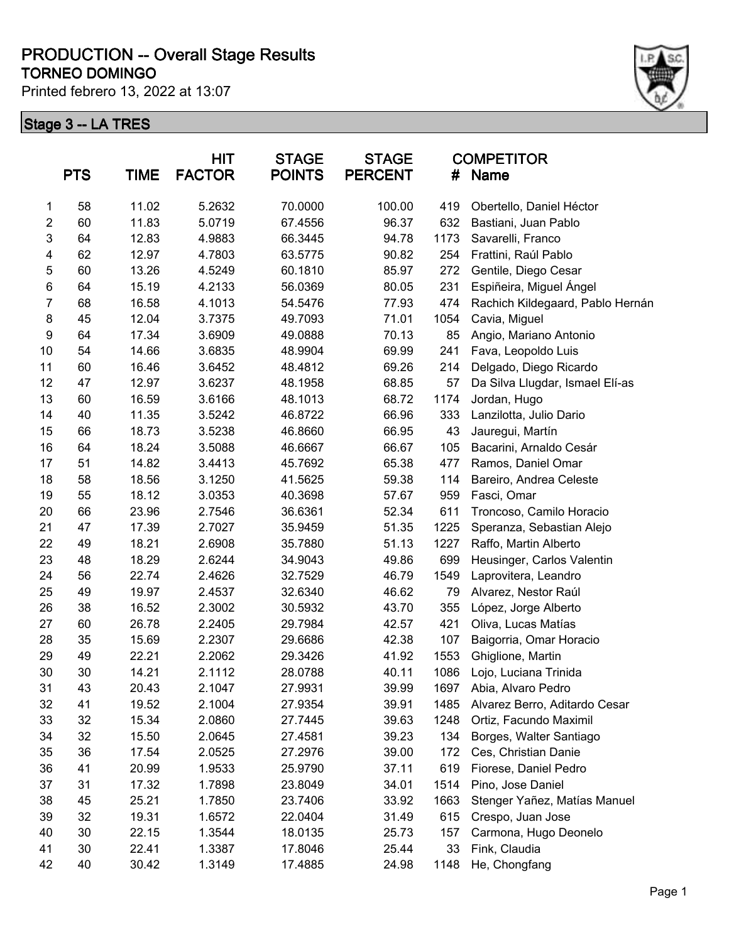#### **TORNEO DOMINGO PRODUCTION -- Overall Stage Results**

Printed febrero 13, 2022 at 13:07



|                  | <b>PTS</b> | <b>TIME</b> | <b>HIT</b><br><b>FACTOR</b> | <b>STAGE</b><br><b>POINTS</b> | <b>STAGE</b><br><b>PERCENT</b> | #    | <b>COMPETITOR</b><br><b>Name</b> |
|------------------|------------|-------------|-----------------------------|-------------------------------|--------------------------------|------|----------------------------------|
| 1                | 58         | 11.02       | 5.2632                      | 70.0000                       | 100.00                         | 419  | Obertello, Daniel Héctor         |
| $\overline{2}$   | 60         | 11.83       | 5.0719                      | 67.4556                       | 96.37                          | 632  | Bastiani, Juan Pablo             |
| 3                | 64         | 12.83       | 4.9883                      | 66.3445                       | 94.78                          | 1173 | Savarelli, Franco                |
| 4                | 62         | 12.97       | 4.7803                      | 63.5775                       | 90.82                          | 254  | Frattini, Raúl Pablo             |
| 5                | 60         | 13.26       | 4.5249                      | 60.1810                       | 85.97                          | 272  | Gentile, Diego Cesar             |
| 6                | 64         | 15.19       | 4.2133                      | 56.0369                       | 80.05                          | 231  | Espiñeira, Miguel Ángel          |
| $\overline{7}$   | 68         | 16.58       | 4.1013                      | 54.5476                       | 77.93                          | 474  | Rachich Kildegaard, Pablo Hernán |
| $\bf 8$          | 45         | 12.04       | 3.7375                      | 49.7093                       | 71.01                          | 1054 | Cavia, Miguel                    |
| $\boldsymbol{9}$ | 64         | 17.34       | 3.6909                      | 49.0888                       | 70.13                          | 85   | Angio, Mariano Antonio           |
| 10               | 54         | 14.66       | 3.6835                      | 48.9904                       | 69.99                          | 241  | Fava, Leopoldo Luis              |
| 11               | 60         | 16.46       | 3.6452                      | 48.4812                       | 69.26                          | 214  | Delgado, Diego Ricardo           |
| 12               | 47         | 12.97       | 3.6237                      | 48.1958                       | 68.85                          | 57   | Da Silva Llugdar, Ismael Elí-as  |
| 13               | 60         | 16.59       | 3.6166                      | 48.1013                       | 68.72                          | 1174 | Jordan, Hugo                     |
| 14               | 40         | 11.35       | 3.5242                      | 46.8722                       | 66.96                          | 333  | Lanzilotta, Julio Dario          |
| 15               | 66         | 18.73       | 3.5238                      | 46.8660                       | 66.95                          | 43   | Jauregui, Martín                 |
| 16               | 64         | 18.24       | 3.5088                      | 46.6667                       | 66.67                          | 105  | Bacarini, Arnaldo Cesár          |
| 17               | 51         | 14.82       | 3.4413                      | 45.7692                       | 65.38                          | 477  | Ramos, Daniel Omar               |
| 18               | 58         | 18.56       | 3.1250                      | 41.5625                       | 59.38                          | 114  | Bareiro, Andrea Celeste          |
| 19               | 55         | 18.12       | 3.0353                      | 40.3698                       | 57.67                          | 959  | Fasci, Omar                      |
| 20               | 66         | 23.96       | 2.7546                      | 36.6361                       | 52.34                          | 611  | Troncoso, Camilo Horacio         |
| 21               | 47         | 17.39       | 2.7027                      | 35.9459                       | 51.35                          | 1225 | Speranza, Sebastian Alejo        |
| 22               | 49         | 18.21       | 2.6908                      | 35.7880                       | 51.13                          | 1227 | Raffo, Martin Alberto            |
| 23               | 48         | 18.29       | 2.6244                      | 34.9043                       | 49.86                          | 699  | Heusinger, Carlos Valentin       |
| 24               | 56         | 22.74       | 2.4626                      | 32.7529                       | 46.79                          | 1549 | Laprovitera, Leandro             |
| 25               | 49         | 19.97       | 2.4537                      | 32.6340                       | 46.62                          | 79   | Alvarez, Nestor Raúl             |
| 26               | 38         | 16.52       | 2.3002                      | 30.5932                       | 43.70                          | 355  | López, Jorge Alberto             |
| 27               | 60         | 26.78       | 2.2405                      | 29.7984                       | 42.57                          | 421  | Oliva, Lucas Matías              |
| 28               | 35         | 15.69       | 2.2307                      | 29.6686                       | 42.38                          | 107  | Baigorria, Omar Horacio          |
| 29               | 49         | 22.21       | 2.2062                      | 29.3426                       | 41.92                          | 1553 | Ghiglione, Martin                |
| 30               | 30         | 14.21       | 2.1112                      | 28.0788                       | 40.11                          | 1086 | Lojo, Luciana Trinida            |
| 31               | 43         | 20.43       | 2.1047                      | 27.9931                       | 39.99                          | 1697 | Abia, Alvaro Pedro               |
| 32               | 41         | 19.52       | 2.1004                      | 27.9354                       | 39.91                          | 1485 | Alvarez Berro, Aditardo Cesar    |
| 33               | 32         | 15.34       | 2.0860                      | 27.7445                       | 39.63                          | 1248 | Ortiz, Facundo Maximil           |
| 34               | 32         | 15.50       | 2.0645                      | 27.4581                       | 39.23                          | 134  | Borges, Walter Santiago          |
| 35               | 36         | 17.54       | 2.0525                      | 27.2976                       | 39.00                          | 172  | Ces, Christian Danie             |
| 36               | 41         | 20.99       | 1.9533                      | 25.9790                       | 37.11                          | 619  | Fiorese, Daniel Pedro            |
| 37               | 31         | 17.32       | 1.7898                      | 23.8049                       | 34.01                          | 1514 | Pino, Jose Daniel                |
| 38               | 45         | 25.21       | 1.7850                      | 23.7406                       | 33.92                          | 1663 | Stenger Yañez, Matías Manuel     |
| 39               | 32         | 19.31       | 1.6572                      | 22.0404                       | 31.49                          | 615  | Crespo, Juan Jose                |
| 40               | 30         | 22.15       | 1.3544                      | 18.0135                       | 25.73                          | 157  | Carmona, Hugo Deonelo            |
| 41               | 30         | 22.41       | 1.3387                      | 17.8046                       | 25.44                          | 33   | Fink, Claudia                    |
| 42               | 40         | 30.42       | 1.3149                      | 17.4885                       | 24.98                          | 1148 | He, Chongfang                    |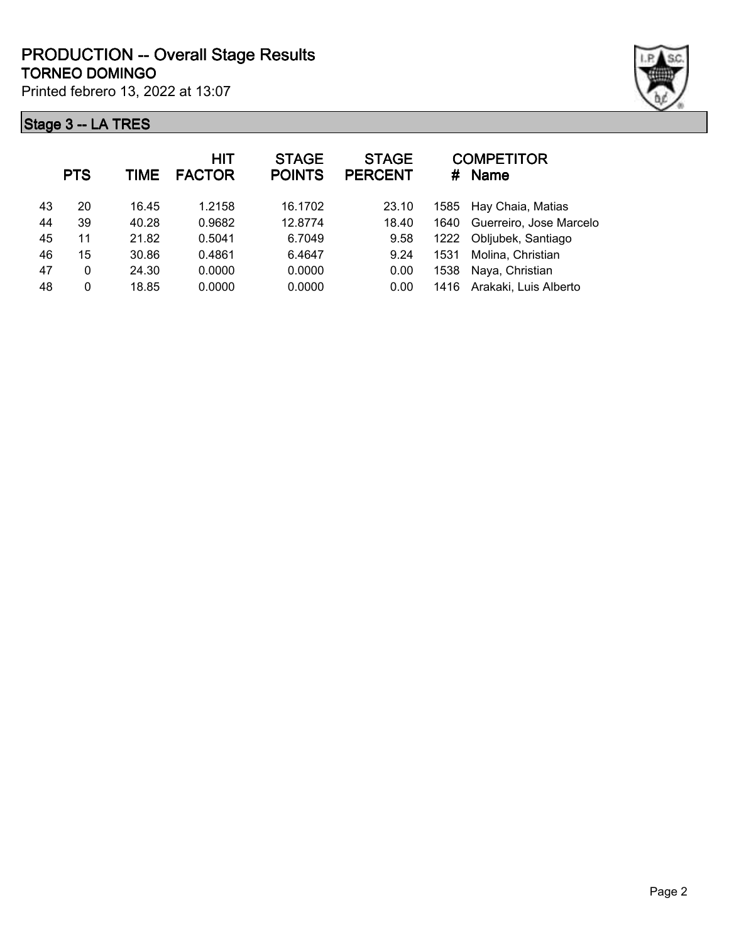

| <b>PTS</b> | TIME  | <b>HIT</b><br><b>FACTOR</b> | <b>STAGE</b><br><b>POINTS</b> | <b>STAGE</b><br><b>PERCENT</b> | #    | <b>COMPETITOR</b><br><b>Name</b> |
|------------|-------|-----------------------------|-------------------------------|--------------------------------|------|----------------------------------|
| 20         | 16.45 | 1.2158                      | 16.1702                       | 23.10                          |      | 1585 Hay Chaia, Matias           |
| 39         | 40.28 | 0.9682                      | 12.8774                       | 18.40                          | 1640 | Guerreiro, Jose Marcelo          |
| 11         | 21.82 | 0.5041                      | 6.7049                        | 9.58                           | 1222 | Obljubek, Santiago               |
| 15         | 30.86 | 0.4861                      | 6.4647                        | 9.24                           | 1531 | Molina, Christian                |
| 0          | 24.30 | 0.0000                      | 0.0000                        | 0.00                           | 1538 | Naya, Christian                  |
| 0          | 18.85 | 0.0000                      | 0.0000                        | 0.00                           | 1416 | Arakaki, Luis Alberto            |
|            |       |                             |                               |                                |      |                                  |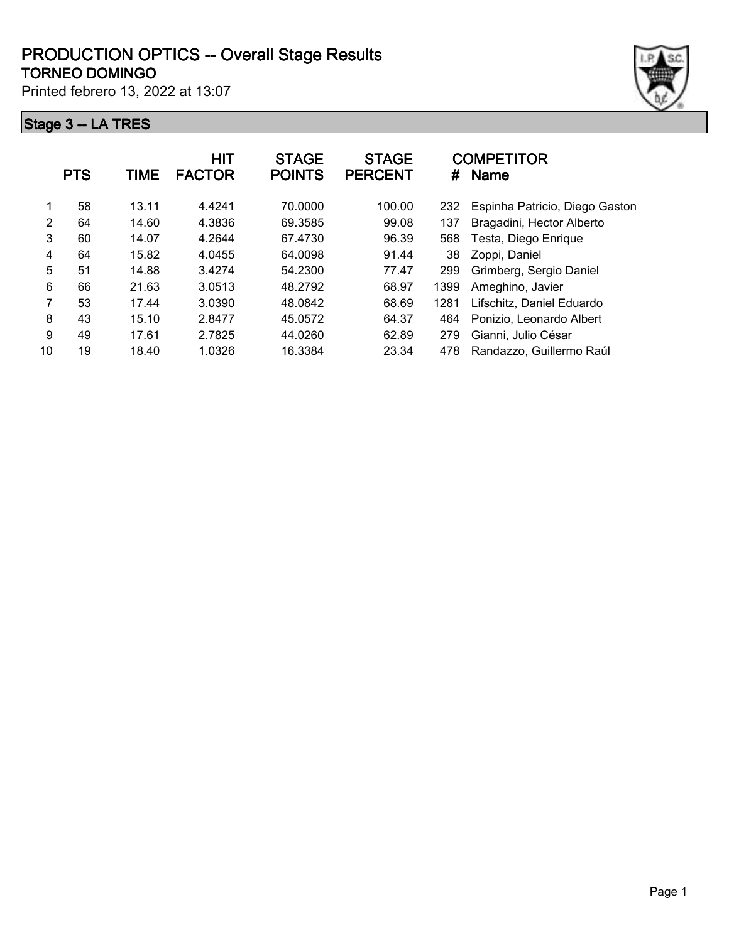#### **TORNEO DOMINGO PRODUCTION OPTICS -- Overall Stage Results**

Printed febrero 13, 2022 at 13:07



|    | <b>PTS</b> | TIME  | <b>HIT</b><br><b>FACTOR</b> | <b>STAGE</b><br><b>POINTS</b> | <b>STAGE</b><br><b>PERCENT</b> | #    | <b>COMPETITOR</b><br><b>Name</b> |
|----|------------|-------|-----------------------------|-------------------------------|--------------------------------|------|----------------------------------|
| 1  | 58         | 13.11 | 4.4241                      | 70.0000                       | 100.00                         | 232  | Espinha Patricio, Diego Gaston   |
| 2  | 64         | 14.60 | 4.3836                      | 69.3585                       | 99.08                          | 137  | Bragadini, Hector Alberto        |
| 3  | 60         | 14.07 | 4.2644                      | 67.4730                       | 96.39                          | 568  | Testa, Diego Enrique             |
| 4  | 64         | 15.82 | 4.0455                      | 64.0098                       | 91.44                          | 38   | Zoppi, Daniel                    |
| 5  | 51         | 14.88 | 3.4274                      | 54.2300                       | 77.47                          | 299  | Grimberg, Sergio Daniel          |
| 6  | 66         | 21.63 | 3.0513                      | 48.2792                       | 68.97                          | 1399 | Ameghino, Javier                 |
| 7  | 53         | 17.44 | 3.0390                      | 48.0842                       | 68.69                          | 1281 | Lifschitz, Daniel Eduardo        |
| 8  | 43         | 15.10 | 2.8477                      | 45.0572                       | 64.37                          | 464  | Ponizio. Leonardo Albert         |
| 9  | 49         | 17.61 | 2.7825                      | 44.0260                       | 62.89                          | 279  | Gianni, Julio César              |
| 10 | 19         | 18.40 | 1.0326                      | 16.3384                       | 23.34                          | 478  | Randazzo, Guillermo Raúl         |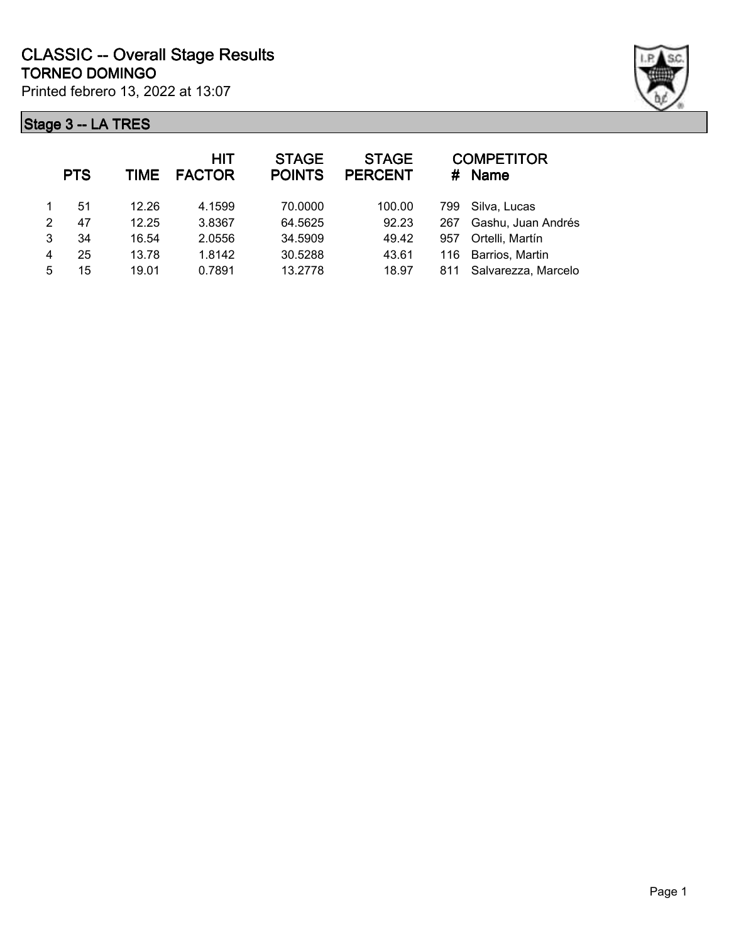

|   | <b>PTS</b> | TIME  | HIT<br><b>FACTOR</b> | <b>STAGE</b><br><b>POINTS</b> | <b>STAGE</b><br><b>PERCENT</b> |     | <b>COMPETITOR</b><br># Name |
|---|------------|-------|----------------------|-------------------------------|--------------------------------|-----|-----------------------------|
|   | 51         | 12.26 | 4.1599               | 70.0000                       | 100.00                         | 799 | Silva, Lucas                |
| 2 | 47         | 12.25 | 3.8367               | 64.5625                       | 92.23                          | 267 | Gashu, Juan Andrés          |
| 3 | 34         | 16.54 | 2.0556               | 34.5909                       | 49.42                          | 957 | Ortelli, Martín             |
| 4 | 25         | 13.78 | 1.8142               | 30.5288                       | 43.61                          | 116 | Barrios, Martin             |
| 5 | 15         | 19.01 | 0.7891               | 13.2778                       | 18.97                          | 811 | Salvarezza, Marcelo         |
|   |            |       |                      |                               |                                |     |                             |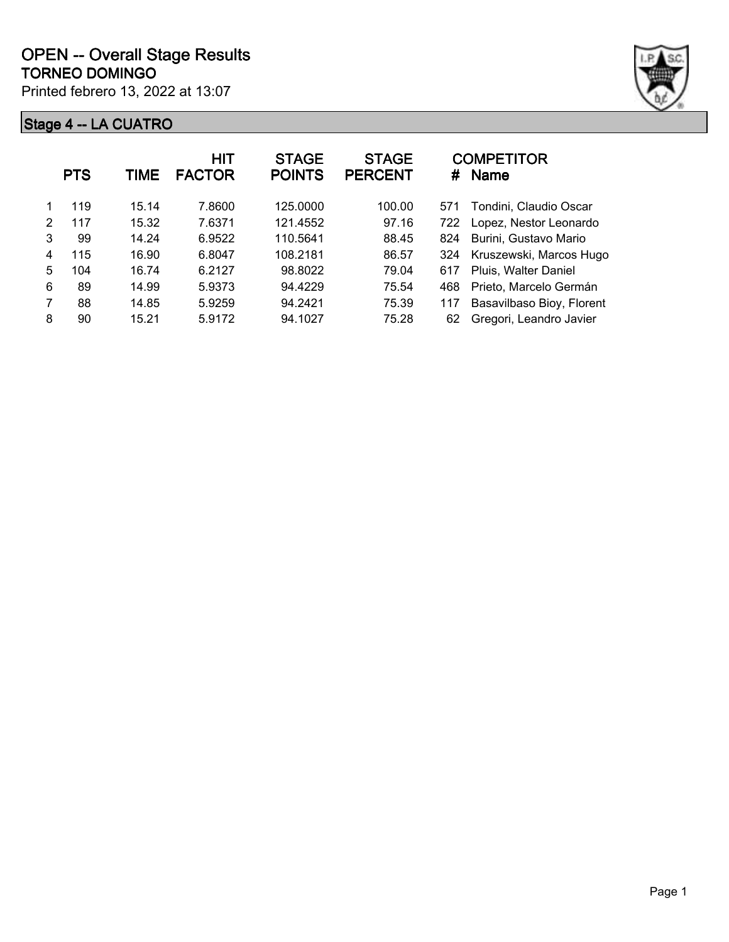

|   | <b>PTS</b> | TIME  | <b>HIT</b><br><b>FACTOR</b> | <b>STAGE</b><br><b>POINTS</b> | <b>STAGE</b><br><b>PERCENT</b> | #   | <b>COMPETITOR</b><br><b>Name</b> |
|---|------------|-------|-----------------------------|-------------------------------|--------------------------------|-----|----------------------------------|
|   | 119        | 15.14 | 7.8600                      | 125,0000                      | 100.00                         | 571 | Tondini, Claudio Oscar           |
| 2 | 117        | 15.32 | 7.6371                      | 121.4552                      | 97.16                          | 722 | Lopez, Nestor Leonardo           |
| 3 | 99         | 14.24 | 6.9522                      | 110.5641                      | 88.45                          | 824 | Burini, Gustavo Mario            |
| 4 | 115        | 16.90 | 6.8047                      | 108.2181                      | 86.57                          | 324 | Kruszewski, Marcos Hugo          |
| 5 | 104        | 16.74 | 6.2127                      | 98.8022                       | 79.04                          | 617 | Pluis, Walter Daniel             |
| 6 | 89         | 14.99 | 5.9373                      | 94.4229                       | 75.54                          | 468 | Prieto, Marcelo Germán           |
| 7 | 88         | 14.85 | 5.9259                      | 94.2421                       | 75.39                          | 117 | Basavilbaso Bioy, Florent        |
| 8 | 90         | 15.21 | 5.9172                      | 94.1027                       | 75.28                          | 62  | Gregori, Leandro Javier          |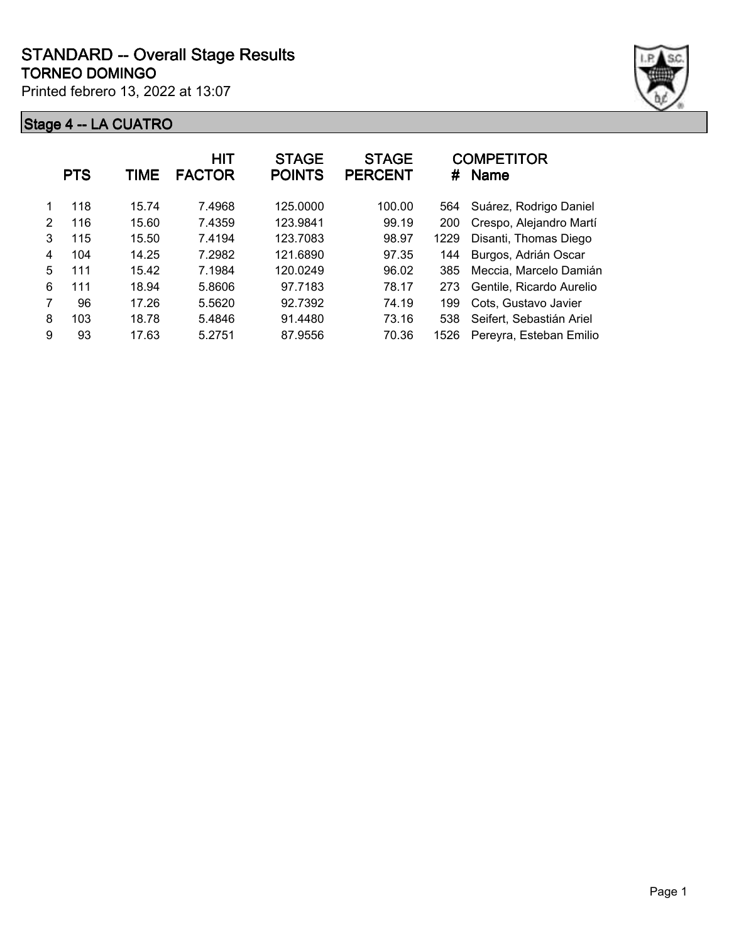

|   | <b>PTS</b> | TIME  | HIT<br><b>FACTOR</b> | <b>STAGE</b><br><b>POINTS</b> | <b>STAGE</b><br><b>PERCENT</b> | #    | <b>COMPETITOR</b><br><b>Name</b> |
|---|------------|-------|----------------------|-------------------------------|--------------------------------|------|----------------------------------|
|   | 118        | 15.74 | 7.4968               | 125.0000                      | 100.00                         | 564  | Suárez, Rodrigo Daniel           |
| 2 | 116        | 15.60 | 7.4359               | 123.9841                      | 99.19                          | 200  | Crespo, Alejandro Martí          |
| 3 | 115        | 15.50 | 7.4194               | 123.7083                      | 98.97                          | 1229 | Disanti, Thomas Diego            |
| 4 | 104        | 14.25 | 7.2982               | 121.6890                      | 97.35                          | 144  | Burgos, Adrián Oscar             |
| 5 | 111        | 15.42 | 7.1984               | 120.0249                      | 96.02                          | 385  | Meccia, Marcelo Damián           |
| 6 | 111        | 18.94 | 5.8606               | 97.7183                       | 78.17                          | 273  | Gentile, Ricardo Aurelio         |
| 7 | 96         | 17.26 | 5.5620               | 92.7392                       | 74.19                          | 199  | Cots, Gustavo Javier             |
| 8 | 103        | 18.78 | 5.4846               | 91.4480                       | 73.16                          | 538  | Seifert, Sebastián Ariel         |
| 9 | 93         | 17.63 | 5.2751               | 87.9556                       | 70.36                          | 1526 | Pereyra, Esteban Emilio          |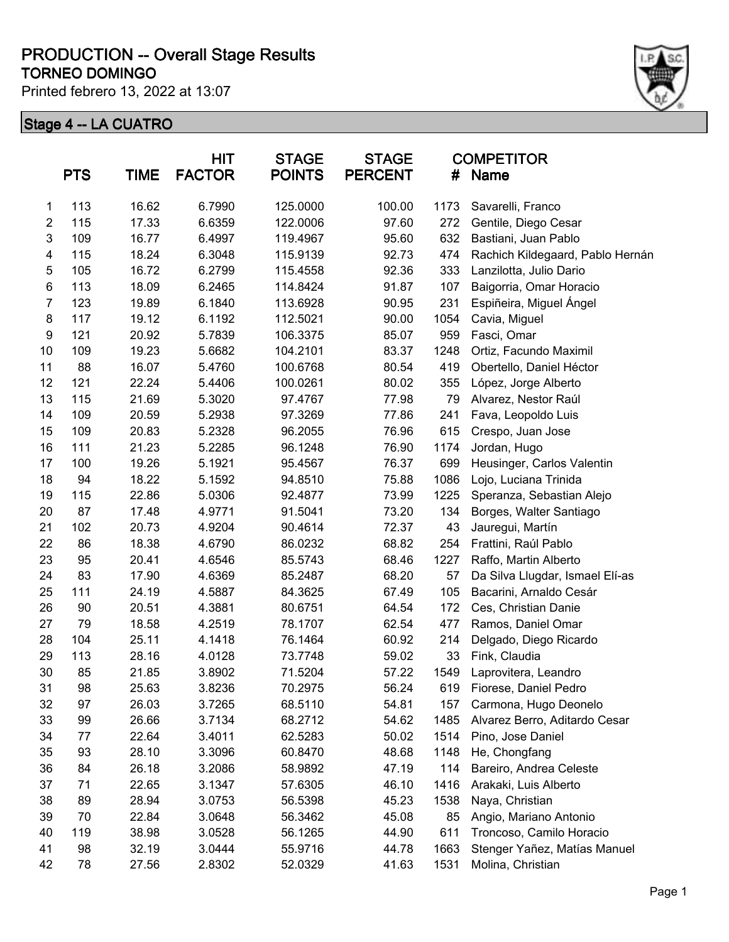#### **TORNEO DOMINGO PRODUCTION -- Overall Stage Results**

Printed febrero 13, 2022 at 13:07



|                | <b>PTS</b> | <b>TIME</b> | <b>HIT</b><br><b>FACTOR</b> | <b>STAGE</b><br><b>POINTS</b> | <b>STAGE</b><br><b>PERCENT</b> | #    | <b>COMPETITOR</b><br><b>Name</b> |
|----------------|------------|-------------|-----------------------------|-------------------------------|--------------------------------|------|----------------------------------|
| 1              | 113        | 16.62       | 6.7990                      | 125.0000                      | 100.00                         | 1173 | Savarelli, Franco                |
| $\overline{2}$ | 115        | 17.33       | 6.6359                      | 122.0006                      | 97.60                          | 272  | Gentile, Diego Cesar             |
| 3              | 109        | 16.77       | 6.4997                      | 119.4967                      | 95.60                          | 632  | Bastiani, Juan Pablo             |
| 4              | 115        | 18.24       | 6.3048                      | 115.9139                      | 92.73                          | 474  | Rachich Kildegaard, Pablo Hernán |
| 5              | 105        | 16.72       | 6.2799                      | 115.4558                      | 92.36                          | 333  | Lanzilotta, Julio Dario          |
| 6              | 113        | 18.09       | 6.2465                      | 114.8424                      | 91.87                          | 107  | Baigorria, Omar Horacio          |
| 7              | 123        | 19.89       | 6.1840                      | 113.6928                      | 90.95                          | 231  | Espiñeira, Miguel Ángel          |
| $\bf 8$        | 117        | 19.12       | 6.1192                      | 112.5021                      | 90.00                          | 1054 | Cavia, Miguel                    |
| 9              | 121        | 20.92       | 5.7839                      | 106.3375                      | 85.07                          | 959  | Fasci, Omar                      |
| 10             | 109        | 19.23       | 5.6682                      | 104.2101                      | 83.37                          | 1248 | Ortiz, Facundo Maximil           |
| 11             | 88         | 16.07       | 5.4760                      | 100.6768                      | 80.54                          | 419  | Obertello, Daniel Héctor         |
| 12             | 121        | 22.24       | 5.4406                      | 100.0261                      | 80.02                          | 355  | López, Jorge Alberto             |
| 13             | 115        | 21.69       | 5.3020                      | 97.4767                       | 77.98                          | 79   | Alvarez, Nestor Raúl             |
| 14             | 109        | 20.59       | 5.2938                      | 97.3269                       | 77.86                          | 241  | Fava, Leopoldo Luis              |
| 15             | 109        | 20.83       | 5.2328                      | 96.2055                       | 76.96                          | 615  | Crespo, Juan Jose                |
| 16             | 111        | 21.23       | 5.2285                      | 96.1248                       | 76.90                          | 1174 | Jordan, Hugo                     |
| 17             | 100        | 19.26       | 5.1921                      | 95.4567                       | 76.37                          | 699  | Heusinger, Carlos Valentin       |
| 18             | 94         | 18.22       | 5.1592                      | 94.8510                       | 75.88                          | 1086 | Lojo, Luciana Trinida            |
| 19             | 115        | 22.86       | 5.0306                      | 92.4877                       | 73.99                          | 1225 | Speranza, Sebastian Alejo        |
| 20             | 87         | 17.48       | 4.9771                      | 91.5041                       | 73.20                          | 134  | Borges, Walter Santiago          |
| 21             | 102        | 20.73       | 4.9204                      | 90.4614                       | 72.37                          | 43   | Jauregui, Martín                 |
| 22             | 86         | 18.38       | 4.6790                      | 86.0232                       | 68.82                          | 254  | Frattini, Raúl Pablo             |
| 23             | 95         | 20.41       | 4.6546                      | 85.5743                       | 68.46                          | 1227 | Raffo, Martin Alberto            |
| 24             | 83         | 17.90       | 4.6369                      | 85.2487                       | 68.20                          | 57   | Da Silva Llugdar, Ismael Elí-as  |
| 25             | 111        | 24.19       | 4.5887                      | 84.3625                       | 67.49                          | 105  | Bacarini, Arnaldo Cesár          |
| 26             | 90         | 20.51       | 4.3881                      | 80.6751                       | 64.54                          | 172  | Ces, Christian Danie             |
| 27             | 79         | 18.58       | 4.2519                      | 78.1707                       | 62.54                          | 477  | Ramos, Daniel Omar               |
| 28             | 104        | 25.11       | 4.1418                      | 76.1464                       | 60.92                          | 214  | Delgado, Diego Ricardo           |
| 29             | 113        | 28.16       | 4.0128                      | 73.7748                       | 59.02                          | 33   | Fink, Claudia                    |
| 30             | 85         | 21.85       | 3.8902                      | 71.5204                       | 57.22                          | 1549 | Laprovitera, Leandro             |
| 31             | 98         | 25.63       | 3.8236                      | 70.2975                       | 56.24                          | 619  | Fiorese, Daniel Pedro            |
| 32             | 97         | 26.03       | 3.7265                      | 68.5110                       | 54.81                          | 157  | Carmona, Hugo Deonelo            |
| 33             | 99         | 26.66       | 3.7134                      | 68.2712                       | 54.62                          | 1485 | Alvarez Berro, Aditardo Cesar    |
| 34             | 77         | 22.64       | 3.4011                      | 62.5283                       | 50.02                          | 1514 | Pino, Jose Daniel                |
| 35             | 93         | 28.10       | 3.3096                      | 60.8470                       | 48.68                          | 1148 | He, Chongfang                    |
| 36             | 84         | 26.18       | 3.2086                      | 58.9892                       | 47.19                          | 114  | Bareiro, Andrea Celeste          |
| 37             | 71         | 22.65       | 3.1347                      | 57.6305                       | 46.10                          | 1416 | Arakaki, Luis Alberto            |
| 38             | 89         | 28.94       | 3.0753                      | 56.5398                       | 45.23                          | 1538 | Naya, Christian                  |
| 39             | 70         | 22.84       | 3.0648                      | 56.3462                       | 45.08                          | 85   | Angio, Mariano Antonio           |
| 40             | 119        | 38.98       | 3.0528                      | 56.1265                       | 44.90                          | 611  | Troncoso, Camilo Horacio         |
| 41             | 98         | 32.19       | 3.0444                      | 55.9716                       | 44.78                          | 1663 | Stenger Yañez, Matías Manuel     |
| 42             | 78         | 27.56       | 2.8302                      | 52.0329                       | 41.63                          | 1531 | Molina, Christian                |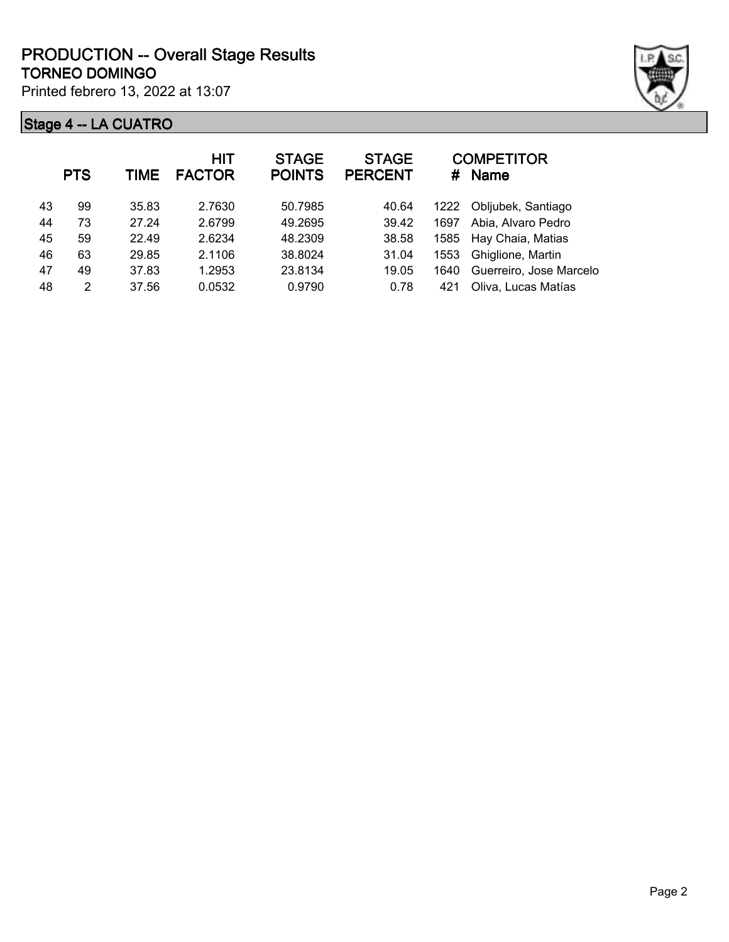

|    | <b>PTS</b> | TIME  | <b>HIT</b><br><b>FACTOR</b> | <b>STAGE</b><br><b>POINTS</b> | <b>STAGE</b><br><b>PERCENT</b> |      | <b>COMPETITOR</b><br># Name |
|----|------------|-------|-----------------------------|-------------------------------|--------------------------------|------|-----------------------------|
| 43 | 99         | 35.83 | 2.7630                      | 50.7985                       | 40.64                          | 1222 | Obljubek, Santiago          |
| 44 | 73         | 27.24 | 2.6799                      | 49.2695                       | 39.42                          | 1697 | Abia, Alvaro Pedro          |
| 45 | 59         | 22.49 | 2.6234                      | 48.2309                       | 38.58                          |      | 1585 Hay Chaia, Matias      |
| 46 | 63         | 29.85 | 2.1106                      | 38.8024                       | 31.04                          | 1553 | Ghiglione, Martin           |
| 47 | 49         | 37.83 | 1.2953                      | 23.8134                       | 19.05                          | 1640 | Guerreiro, Jose Marcelo     |
| 48 | 2          | 37.56 | 0.0532                      | 0.9790                        | 0.78                           | 421  | Oliva, Lucas Matías         |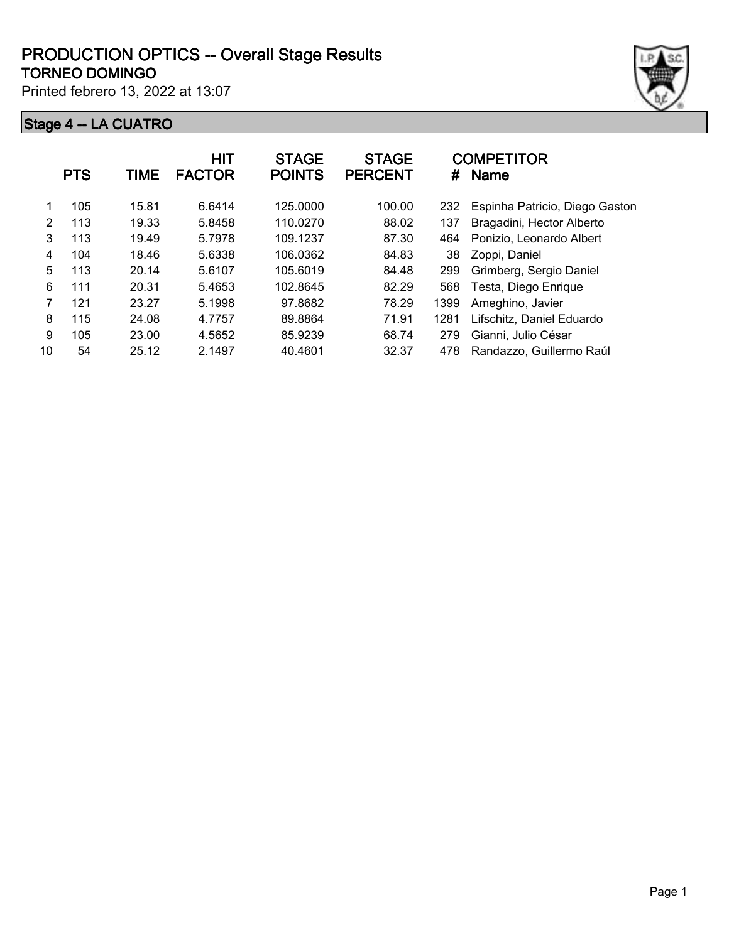

|    | <b>PTS</b> | TIME  | <b>HIT</b><br><b>FACTOR</b> | <b>STAGE</b><br><b>POINTS</b> | <b>STAGE</b><br><b>PERCENT</b> | #    | <b>COMPETITOR</b><br><b>Name</b> |
|----|------------|-------|-----------------------------|-------------------------------|--------------------------------|------|----------------------------------|
|    | 105        | 15.81 | 6.6414                      | 125.0000                      | 100.00                         | 232  | Espinha Patricio, Diego Gaston   |
| 2  | 113        | 19.33 | 5.8458                      | 110.0270                      | 88.02                          | 137  | Bragadini, Hector Alberto        |
| 3  | 113        | 19.49 | 5.7978                      | 109.1237                      | 87.30                          | 464  | Ponizio, Leonardo Albert         |
| 4  | 104        | 18.46 | 5.6338                      | 106.0362                      | 84.83                          | 38   | Zoppi, Daniel                    |
| 5  | 113        | 20.14 | 5.6107                      | 105.6019                      | 84.48                          | 299  | Grimberg, Sergio Daniel          |
| 6  | 111        | 20.31 | 5.4653                      | 102.8645                      | 82.29                          | 568  | Testa, Diego Enrique             |
| 7  | 121        | 23.27 | 5.1998                      | 97.8682                       | 78.29                          | 1399 | Ameghino, Javier                 |
| 8  | 115        | 24.08 | 4.7757                      | 89.8864                       | 71.91                          | 1281 | Lifschitz, Daniel Eduardo        |
| 9  | 105        | 23.00 | 4.5652                      | 85.9239                       | 68.74                          | 279  | Gianni, Julio César              |
| 10 | 54         | 25.12 | 2.1497                      | 40.4601                       | 32.37                          | 478  | Randazzo, Guillermo Raúl         |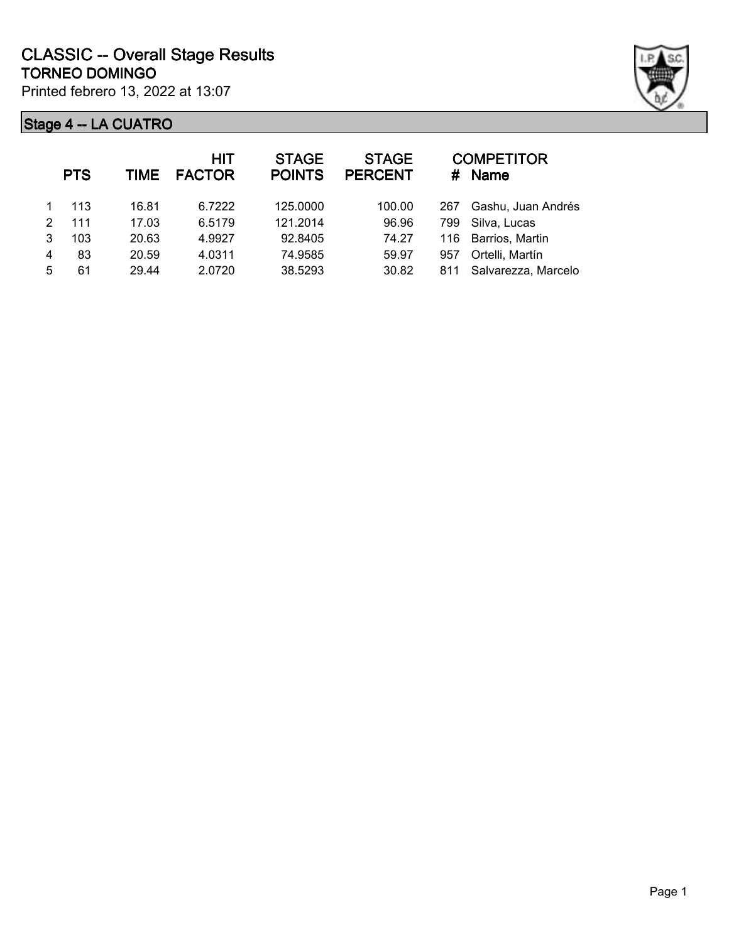

|   | <b>PTS</b> | TIME  | <b>HIT</b><br><b>FACTOR</b> | <b>STAGE</b><br><b>POINTS</b> | <b>STAGE</b><br><b>PERCENT</b> |     | <b>COMPETITOR</b><br># Name |
|---|------------|-------|-----------------------------|-------------------------------|--------------------------------|-----|-----------------------------|
|   | 113        | 16.81 | 6.7222                      | 125.0000                      | 100.00                         | 267 | Gashu, Juan Andrés          |
| 2 | 111        | 17.03 | 6.5179                      | 121.2014                      | 96.96                          | 799 | Silva, Lucas                |
| 3 | 103        | 20.63 | 4.9927                      | 92.8405                       | 74.27                          | 116 | Barrios, Martin             |
| 4 | 83         | 20.59 | 4.0311                      | 74.9585                       | 59.97                          | 957 | Ortelli, Martín             |
| 5 | 61         | 29.44 | 2.0720                      | 38.5293                       | 30.82                          | 811 | Salvarezza, Marcelo         |
|   |            |       |                             |                               |                                |     |                             |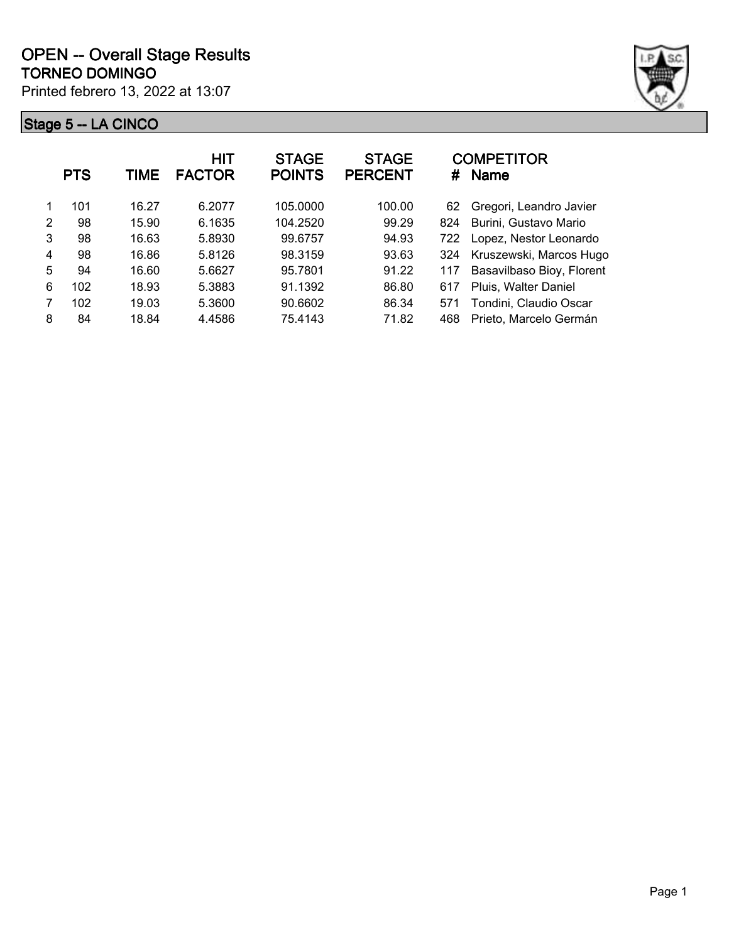

|   | <b>PTS</b> | TIME  | <b>HIT</b><br><b>FACTOR</b> | <b>STAGE</b><br><b>POINTS</b> | <b>STAGE</b><br><b>PERCENT</b> | #   | <b>COMPETITOR</b><br><b>Name</b> |
|---|------------|-------|-----------------------------|-------------------------------|--------------------------------|-----|----------------------------------|
|   | 101        | 16.27 | 6.2077                      | 105.0000                      | 100.00                         | 62  | Gregori, Leandro Javier          |
| 2 | 98         | 15.90 | 6.1635                      | 104.2520                      | 99.29                          | 824 | Burini, Gustavo Mario            |
| 3 | 98         | 16.63 | 5.8930                      | 99.6757                       | 94.93                          | 722 | Lopez, Nestor Leonardo           |
| 4 | 98         | 16.86 | 5.8126                      | 98.3159                       | 93.63                          | 324 | Kruszewski, Marcos Hugo          |
| 5 | 94         | 16.60 | 5.6627                      | 95.7801                       | 91.22                          | 117 | Basavilbaso Bioy, Florent        |
| 6 | 102        | 18.93 | 5.3883                      | 91.1392                       | 86.80                          | 617 | Pluis, Walter Daniel             |
| 7 | 102        | 19.03 | 5.3600                      | 90.6602                       | 86.34                          | 571 | Tondini, Claudio Oscar           |
| 8 | 84         | 18.84 | 4.4586                      | 75.4143                       | 71.82                          | 468 | Prieto, Marcelo Germán           |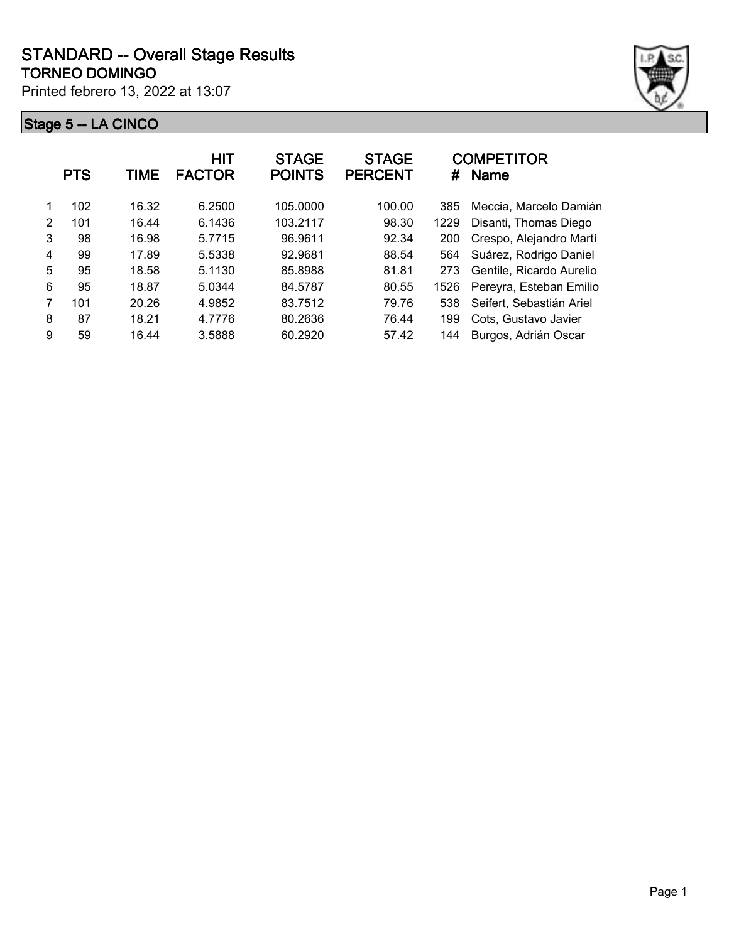

|               | <b>PTS</b> | TIME  | <b>HIT</b><br><b>FACTOR</b> | <b>STAGE</b><br><b>POINTS</b> | <b>STAGE</b><br><b>PERCENT</b> | #    | <b>COMPETITOR</b><br><b>Name</b> |
|---------------|------------|-------|-----------------------------|-------------------------------|--------------------------------|------|----------------------------------|
|               | 102        | 16.32 | 6.2500                      | 105.0000                      | 100.00                         | 385  | Meccia, Marcelo Damián           |
| $\mathcal{P}$ | 101        | 16.44 | 6.1436                      | 103.2117                      | 98.30                          | 1229 | Disanti, Thomas Diego            |
| 3             | 98         | 16.98 | 5.7715                      | 96.9611                       | 92.34                          | 200  | Crespo, Alejandro Martí          |
| 4             | 99         | 17.89 | 5.5338                      | 92.9681                       | 88.54                          | 564  | Suárez, Rodrigo Daniel           |
| 5             | 95         | 18.58 | 5.1130                      | 85.8988                       | 81.81                          | 273  | Gentile, Ricardo Aurelio         |
| 6             | 95         | 18.87 | 5.0344                      | 84.5787                       | 80.55                          | 1526 | Pereyra, Esteban Emilio          |
|               | 101        | 20.26 | 4.9852                      | 83.7512                       | 79.76                          | 538  | Seifert, Sebastián Ariel         |
| 8             | 87         | 18.21 | 4.7776                      | 80.2636                       | 76.44                          | 199  | Cots, Gustavo Javier             |
| 9             | 59         | 16.44 | 3.5888                      | 60.2920                       | 57.42                          | 144  | Burgos, Adrián Oscar             |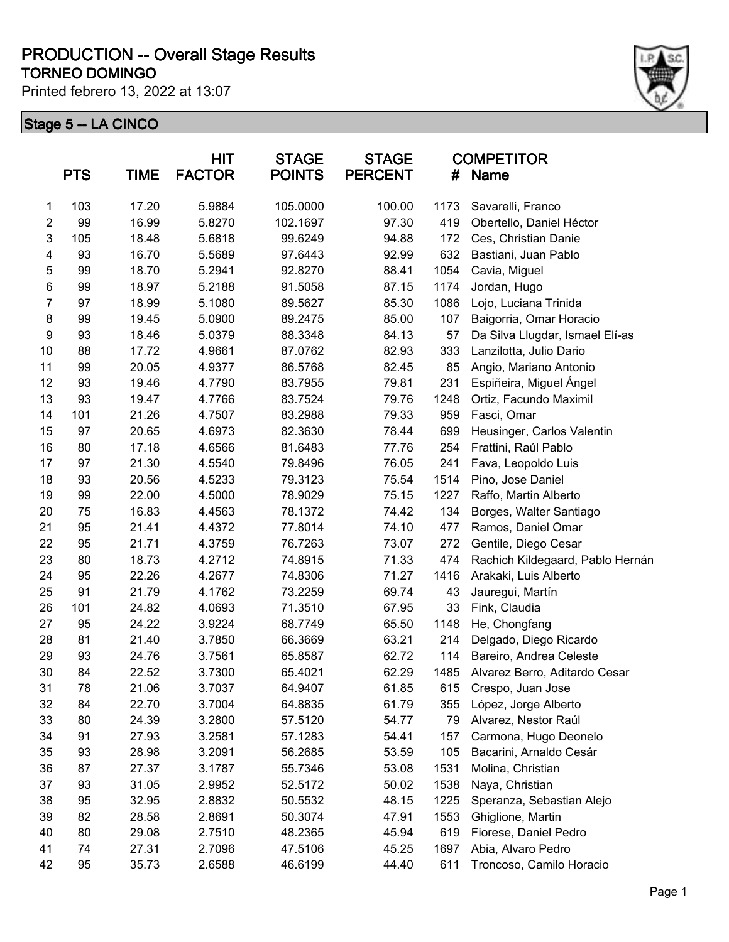#### **TORNEO DOMINGO PRODUCTION -- Overall Stage Results**

Printed febrero 13, 2022 at 13:07



|                         | <b>PTS</b> | <b>TIME</b> | <b>HIT</b><br><b>FACTOR</b> | <b>STAGE</b><br><b>POINTS</b> | <b>STAGE</b><br><b>PERCENT</b> | #    | <b>COMPETITOR</b><br><b>Name</b> |
|-------------------------|------------|-------------|-----------------------------|-------------------------------|--------------------------------|------|----------------------------------|
| $\mathbf{1}$            | 103        | 17.20       | 5.9884                      | 105.0000                      | 100.00                         | 1173 | Savarelli, Franco                |
| $\overline{2}$          | 99         | 16.99       | 5.8270                      | 102.1697                      | 97.30                          | 419  | Obertello, Daniel Héctor         |
| 3                       | 105        | 18.48       | 5.6818                      | 99.6249                       | 94.88                          | 172  | Ces, Christian Danie             |
| $\overline{\mathbf{4}}$ | 93         | 16.70       | 5.5689                      | 97.6443                       | 92.99                          | 632  | Bastiani, Juan Pablo             |
| $\mathbf 5$             | 99         | 18.70       | 5.2941                      | 92.8270                       | 88.41                          | 1054 | Cavia, Miguel                    |
| $\,6$                   | 99         | 18.97       | 5.2188                      | 91.5058                       | 87.15                          | 1174 | Jordan, Hugo                     |
| $\overline{7}$          | 97         | 18.99       | 5.1080                      | 89.5627                       | 85.30                          | 1086 | Lojo, Luciana Trinida            |
| 8                       | 99         | 19.45       | 5.0900                      | 89.2475                       | 85.00                          | 107  | Baigorria, Omar Horacio          |
| 9                       | 93         | 18.46       | 5.0379                      | 88.3348                       | 84.13                          | 57   | Da Silva Llugdar, Ismael Elí-as  |
| 10                      | 88         | 17.72       | 4.9661                      | 87.0762                       | 82.93                          | 333  | Lanzilotta, Julio Dario          |
| 11                      | 99         | 20.05       | 4.9377                      | 86.5768                       | 82.45                          | 85   | Angio, Mariano Antonio           |
| 12                      | 93         | 19.46       | 4.7790                      | 83.7955                       | 79.81                          | 231  | Espiñeira, Miguel Ángel          |
| 13                      | 93         | 19.47       | 4.7766                      | 83.7524                       | 79.76                          | 1248 | Ortiz, Facundo Maximil           |
| 14                      | 101        | 21.26       | 4.7507                      | 83.2988                       | 79.33                          | 959  | Fasci, Omar                      |
| 15                      | 97         | 20.65       | 4.6973                      | 82.3630                       | 78.44                          | 699  | Heusinger, Carlos Valentin       |
| 16                      | 80         | 17.18       | 4.6566                      | 81.6483                       | 77.76                          | 254  | Frattini, Raúl Pablo             |
| 17                      | 97         | 21.30       | 4.5540                      | 79.8496                       | 76.05                          | 241  | Fava, Leopoldo Luis              |
| 18                      | 93         | 20.56       | 4.5233                      | 79.3123                       | 75.54                          | 1514 | Pino, Jose Daniel                |
| 19                      | 99         | 22.00       | 4.5000                      | 78.9029                       | 75.15                          | 1227 | Raffo, Martin Alberto            |
| 20                      | 75         | 16.83       | 4.4563                      | 78.1372                       | 74.42                          | 134  | Borges, Walter Santiago          |
| 21                      | 95         | 21.41       | 4.4372                      | 77.8014                       | 74.10                          | 477  | Ramos, Daniel Omar               |
| 22                      | 95         | 21.71       | 4.3759                      | 76.7263                       | 73.07                          | 272  | Gentile, Diego Cesar             |
| 23                      | 80         | 18.73       | 4.2712                      | 74.8915                       | 71.33                          | 474  | Rachich Kildegaard, Pablo Hernán |
| 24                      | 95         | 22.26       | 4.2677                      | 74.8306                       | 71.27                          | 1416 | Arakaki, Luis Alberto            |
| 25                      | 91         | 21.79       | 4.1762                      | 73.2259                       | 69.74                          | 43   | Jauregui, Martín                 |
| 26                      | 101        | 24.82       | 4.0693                      | 71.3510                       | 67.95                          | 33   | Fink, Claudia                    |
| 27                      | 95         | 24.22       | 3.9224                      | 68.7749                       | 65.50                          | 1148 | He, Chongfang                    |
| 28                      | 81         | 21.40       | 3.7850                      | 66.3669                       | 63.21                          | 214  | Delgado, Diego Ricardo           |
| 29                      | 93         | 24.76       | 3.7561                      | 65.8587                       | 62.72                          | 114  | Bareiro, Andrea Celeste          |
| 30                      | 84         | 22.52       | 3.7300                      | 65.4021                       | 62.29                          | 1485 | Alvarez Berro, Aditardo Cesar    |
| 31                      | 78         | 21.06       | 3.7037                      | 64.9407                       | 61.85                          | 615  | Crespo, Juan Jose                |
| 32                      | 84         | 22.70       | 3.7004                      | 64.8835                       | 61.79                          | 355  | López, Jorge Alberto             |
| 33                      | 80         | 24.39       | 3.2800                      | 57.5120                       | 54.77                          | 79   | Alvarez, Nestor Raúl             |
| 34                      | 91         | 27.93       | 3.2581                      | 57.1283                       | 54.41                          | 157  | Carmona, Hugo Deonelo            |
| 35                      | 93         | 28.98       | 3.2091                      | 56.2685                       | 53.59                          | 105  | Bacarini, Arnaldo Cesár          |
| 36                      | 87         | 27.37       | 3.1787                      | 55.7346                       | 53.08                          | 1531 | Molina, Christian                |
| 37                      | 93         | 31.05       | 2.9952                      | 52.5172                       | 50.02                          | 1538 | Naya, Christian                  |
| 38                      | 95         | 32.95       | 2.8832                      | 50.5532                       | 48.15                          | 1225 | Speranza, Sebastian Alejo        |
| 39                      | 82         | 28.58       | 2.8691                      | 50.3074                       | 47.91                          | 1553 | Ghiglione, Martin                |
| 40                      | 80         | 29.08       | 2.7510                      | 48.2365                       | 45.94                          | 619  | Fiorese, Daniel Pedro            |
| 41                      | 74         | 27.31       | 2.7096                      | 47.5106                       | 45.25                          | 1697 | Abia, Alvaro Pedro               |
| 42                      | 95         | 35.73       | 2.6588                      | 46.6199                       | 44.40                          | 611  | Troncoso, Camilo Horacio         |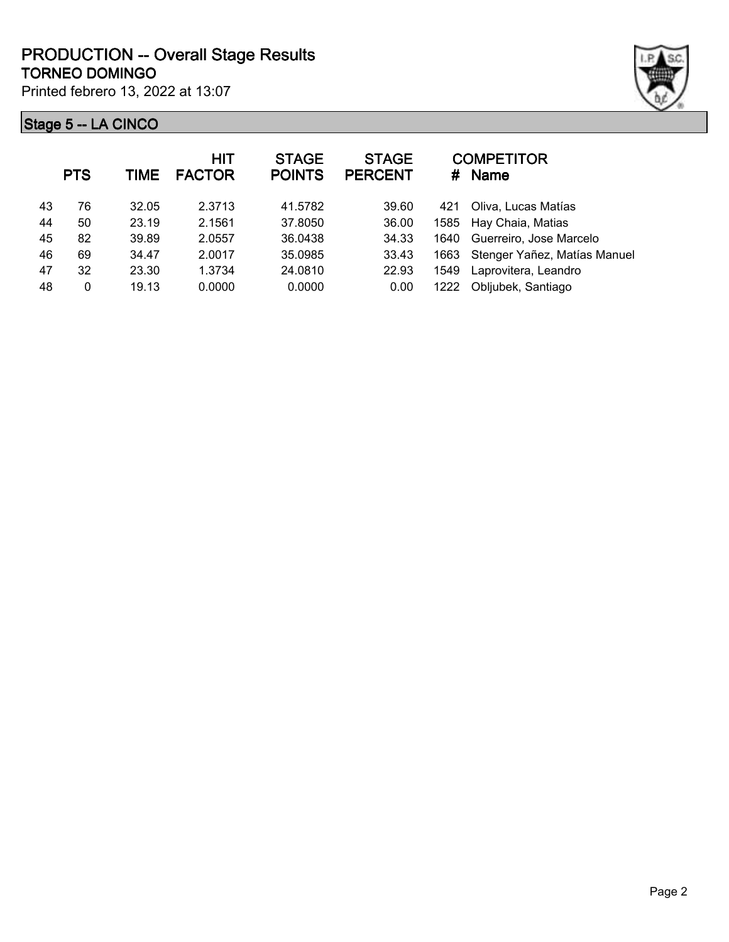

|    | <b>PTS</b> | <b>TIME</b> | <b>HIT</b><br><b>FACTOR</b> | <b>STAGE</b><br><b>POINTS</b> | <b>STAGE</b><br><b>PERCENT</b> | #    | <b>COMPETITOR</b><br><b>Name</b> |
|----|------------|-------------|-----------------------------|-------------------------------|--------------------------------|------|----------------------------------|
| 43 | 76         | 32.05       | 2.3713                      | 41.5782                       | 39.60                          | 421  | Oliva, Lucas Matías              |
| 44 | 50         | 23.19       | 2.1561                      | 37.8050                       | 36.00                          |      | 1585 Hay Chaia, Matias           |
| 45 | 82         | 39.89       | 2.0557                      | 36.0438                       | 34.33                          | 1640 | Guerreiro, Jose Marcelo          |
| 46 | 69         | 34.47       | 2.0017                      | 35.0985                       | 33.43                          | 1663 | Stenger Yañez, Matías Manuel     |
| 47 | 32         | 23.30       | 1.3734                      | 24.0810                       | 22.93                          | 1549 | Laprovitera, Leandro             |
| 48 | 0          | 19.13       | 0.0000                      | 0.0000                        | 0.00                           | 1222 | Obljubek, Santiago               |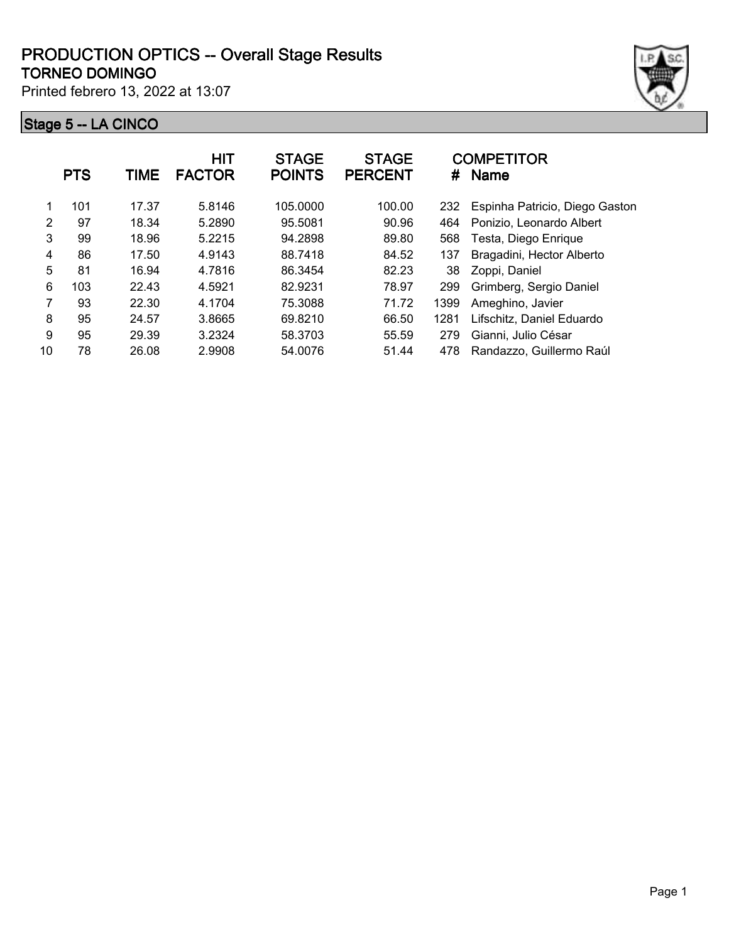

|    | <b>PTS</b> | <b>TIME</b> | <b>HIT</b><br><b>FACTOR</b> | <b>STAGE</b><br><b>POINTS</b> | <b>STAGE</b><br><b>PERCENT</b> | #    | <b>COMPETITOR</b><br><b>Name</b> |
|----|------------|-------------|-----------------------------|-------------------------------|--------------------------------|------|----------------------------------|
| 1  | 101        | 17.37       | 5.8146                      | 105.0000                      | 100.00                         | 232  | Espinha Patricio, Diego Gaston   |
| 2  | 97         | 18.34       | 5.2890                      | 95.5081                       | 90.96                          | 464  | Ponizio, Leonardo Albert         |
| 3  | 99         | 18.96       | 5.2215                      | 94.2898                       | 89.80                          | 568  | Testa, Diego Enrique             |
| 4  | 86         | 17.50       | 4.9143                      | 88.7418                       | 84.52                          | 137  | Bragadini, Hector Alberto        |
| 5  | 81         | 16.94       | 4.7816                      | 86.3454                       | 82.23                          | 38   | Zoppi, Daniel                    |
| 6  | 103        | 22.43       | 4.5921                      | 82.9231                       | 78.97                          | 299  | Grimberg, Sergio Daniel          |
| 7  | 93         | 22.30       | 4.1704                      | 75.3088                       | 71.72                          | 1399 | Ameghino, Javier                 |
| 8  | 95         | 24.57       | 3.8665                      | 69.8210                       | 66.50                          | 1281 | Lifschitz, Daniel Eduardo        |
| 9  | 95         | 29.39       | 3.2324                      | 58.3703                       | 55.59                          | 279  | Gianni, Julio César              |
| 10 | 78         | 26.08       | 2.9908                      | 54.0076                       | 51.44                          | 478  | Randazzo, Guillermo Raúl         |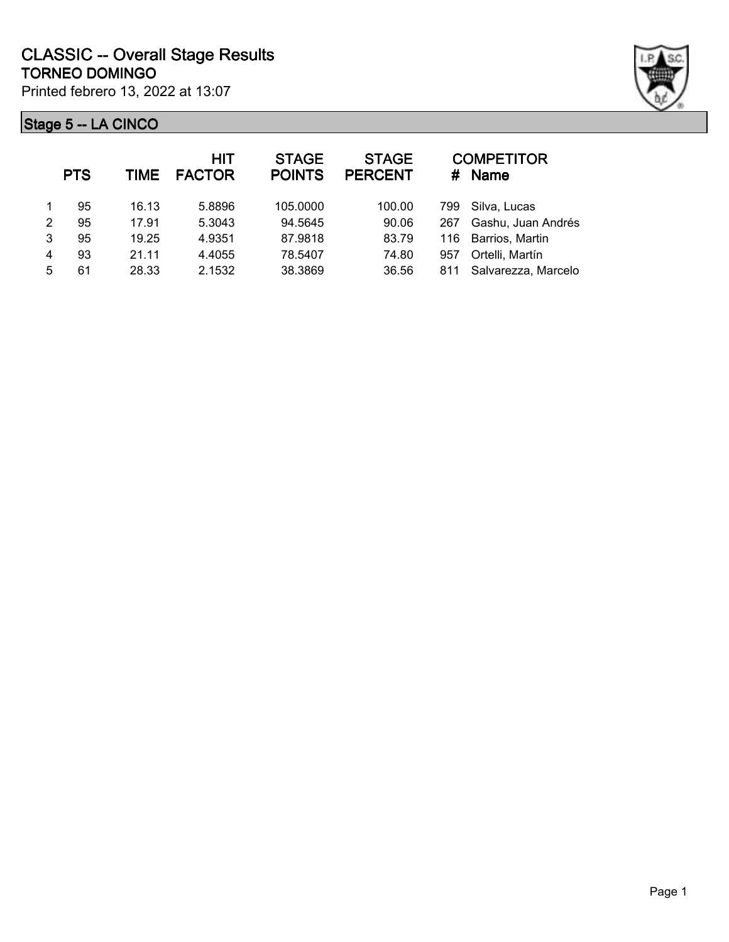

|                | <b>PTS</b> | TIME  | <b>HIT</b><br><b>FACTOR</b> | <b>STAGE</b><br><b>POINTS</b> | <b>STAGE</b><br><b>PERCENT</b> |     | <b>COMPETITOR</b><br># Name |
|----------------|------------|-------|-----------------------------|-------------------------------|--------------------------------|-----|-----------------------------|
|                | 95         | 16.13 | 5.8896                      | 105.0000                      | 100.00                         | 799 | Silva, Lucas                |
| $\mathcal{P}$  | 95         | 17.91 | 5.3043                      | 94.5645                       | 90.06                          | 267 | Gashu, Juan Andrés          |
| 3              | 95         | 19.25 | 4.9351                      | 87.9818                       | 83.79                          | 116 | Barrios, Martin             |
| $\overline{4}$ | 93         | 21.11 | 4.4055                      | 78.5407                       | 74.80                          | 957 | Ortelli, Martín             |
| 5              | 61         | 28.33 | 2.1532                      | 38.3869                       | 36.56                          | 811 | Salvarezza, Marcelo         |
|                |            |       |                             |                               |                                |     |                             |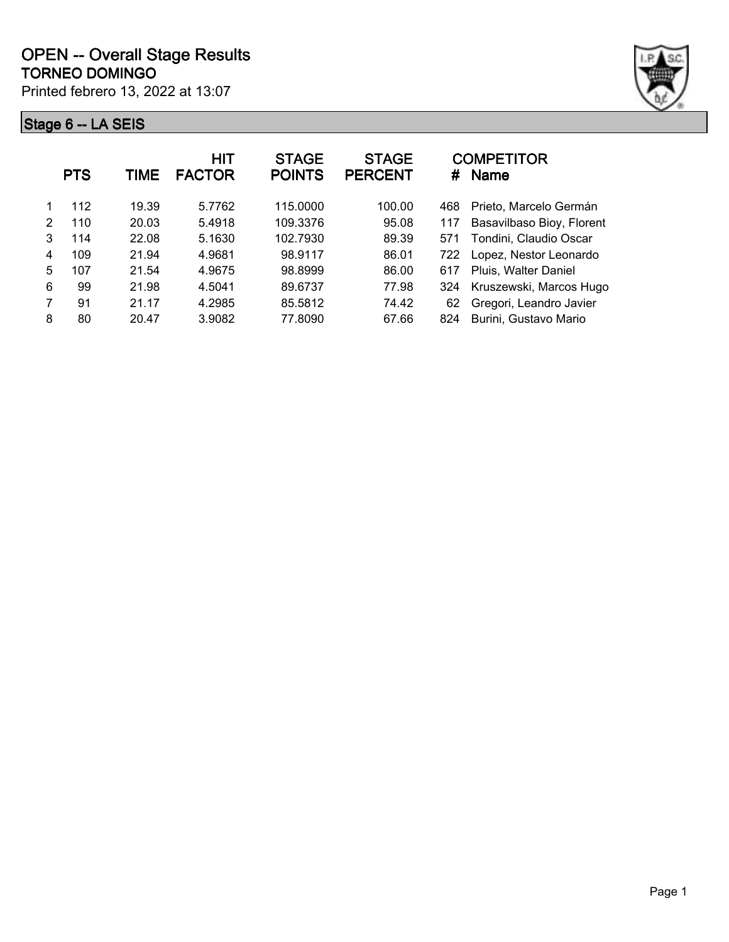

|   | <b>PTS</b> | TIME  | <b>HIT</b><br><b>FACTOR</b> | <b>STAGE</b><br><b>POINTS</b> | <b>STAGE</b><br><b>PERCENT</b> | #   | <b>COMPETITOR</b><br><b>Name</b> |
|---|------------|-------|-----------------------------|-------------------------------|--------------------------------|-----|----------------------------------|
|   | 112        | 19.39 | 5.7762                      | 115,0000                      | 100.00                         | 468 | Prieto, Marcelo Germán           |
| 2 | 110        | 20.03 | 5.4918                      | 109.3376                      | 95.08                          | 117 | Basavilbaso Bioy, Florent        |
| 3 | 114        | 22.08 | 5.1630                      | 102.7930                      | 89.39                          | 571 | Tondini, Claudio Oscar           |
| 4 | 109        | 21.94 | 4.9681                      | 98.9117                       | 86.01                          | 722 | Lopez, Nestor Leonardo           |
| 5 | 107        | 21.54 | 4.9675                      | 98.8999                       | 86.00                          | 617 | Pluis, Walter Daniel             |
| 6 | 99         | 21.98 | 4.5041                      | 89.6737                       | 77.98                          | 324 | Kruszewski, Marcos Hugo          |
| 7 | 91         | 21.17 | 4.2985                      | 85.5812                       | 74.42                          | 62  | Gregori, Leandro Javier          |
| 8 | 80         | 20.47 | 3.9082                      | 77.8090                       | 67.66                          | 824 | Burini, Gustavo Mario            |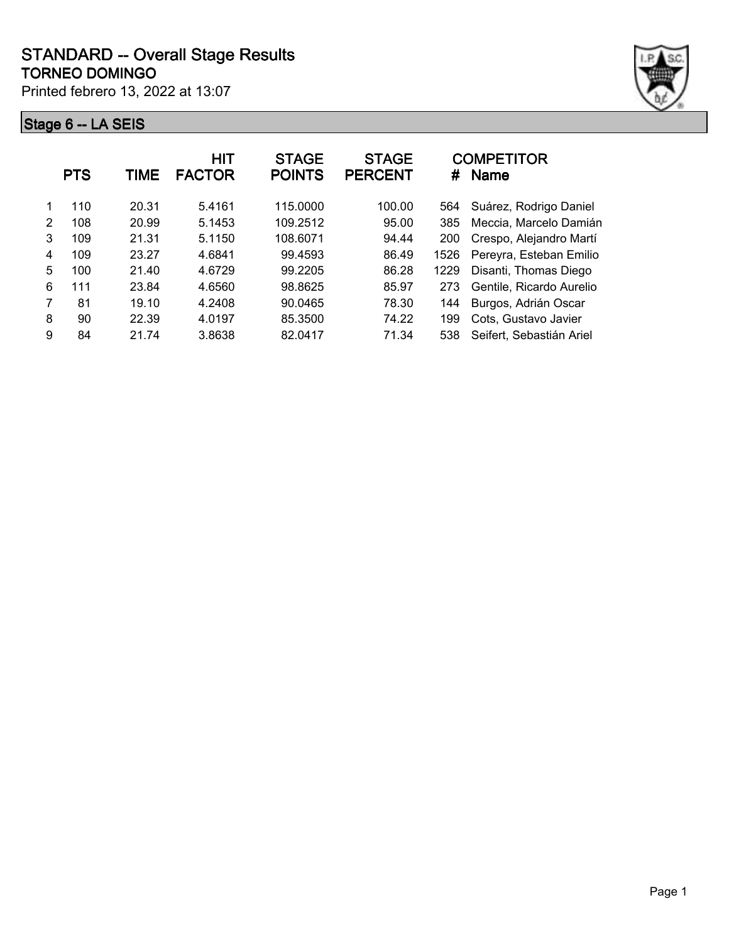

| 110<br>20.31<br>100.00<br>Suárez, Rodrigo Daniel<br>5.4161<br>115.0000<br>564                 |  |
|-----------------------------------------------------------------------------------------------|--|
| 20.99<br>$\mathcal{P}$<br>108<br>109.2512<br>95.00<br>Meccia, Marcelo Damián<br>5.1453<br>385 |  |
| 3<br>109<br>21.31<br>5.1150<br>108.6071<br>Crespo, Alejandro Martí<br>94.44<br>200            |  |
| Pereyra, Esteban Emilio<br>109<br>99.4593<br>86.49<br>23.27<br>4.6841<br>1526<br>4            |  |
| 5<br>4.6729<br>Disanti, Thomas Diego<br>100<br>21.40<br>99.2205<br>86.28<br>1229              |  |
| 6<br>23.84<br>4.6560<br>85.97<br>111<br>98.8625<br>Gentile, Ricardo Aurelio<br>273            |  |
| 81<br>90.0465<br>78.30<br>19.10<br>4.2408<br>Burgos, Adrián Oscar<br>144                      |  |
| 8<br>90<br>22.39<br>4.0197<br>74.22<br>85.3500<br>Cots, Gustavo Javier<br>199                 |  |
| 9<br>84<br>3.8638<br>71.34<br>Seifert, Sebastián Ariel<br>21.74<br>82.0417<br>538             |  |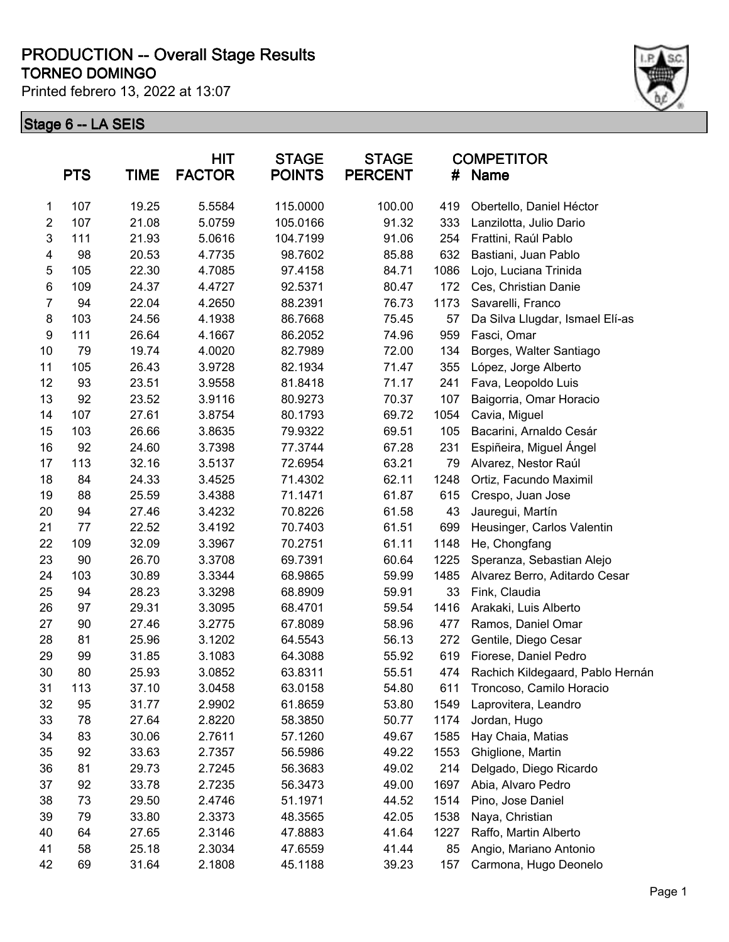#### **TORNEO DOMINGO PRODUCTION -- Overall Stage Results**

Printed febrero 13, 2022 at 13:07



|                | <b>PTS</b> | TIME  | <b>HIT</b><br><b>FACTOR</b> | <b>STAGE</b><br><b>POINTS</b> | <b>STAGE</b><br><b>PERCENT</b> | #    | <b>COMPETITOR</b><br>Name        |
|----------------|------------|-------|-----------------------------|-------------------------------|--------------------------------|------|----------------------------------|
| 1              | 107        | 19.25 | 5.5584                      | 115.0000                      | 100.00                         | 419  | Obertello, Daniel Héctor         |
| $\overline{2}$ | 107        | 21.08 | 5.0759                      | 105.0166                      | 91.32                          | 333  | Lanzilotta, Julio Dario          |
| 3              | 111        | 21.93 | 5.0616                      | 104.7199                      | 91.06                          | 254  | Frattini, Raúl Pablo             |
| 4              | 98         | 20.53 | 4.7735                      | 98.7602                       | 85.88                          | 632  | Bastiani, Juan Pablo             |
| 5              | 105        | 22.30 | 4.7085                      | 97.4158                       | 84.71                          | 1086 | Lojo, Luciana Trinida            |
| 6              | 109        | 24.37 | 4.4727                      | 92.5371                       | 80.47                          | 172  | Ces, Christian Danie             |
| $\overline{7}$ | 94         | 22.04 | 4.2650                      | 88.2391                       | 76.73                          | 1173 | Savarelli, Franco                |
| 8              | 103        | 24.56 | 4.1938                      | 86.7668                       | 75.45                          | 57   | Da Silva Llugdar, Ismael Elí-as  |
| 9              | 111        | 26.64 | 4.1667                      | 86.2052                       | 74.96                          | 959  | Fasci, Omar                      |
| 10             | 79         | 19.74 | 4.0020                      | 82.7989                       | 72.00                          | 134  | Borges, Walter Santiago          |
| 11             | 105        | 26.43 | 3.9728                      | 82.1934                       | 71.47                          | 355  | López, Jorge Alberto             |
| 12             | 93         | 23.51 | 3.9558                      | 81.8418                       | 71.17                          | 241  | Fava, Leopoldo Luis              |
| 13             | 92         | 23.52 | 3.9116                      | 80.9273                       | 70.37                          | 107  | Baigorria, Omar Horacio          |
| 14             | 107        | 27.61 | 3.8754                      | 80.1793                       | 69.72                          | 1054 | Cavia, Miguel                    |
| 15             | 103        | 26.66 | 3.8635                      | 79.9322                       | 69.51                          | 105  | Bacarini, Arnaldo Cesár          |
| 16             | 92         | 24.60 | 3.7398                      | 77.3744                       | 67.28                          | 231  | Espiñeira, Miguel Ángel          |
| 17             | 113        | 32.16 | 3.5137                      | 72.6954                       | 63.21                          | 79   | Alvarez, Nestor Raúl             |
| 18             | 84         | 24.33 | 3.4525                      | 71.4302                       | 62.11                          | 1248 | Ortiz, Facundo Maximil           |
| 19             | 88         | 25.59 | 3.4388                      | 71.1471                       | 61.87                          | 615  | Crespo, Juan Jose                |
| 20             | 94         | 27.46 | 3.4232                      | 70.8226                       | 61.58                          | 43   | Jauregui, Martín                 |
| 21             | 77         | 22.52 | 3.4192                      | 70.7403                       | 61.51                          | 699  | Heusinger, Carlos Valentin       |
| 22             | 109        | 32.09 | 3.3967                      | 70.2751                       | 61.11                          | 1148 | He, Chongfang                    |
| 23             | 90         | 26.70 | 3.3708                      | 69.7391                       | 60.64                          | 1225 | Speranza, Sebastian Alejo        |
| 24             | 103        | 30.89 | 3.3344                      | 68.9865                       | 59.99                          | 1485 | Alvarez Berro, Aditardo Cesar    |
| 25             | 94         | 28.23 | 3.3298                      | 68.8909                       | 59.91                          | 33   | Fink, Claudia                    |
| 26             | 97         | 29.31 | 3.3095                      | 68.4701                       | 59.54                          | 1416 | Arakaki, Luis Alberto            |
| 27             | 90         | 27.46 | 3.2775                      | 67.8089                       | 58.96                          | 477  | Ramos, Daniel Omar               |
| 28             | 81         | 25.96 | 3.1202                      | 64.5543                       | 56.13                          | 272  | Gentile, Diego Cesar             |
| 29             | 99         | 31.85 | 3.1083                      | 64.3088                       | 55.92                          | 619  | Fiorese, Daniel Pedro            |
| 30             | 80         | 25.93 | 3.0852                      | 63.8311                       | 55.51                          | 474  | Rachich Kildegaard, Pablo Hernán |
| 31             | 113        | 37.10 | 3.0458                      | 63.0158                       | 54.80                          | 611  | Troncoso, Camilo Horacio         |
| 32             | 95         | 31.77 | 2.9902                      | 61.8659                       | 53.80                          | 1549 | Laprovitera, Leandro             |
| 33             | 78         | 27.64 | 2.8220                      | 58.3850                       | 50.77                          | 1174 | Jordan, Hugo                     |
| 34             | 83         | 30.06 | 2.7611                      | 57.1260                       | 49.67                          | 1585 | Hay Chaia, Matias                |
| 35             | 92         | 33.63 | 2.7357                      | 56.5986                       | 49.22                          | 1553 | Ghiglione, Martin                |
| 36             | 81         | 29.73 | 2.7245                      | 56.3683                       | 49.02                          | 214  | Delgado, Diego Ricardo           |
| 37             | 92         | 33.78 | 2.7235                      | 56.3473                       | 49.00                          | 1697 | Abia, Alvaro Pedro               |
| 38             | 73         | 29.50 | 2.4746                      | 51.1971                       | 44.52                          | 1514 | Pino, Jose Daniel                |
| 39             | 79         | 33.80 | 2.3373                      | 48.3565                       | 42.05                          | 1538 | Naya, Christian                  |
| 40             | 64         | 27.65 | 2.3146                      | 47.8883                       | 41.64                          | 1227 | Raffo, Martin Alberto            |
| 41             | 58         | 25.18 | 2.3034                      | 47.6559                       | 41.44                          | 85   | Angio, Mariano Antonio           |
| 42             | 69         | 31.64 | 2.1808                      | 45.1188                       | 39.23                          | 157  | Carmona, Hugo Deonelo            |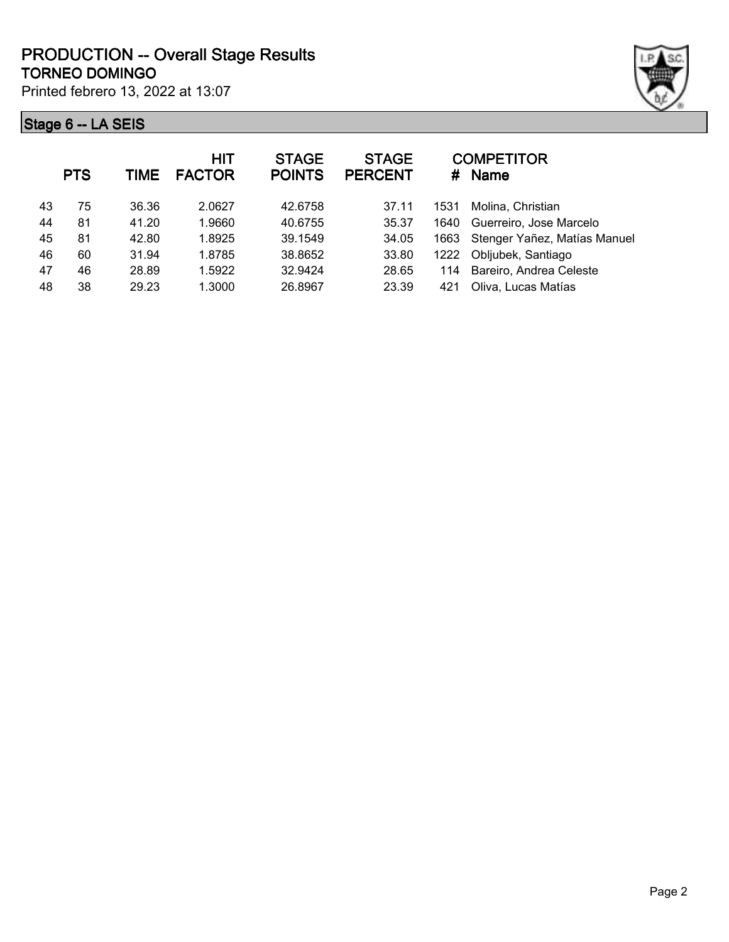

|    | <b>PTS</b> | TIME  | HIT<br><b>FACTOR</b> | <b>STAGE</b><br><b>POINTS</b> | <b>STAGE</b><br><b>PERCENT</b> | #    | <b>COMPETITOR</b><br><b>Name</b> |
|----|------------|-------|----------------------|-------------------------------|--------------------------------|------|----------------------------------|
| 43 | 75         | 36.36 | 2.0627               | 42.6758                       | 37.11                          | 1531 | Molina, Christian                |
| 44 | 81         | 41.20 | 1.9660               | 40.6755                       | 35.37                          | 1640 | Guerreiro, Jose Marcelo          |
| 45 | 81         | 42.80 | 1.8925               | 39.1549                       | 34.05                          | 1663 | Stenger Yañez, Matías Manuel     |
| 46 | 60         | 31.94 | 1.8785               | 38.8652                       | 33.80                          | 1222 | Obljubek, Santiago               |
| 47 | 46         | 28.89 | 1.5922               | 32.9424                       | 28.65                          | 114  | Bareiro, Andrea Celeste          |
| 48 | 38         | 29.23 | 1.3000               | 26.8967                       | 23.39                          | 421  | Oliva, Lucas Matías              |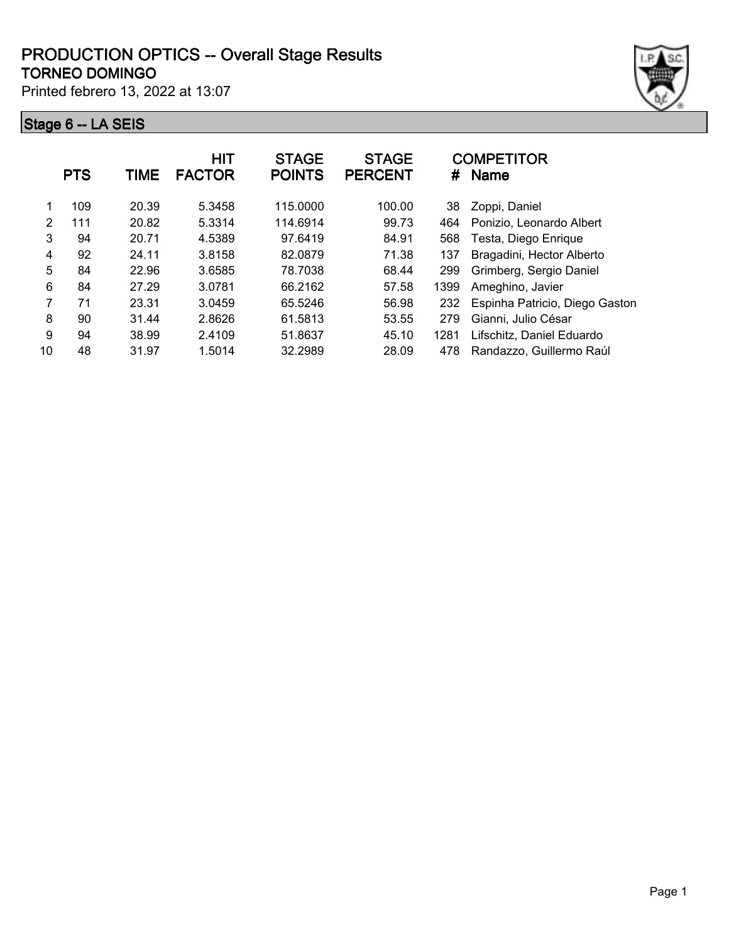#### **TORNEO DOMINGO PRODUCTION OPTICS -- Overall Stage Results**

Printed febrero 13, 2022 at 13:07



|    | <b>PTS</b> | TIME  | <b>HIT</b><br><b>FACTOR</b> | <b>STAGE</b><br><b>POINTS</b> | <b>STAGE</b><br><b>PERCENT</b> | #    | <b>COMPETITOR</b><br><b>Name</b> |
|----|------------|-------|-----------------------------|-------------------------------|--------------------------------|------|----------------------------------|
|    | 109        | 20.39 | 5.3458                      | 115.0000                      | 100.00                         | 38   | Zoppi, Daniel                    |
| 2  | 111        | 20.82 | 5.3314                      | 114.6914                      | 99.73                          | 464  | Ponizio, Leonardo Albert         |
| 3  | 94         | 20.71 | 4.5389                      | 97.6419                       | 84.91                          | 568  | Testa, Diego Enrique             |
| 4  | 92         | 24.11 | 3.8158                      | 82.0879                       | 71.38                          | 137  | Bragadini, Hector Alberto        |
| 5  | 84         | 22.96 | 3.6585                      | 78.7038                       | 68.44                          | 299  | Grimberg, Sergio Daniel          |
| 6  | 84         | 27.29 | 3.0781                      | 66.2162                       | 57.58                          | 1399 | Ameghino, Javier                 |
| 7  | 71         | 23.31 | 3.0459                      | 65.5246                       | 56.98                          | 232  | Espinha Patricio, Diego Gaston   |
| 8  | 90         | 31.44 | 2.8626                      | 61.5813                       | 53.55                          | 279  | Gianni, Julio César              |
| 9  | 94         | 38.99 | 2.4109                      | 51.8637                       | 45.10                          | 1281 | Lifschitz, Daniel Eduardo        |
| 10 | 48         | 31.97 | 1.5014                      | 32.2989                       | 28.09                          | 478  | Randazzo, Guillermo Raúl         |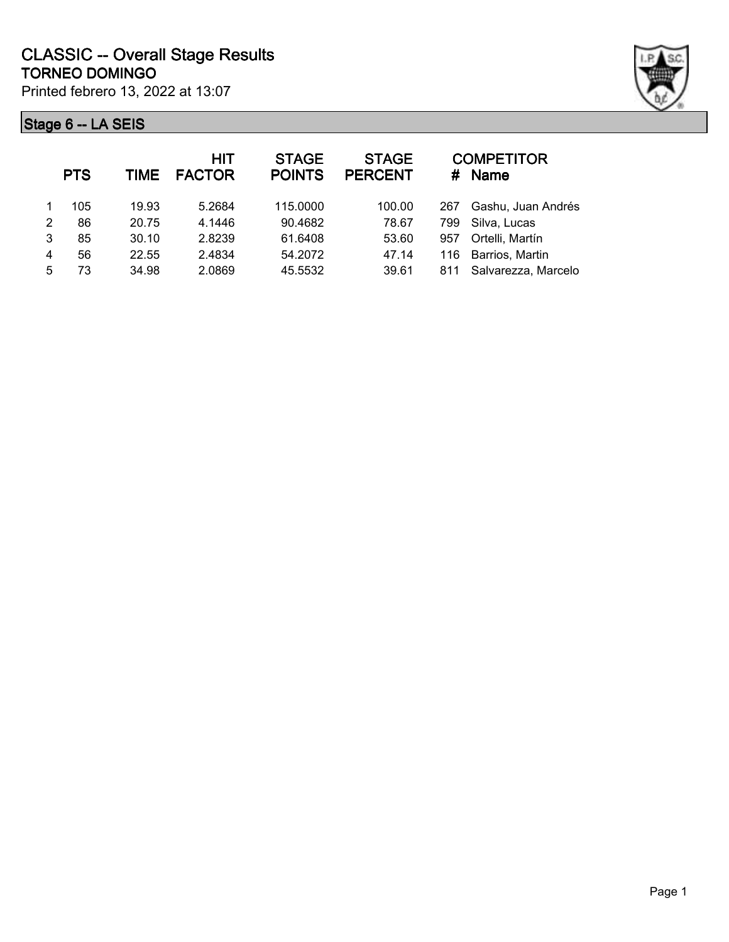

|   | <b>PTS</b> | TIME  | HIT<br><b>FACTOR</b> | <b>STAGE</b><br><b>POINTS</b> | <b>STAGE</b><br><b>PERCENT</b> |     | <b>COMPETITOR</b><br>$#$ Name |
|---|------------|-------|----------------------|-------------------------------|--------------------------------|-----|-------------------------------|
|   | 105        | 19.93 | 5.2684               | 115,0000                      | 100.00                         | 267 | Gashu, Juan Andrés            |
| 2 | 86         | 20.75 | 4.1446               | 90.4682                       | 78.67                          | 799 | Silva, Lucas                  |
| 3 | 85         | 30.10 | 2.8239               | 61.6408                       | 53.60                          | 957 | Ortelli, Martín               |
| 4 | 56         | 22.55 | 2.4834               | 54.2072                       | 47.14                          | 116 | Barrios, Martin               |
| 5 | 73         | 34.98 | 2.0869               | 45.5532                       | 39.61                          | 811 | Salvarezza, Marcelo           |
|   |            |       |                      |                               |                                |     |                               |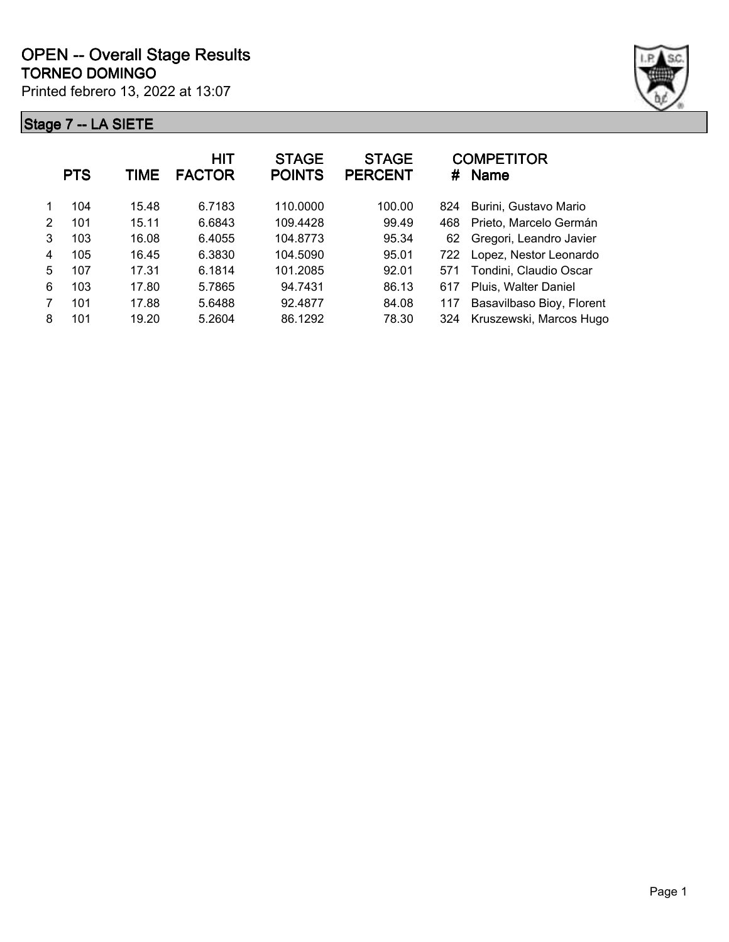

|   | <b>PTS</b> | TIME  | <b>HIT</b><br><b>FACTOR</b> | <b>STAGE</b><br><b>POINTS</b> | <b>STAGE</b><br><b>PERCENT</b> | #   | <b>COMPETITOR</b><br><b>Name</b> |
|---|------------|-------|-----------------------------|-------------------------------|--------------------------------|-----|----------------------------------|
|   | 104        | 15.48 | 6.7183                      | 110,0000                      | 100.00                         | 824 | Burini, Gustavo Mario            |
| 2 | 101        | 15.11 | 6.6843                      | 109.4428                      | 99.49                          | 468 | Prieto, Marcelo Germán           |
| 3 | 103        | 16.08 | 6.4055                      | 104.8773                      | 95.34                          | 62  | Gregori, Leandro Javier          |
| 4 | 105        | 16.45 | 6.3830                      | 104.5090                      | 95.01                          | 722 | Lopez, Nestor Leonardo           |
| 5 | 107        | 17.31 | 6.1814                      | 101.2085                      | 92.01                          | 571 | Tondini, Claudio Oscar           |
| 6 | 103        | 17.80 | 5.7865                      | 94.7431                       | 86.13                          | 617 | Pluis, Walter Daniel             |
| 7 | 101        | 17.88 | 5.6488                      | 92.4877                       | 84.08                          | 117 | Basavilbaso Bioy, Florent        |
| 8 | 101        | 19.20 | 5.2604                      | 86.1292                       | 78.30                          | 324 | Kruszewski, Marcos Hugo          |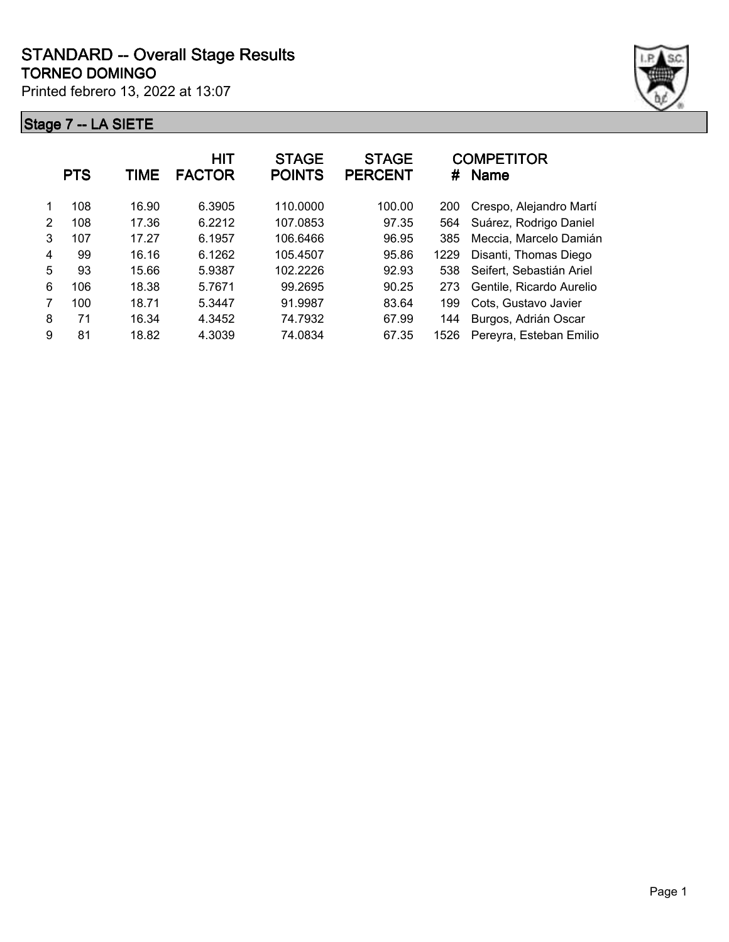

|               | <b>PTS</b> | TIME  | <b>HIT</b><br><b>FACTOR</b> | <b>STAGE</b><br><b>POINTS</b> | <b>STAGE</b><br><b>PERCENT</b> | #    | <b>COMPETITOR</b><br><b>Name</b> |
|---------------|------------|-------|-----------------------------|-------------------------------|--------------------------------|------|----------------------------------|
|               | 108        | 16.90 | 6.3905                      | 110.0000                      | 100.00                         | 200  | Crespo, Alejandro Martí          |
| $\mathcal{P}$ | 108        | 17.36 | 6.2212                      | 107.0853                      | 97.35                          | 564  | Suárez, Rodrigo Daniel           |
| 3             | 107        | 17.27 | 6.1957                      | 106.6466                      | 96.95                          | 385  | Meccia, Marcelo Damián           |
| 4             | 99         | 16.16 | 6.1262                      | 105.4507                      | 95.86                          | 1229 | Disanti, Thomas Diego            |
| 5             | 93         | 15.66 | 5.9387                      | 102.2226                      | 92.93                          | 538  | Seifert, Sebastián Ariel         |
| 6             | 106        | 18.38 | 5.7671                      | 99.2695                       | 90.25                          | 273  | Gentile, Ricardo Aurelio         |
| 7             | 100        | 18.71 | 5.3447                      | 91.9987                       | 83.64                          | 199  | Cots. Gustavo Javier             |
| 8             | 71         | 16.34 | 4.3452                      | 74.7932                       | 67.99                          | 144  | Burgos, Adrián Oscar             |
| 9             | 81         | 18.82 | 4.3039                      | 74.0834                       | 67.35                          | 1526 | Pereyra, Esteban Emilio          |
|               |            |       |                             |                               |                                |      |                                  |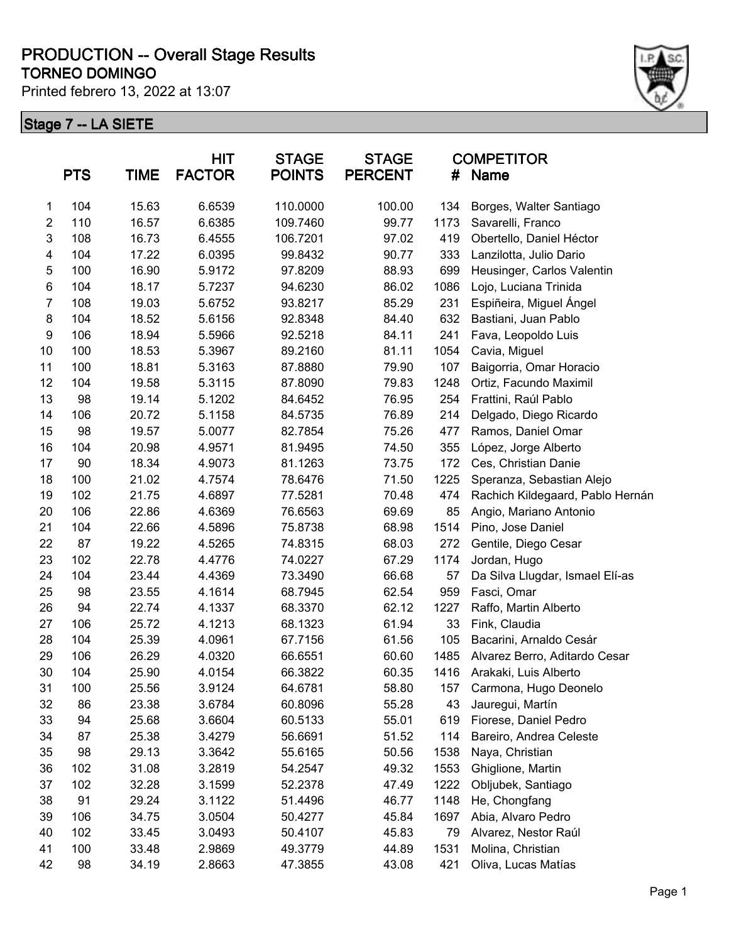#### **TORNEO DOMINGO PRODUCTION -- Overall Stage Results**

Printed febrero 13, 2022 at 13:07



|         | <b>PTS</b> | <b>TIME</b> | <b>HIT</b><br><b>FACTOR</b> | <b>STAGE</b><br><b>POINTS</b> | <b>STAGE</b><br><b>PERCENT</b> | #    | <b>COMPETITOR</b><br><b>Name</b> |
|---------|------------|-------------|-----------------------------|-------------------------------|--------------------------------|------|----------------------------------|
| 1       | 104        | 15.63       | 6.6539                      | 110.0000                      | 100.00                         | 134  | Borges, Walter Santiago          |
| 2       | 110        | 16.57       | 6.6385                      | 109.7460                      | 99.77                          | 1173 | Savarelli, Franco                |
| 3       | 108        | 16.73       | 6.4555                      | 106.7201                      | 97.02                          | 419  | Obertello, Daniel Héctor         |
| 4       | 104        | 17.22       | 6.0395                      | 99.8432                       | 90.77                          | 333  | Lanzilotta, Julio Dario          |
| 5       | 100        | 16.90       | 5.9172                      | 97.8209                       | 88.93                          | 699  | Heusinger, Carlos Valentin       |
| $\,6$   | 104        | 18.17       | 5.7237                      | 94.6230                       | 86.02                          | 1086 | Lojo, Luciana Trinida            |
| 7       | 108        | 19.03       | 5.6752                      | 93.8217                       | 85.29                          | 231  | Espiñeira, Miguel Ángel          |
| $\bf 8$ | 104        | 18.52       | 5.6156                      | 92.8348                       | 84.40                          | 632  | Bastiani, Juan Pablo             |
| 9       | 106        | 18.94       | 5.5966                      | 92.5218                       | 84.11                          | 241  | Fava, Leopoldo Luis              |
| 10      | 100        | 18.53       | 5.3967                      | 89.2160                       | 81.11                          | 1054 | Cavia, Miguel                    |
| 11      | 100        | 18.81       | 5.3163                      | 87.8880                       | 79.90                          | 107  | Baigorria, Omar Horacio          |
| 12      | 104        | 19.58       | 5.3115                      | 87.8090                       | 79.83                          | 1248 | Ortiz, Facundo Maximil           |
| 13      | 98         | 19.14       | 5.1202                      | 84.6452                       | 76.95                          | 254  | Frattini, Raúl Pablo             |
| 14      | 106        | 20.72       | 5.1158                      | 84.5735                       | 76.89                          | 214  | Delgado, Diego Ricardo           |
| 15      | 98         | 19.57       | 5.0077                      | 82.7854                       | 75.26                          | 477  | Ramos, Daniel Omar               |
| 16      | 104        | 20.98       | 4.9571                      | 81.9495                       | 74.50                          | 355  | López, Jorge Alberto             |
| 17      | 90         | 18.34       | 4.9073                      | 81.1263                       | 73.75                          | 172  | Ces, Christian Danie             |
| 18      | 100        | 21.02       | 4.7574                      | 78.6476                       | 71.50                          | 1225 | Speranza, Sebastian Alejo        |
| 19      | 102        | 21.75       | 4.6897                      | 77.5281                       | 70.48                          | 474  | Rachich Kildegaard, Pablo Hernán |
| 20      | 106        | 22.86       | 4.6369                      | 76.6563                       | 69.69                          | 85   | Angio, Mariano Antonio           |
| 21      | 104        | 22.66       | 4.5896                      | 75.8738                       | 68.98                          | 1514 | Pino, Jose Daniel                |
| 22      | 87         | 19.22       | 4.5265                      | 74.8315                       | 68.03                          | 272  | Gentile, Diego Cesar             |
| 23      | 102        | 22.78       | 4.4776                      | 74.0227                       | 67.29                          | 1174 | Jordan, Hugo                     |
| 24      | 104        | 23.44       | 4.4369                      | 73.3490                       | 66.68                          | 57   | Da Silva Llugdar, Ismael Elí-as  |
| 25      | 98         | 23.55       | 4.1614                      | 68.7945                       | 62.54                          | 959  | Fasci, Omar                      |
| 26      | 94         | 22.74       | 4.1337                      | 68.3370                       | 62.12                          | 1227 | Raffo, Martin Alberto            |
| 27      | 106        | 25.72       | 4.1213                      | 68.1323                       | 61.94                          | 33   | Fink, Claudia                    |
| 28      | 104        | 25.39       | 4.0961                      | 67.7156                       | 61.56                          | 105  | Bacarini, Arnaldo Cesár          |
| 29      | 106        | 26.29       | 4.0320                      | 66.6551                       | 60.60                          | 1485 | Alvarez Berro, Aditardo Cesar    |
| 30      | 104        | 25.90       | 4.0154                      | 66.3822                       | 60.35                          | 1416 | Arakaki, Luis Alberto            |
| 31      | 100        | 25.56       | 3.9124                      | 64.6781                       | 58.80                          | 157  | Carmona, Hugo Deonelo            |
| 32      | 86         | 23.38       | 3.6784                      | 60.8096                       | 55.28                          | 43   | Jauregui, Martín                 |
| 33      | 94         | 25.68       | 3.6604                      | 60.5133                       | 55.01                          | 619  | Fiorese, Daniel Pedro            |
| 34      | 87         | 25.38       | 3.4279                      | 56.6691                       | 51.52                          | 114  | Bareiro, Andrea Celeste          |
| 35      | 98         | 29.13       | 3.3642                      | 55.6165                       | 50.56                          | 1538 | Naya, Christian                  |
| 36      | 102        | 31.08       | 3.2819                      | 54.2547                       | 49.32                          | 1553 | Ghiglione, Martin                |
| 37      | 102        | 32.28       | 3.1599                      | 52.2378                       | 47.49                          | 1222 | Obljubek, Santiago               |
| 38      | 91         | 29.24       | 3.1122                      | 51.4496                       | 46.77                          | 1148 | He, Chongfang                    |
| 39      | 106        | 34.75       | 3.0504                      | 50.4277                       | 45.84                          | 1697 | Abia, Alvaro Pedro               |
| 40      | 102        | 33.45       | 3.0493                      | 50.4107                       | 45.83                          | 79   | Alvarez, Nestor Raúl             |
| 41      | 100        | 33.48       | 2.9869                      | 49.3779                       | 44.89                          | 1531 | Molina, Christian                |
| 42      | 98         | 34.19       | 2.8663                      | 47.3855                       | 43.08                          | 421  | Oliva, Lucas Matías              |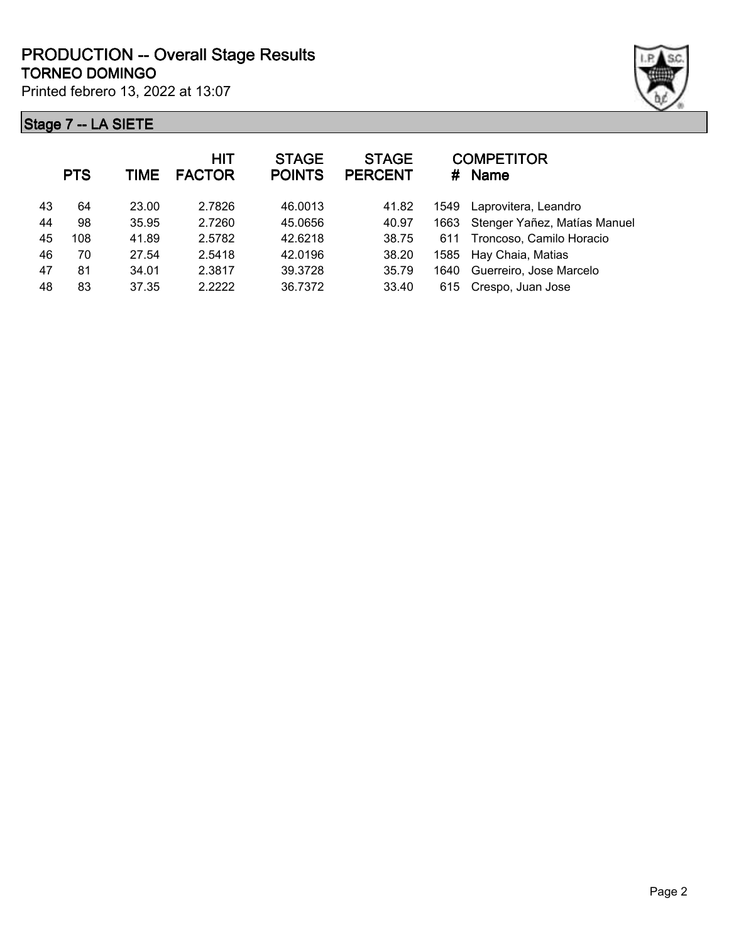

|    | <b>PTS</b> | <b>TIME</b> | <b>HIT</b><br><b>FACTOR</b> | <b>STAGE</b><br><b>POINTS</b> | <b>STAGE</b><br><b>PERCENT</b> | #    | <b>COMPETITOR</b><br>Name    |
|----|------------|-------------|-----------------------------|-------------------------------|--------------------------------|------|------------------------------|
| 43 | 64         | 23.00       | 2.7826                      | 46.0013                       | 41.82                          | 1549 | Laprovitera, Leandro         |
| 44 | 98         | 35.95       | 2.7260                      | 45.0656                       | 40.97                          | 1663 | Stenger Yañez, Matías Manuel |
| 45 | 108        | 41.89       | 2.5782                      | 42.6218                       | 38.75                          | 611  | Troncoso, Camilo Horacio     |
| 46 | 70         | 27.54       | 2.5418                      | 42.0196                       | 38.20                          | 1585 | Hay Chaia, Matias            |
| 47 | 81         | 34.01       | 2.3817                      | 39.3728                       | 35.79                          | 1640 | Guerreiro, Jose Marcelo      |
| 48 | 83         | 37.35       | 2.2222                      | 36.7372                       | 33.40                          | 615  | Crespo, Juan Jose            |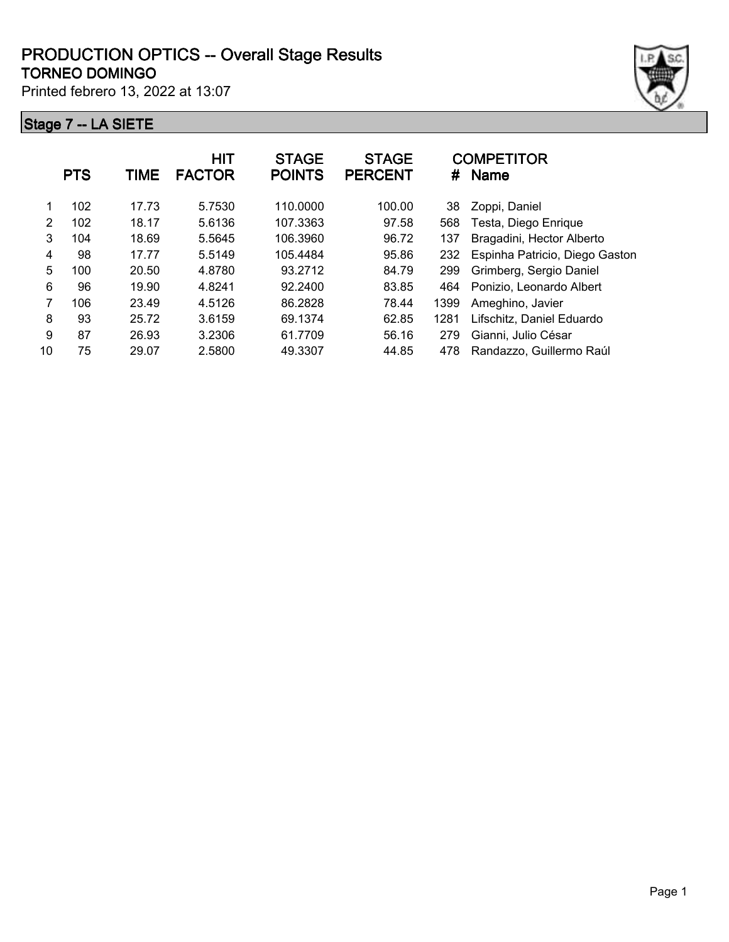

|    | <b>PTS</b> | TIME  | <b>HIT</b><br><b>FACTOR</b> | <b>STAGE</b><br><b>POINTS</b> | <b>STAGE</b><br><b>PERCENT</b> | #    | <b>COMPETITOR</b><br><b>Name</b> |
|----|------------|-------|-----------------------------|-------------------------------|--------------------------------|------|----------------------------------|
| 1  | 102        | 17.73 | 5.7530                      | 110.0000                      | 100.00                         | 38   | Zoppi, Daniel                    |
| 2  | 102        | 18.17 | 5.6136                      | 107.3363                      | 97.58                          | 568  | Testa, Diego Enrique             |
| 3  | 104        | 18.69 | 5.5645                      | 106.3960                      | 96.72                          | 137  | Bragadini, Hector Alberto        |
| 4  | 98         | 17.77 | 5.5149                      | 105.4484                      | 95.86                          | 232  | Espinha Patricio, Diego Gaston   |
| 5  | 100        | 20.50 | 4.8780                      | 93.2712                       | 84.79                          | 299  | Grimberg, Sergio Daniel          |
| 6  | 96         | 19.90 | 4.8241                      | 92.2400                       | 83.85                          | 464  | Ponizio, Leonardo Albert         |
| 7  | 106        | 23.49 | 4.5126                      | 86.2828                       | 78.44                          | 1399 | Ameghino, Javier                 |
| 8  | 93         | 25.72 | 3.6159                      | 69.1374                       | 62.85                          | 1281 | Lifschitz, Daniel Eduardo        |
| 9  | 87         | 26.93 | 3.2306                      | 61.7709                       | 56.16                          | 279  | Gianni, Julio César              |
| 10 | 75         | 29.07 | 2.5800                      | 49.3307                       | 44.85                          | 478  | Randazzo, Guillermo Raúl         |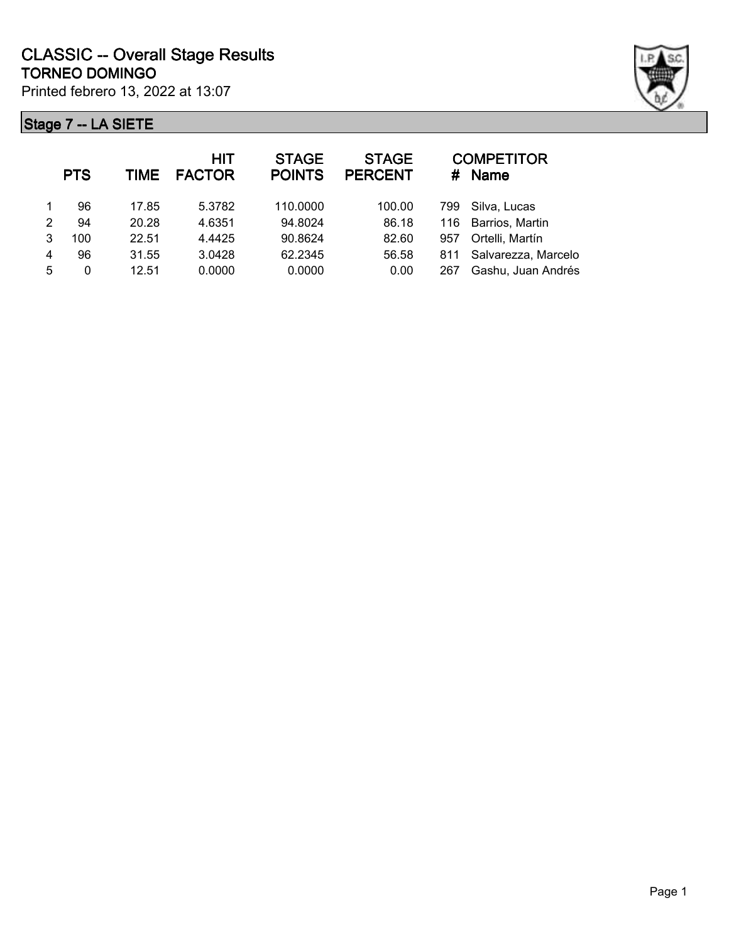

|                | <b>PTS</b> | TIME  | <b>HIT</b><br><b>FACTOR</b> | <b>STAGE</b><br><b>POINTS</b> | <b>STAGE</b><br><b>PERCENT</b> | #   | <b>COMPETITOR</b><br><b>Name</b> |
|----------------|------------|-------|-----------------------------|-------------------------------|--------------------------------|-----|----------------------------------|
|                | 96         | 17.85 | 5.3782                      | 110.0000                      | 100.00                         | 799 | Silva, Lucas                     |
| $\mathfrak{p}$ | 94         | 20.28 | 4.6351                      | 94.8024                       | 86.18                          |     | 116 Barrios, Martin              |
| 3              | 100        | 22.51 | 4.4425                      | 90.8624                       | 82.60                          | 957 | Ortelli, Martín                  |
| 4              | 96         | 31.55 | 3.0428                      | 62.2345                       | 56.58                          | 811 | Salvarezza, Marcelo              |
| 5              | 0          | 12.51 | 0.0000                      | 0.0000                        | 0.00                           | 267 | Gashu, Juan Andrés               |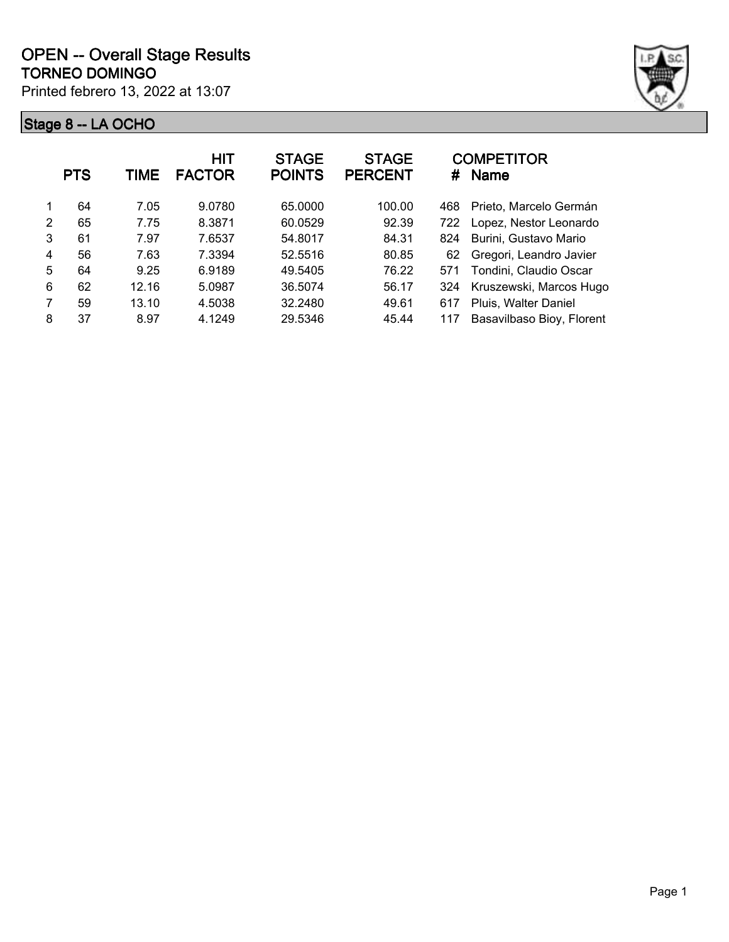|   | <b>PTS</b> | TIME  | <b>HIT</b><br><b>FACTOR</b> | <b>STAGE</b><br><b>POINTS</b> | <b>STAGE</b><br><b>PERCENT</b> | #   | <b>COMPETITOR</b><br><b>Name</b> |
|---|------------|-------|-----------------------------|-------------------------------|--------------------------------|-----|----------------------------------|
|   | 64         | 7.05  | 9.0780                      | 65,0000                       | 100.00                         | 468 | Prieto, Marcelo Germán           |
| 2 | 65         | 7.75  | 8.3871                      | 60.0529                       | 92.39                          | 722 | Lopez, Nestor Leonardo           |
| 3 | 61         | 7.97  | 7.6537                      | 54.8017                       | 84.31                          | 824 | Burini, Gustavo Mario            |
| 4 | 56         | 7.63  | 7.3394                      | 52.5516                       | 80.85                          | 62  | Gregori, Leandro Javier          |
| 5 | 64         | 9.25  | 6.9189                      | 49.5405                       | 76.22                          | 571 | Tondini, Claudio Oscar           |
| 6 | 62         | 12.16 | 5.0987                      | 36.5074                       | 56.17                          | 324 | Kruszewski, Marcos Hugo          |
| 7 | 59         | 13.10 | 4.5038                      | 32.2480                       | 49.61                          | 617 | Pluis, Walter Daniel             |
| 8 | 37         | 8.97  | 4.1249                      | 29.5346                       | 45.44                          | 117 | Basavilbaso Bioy, Florent        |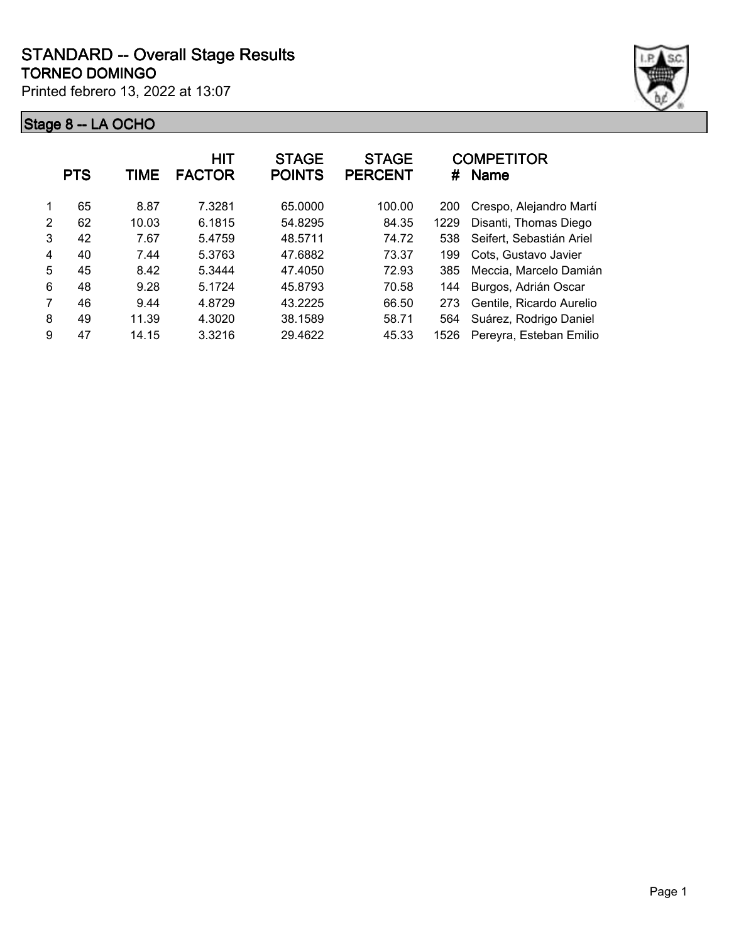

|   | <b>PTS</b> | TIME  | HIT<br><b>FACTOR</b> | <b>STAGE</b><br><b>POINTS</b> | <b>STAGE</b><br><b>PERCENT</b> | #    | <b>COMPETITOR</b><br><b>Name</b> |
|---|------------|-------|----------------------|-------------------------------|--------------------------------|------|----------------------------------|
|   | 65         | 8.87  | 7.3281               | 65.0000                       | 100.00                         | 200  | Crespo, Alejandro Martí          |
| 2 | 62         | 10.03 | 6.1815               | 54.8295                       | 84.35                          | 1229 | Disanti, Thomas Diego            |
| 3 | 42         | 7.67  | 5.4759               | 48.5711                       | 74.72                          | 538  | Seifert, Sebastián Ariel         |
| 4 | 40         | 7.44  | 5.3763               | 47.6882                       | 73.37                          | 199  | Cots. Gustavo Javier             |
| 5 | 45         | 8.42  | 5.3444               | 47.4050                       | 72.93                          | 385  | Meccia, Marcelo Damián           |
| 6 | 48         | 9.28  | 5.1724               | 45.8793                       | 70.58                          | 144  | Burgos, Adrián Oscar             |
| 7 | 46         | 9.44  | 4.8729               | 43.2225                       | 66.50                          | 273  | Gentile, Ricardo Aurelio         |
| 8 | 49         | 11.39 | 4.3020               | 38.1589                       | 58.71                          | 564  | Suárez, Rodrigo Daniel           |
| 9 | 47         | 14.15 | 3.3216               | 29.4622                       | 45.33                          | 1526 | Pereyra, Esteban Emilio          |
|   |            |       |                      |                               |                                |      |                                  |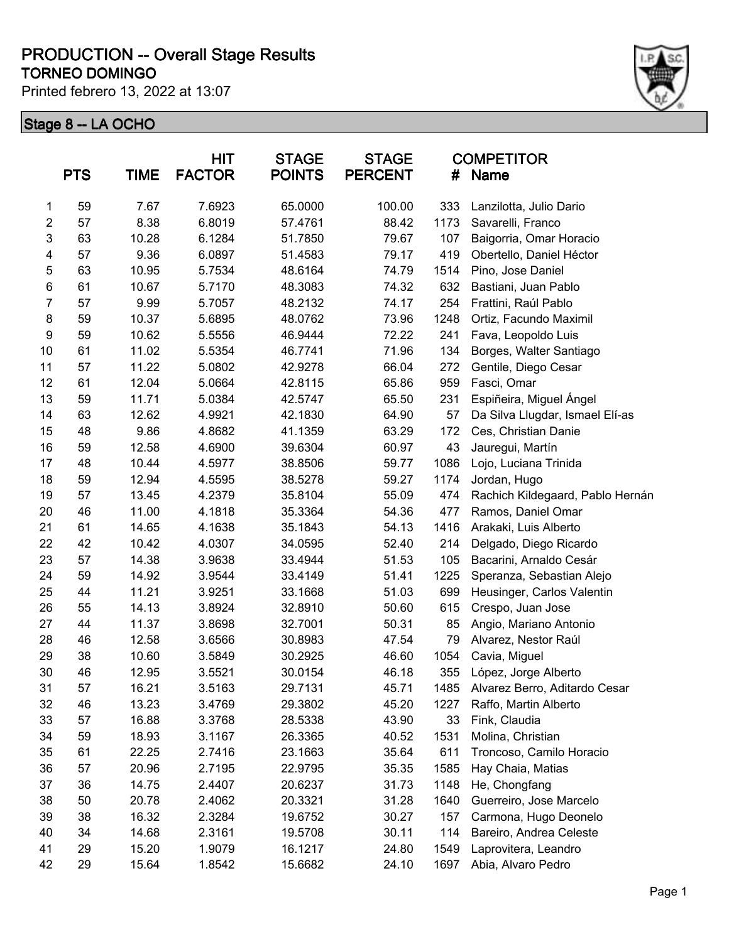#### **TORNEO DOMINGO PRODUCTION -- Overall Stage Results**

Printed febrero 13, 2022 at 13:07



|                | <b>PTS</b> | <b>TIME</b> | <b>HIT</b><br><b>FACTOR</b> | <b>STAGE</b><br><b>POINTS</b> | <b>STAGE</b><br><b>PERCENT</b> | #    | <b>COMPETITOR</b><br><b>Name</b> |
|----------------|------------|-------------|-----------------------------|-------------------------------|--------------------------------|------|----------------------------------|
| 1              | 59         | 7.67        | 7.6923                      | 65.0000                       | 100.00                         | 333  | Lanzilotta, Julio Dario          |
| $\overline{c}$ | 57         | 8.38        | 6.8019                      | 57.4761                       | 88.42                          | 1173 | Savarelli, Franco                |
| 3              | 63         | 10.28       | 6.1284                      | 51.7850                       | 79.67                          | 107  | Baigorria, Omar Horacio          |
| 4              | 57         | 9.36        | 6.0897                      | 51.4583                       | 79.17                          | 419  | Obertello, Daniel Héctor         |
| 5              | 63         | 10.95       | 5.7534                      | 48.6164                       | 74.79                          | 1514 | Pino, Jose Daniel                |
| 6              | 61         | 10.67       | 5.7170                      | 48.3083                       | 74.32                          | 632  | Bastiani, Juan Pablo             |
| $\overline{7}$ | 57         | 9.99        | 5.7057                      | 48.2132                       | 74.17                          | 254  | Frattini, Raúl Pablo             |
| 8              | 59         | 10.37       | 5.6895                      | 48.0762                       | 73.96                          | 1248 | Ortiz, Facundo Maximil           |
| 9              | 59         | 10.62       | 5.5556                      | 46.9444                       | 72.22                          | 241  | Fava, Leopoldo Luis              |
| 10             | 61         | 11.02       | 5.5354                      | 46.7741                       | 71.96                          | 134  | Borges, Walter Santiago          |
| 11             | 57         | 11.22       | 5.0802                      | 42.9278                       | 66.04                          | 272  | Gentile, Diego Cesar             |
| 12             | 61         | 12.04       | 5.0664                      | 42.8115                       | 65.86                          | 959  | Fasci, Omar                      |
| 13             | 59         | 11.71       | 5.0384                      | 42.5747                       | 65.50                          | 231  | Espiñeira, Miguel Ángel          |
| 14             | 63         | 12.62       | 4.9921                      | 42.1830                       | 64.90                          | 57   | Da Silva Llugdar, Ismael Elí-as  |
| 15             | 48         | 9.86        | 4.8682                      | 41.1359                       | 63.29                          | 172  | Ces, Christian Danie             |
| 16             | 59         | 12.58       | 4.6900                      | 39.6304                       | 60.97                          | 43   | Jauregui, Martín                 |
| 17             | 48         | 10.44       | 4.5977                      | 38.8506                       | 59.77                          | 1086 | Lojo, Luciana Trinida            |
| 18             | 59         | 12.94       | 4.5595                      | 38.5278                       | 59.27                          | 1174 | Jordan, Hugo                     |
| 19             | 57         | 13.45       | 4.2379                      | 35.8104                       | 55.09                          | 474  | Rachich Kildegaard, Pablo Hernán |
| 20             | 46         | 11.00       | 4.1818                      | 35.3364                       | 54.36                          | 477  | Ramos, Daniel Omar               |
| 21             | 61         | 14.65       | 4.1638                      | 35.1843                       | 54.13                          | 1416 | Arakaki, Luis Alberto            |
| 22             | 42         | 10.42       | 4.0307                      | 34.0595                       | 52.40                          | 214  | Delgado, Diego Ricardo           |
| 23             | 57         | 14.38       | 3.9638                      | 33.4944                       | 51.53                          | 105  | Bacarini, Arnaldo Cesár          |
| 24             | 59         | 14.92       | 3.9544                      | 33.4149                       | 51.41                          | 1225 | Speranza, Sebastian Alejo        |
| 25             | 44         | 11.21       | 3.9251                      | 33.1668                       | 51.03                          | 699  | Heusinger, Carlos Valentin       |
| 26             | 55         | 14.13       | 3.8924                      | 32.8910                       | 50.60                          | 615  | Crespo, Juan Jose                |
| 27             | 44         | 11.37       | 3.8698                      | 32.7001                       | 50.31                          | 85   | Angio, Mariano Antonio           |
| 28             | 46         | 12.58       | 3.6566                      | 30.8983                       | 47.54                          | 79   | Alvarez, Nestor Raúl             |
| 29             | 38         | 10.60       | 3.5849                      | 30.2925                       | 46.60                          | 1054 | Cavia, Miguel                    |
| 30             | 46         | 12.95       | 3.5521                      | 30.0154                       | 46.18                          | 355  | López, Jorge Alberto             |
| 31             | 57         | 16.21       | 3.5163                      | 29.7131                       | 45.71                          | 1485 | Alvarez Berro, Aditardo Cesar    |
| 32             | 46         | 13.23       | 3.4769                      | 29.3802                       | 45.20                          | 1227 | Raffo, Martin Alberto            |
| 33             | 57         | 16.88       | 3.3768                      | 28.5338                       | 43.90                          | 33   | Fink, Claudia                    |
| 34             | 59         | 18.93       | 3.1167                      | 26.3365                       | 40.52                          | 1531 | Molina, Christian                |
| 35             | 61         | 22.25       | 2.7416                      | 23.1663                       | 35.64                          | 611  | Troncoso, Camilo Horacio         |
| 36             | 57         | 20.96       | 2.7195                      | 22.9795                       | 35.35                          | 1585 | Hay Chaia, Matias                |
| 37             | 36         | 14.75       | 2.4407                      | 20.6237                       | 31.73                          | 1148 | He, Chongfang                    |
| 38             | 50         | 20.78       | 2.4062                      | 20.3321                       | 31.28                          | 1640 | Guerreiro, Jose Marcelo          |
| 39             | 38         | 16.32       | 2.3284                      | 19.6752                       | 30.27                          | 157  | Carmona, Hugo Deonelo            |
| 40             | 34         | 14.68       | 2.3161                      | 19.5708                       | 30.11                          | 114  | Bareiro, Andrea Celeste          |
| 41             | 29         | 15.20       | 1.9079                      | 16.1217                       | 24.80                          | 1549 | Laprovitera, Leandro             |
| 42             | 29         | 15.64       | 1.8542                      | 15.6682                       | 24.10                          | 1697 | Abia, Alvaro Pedro               |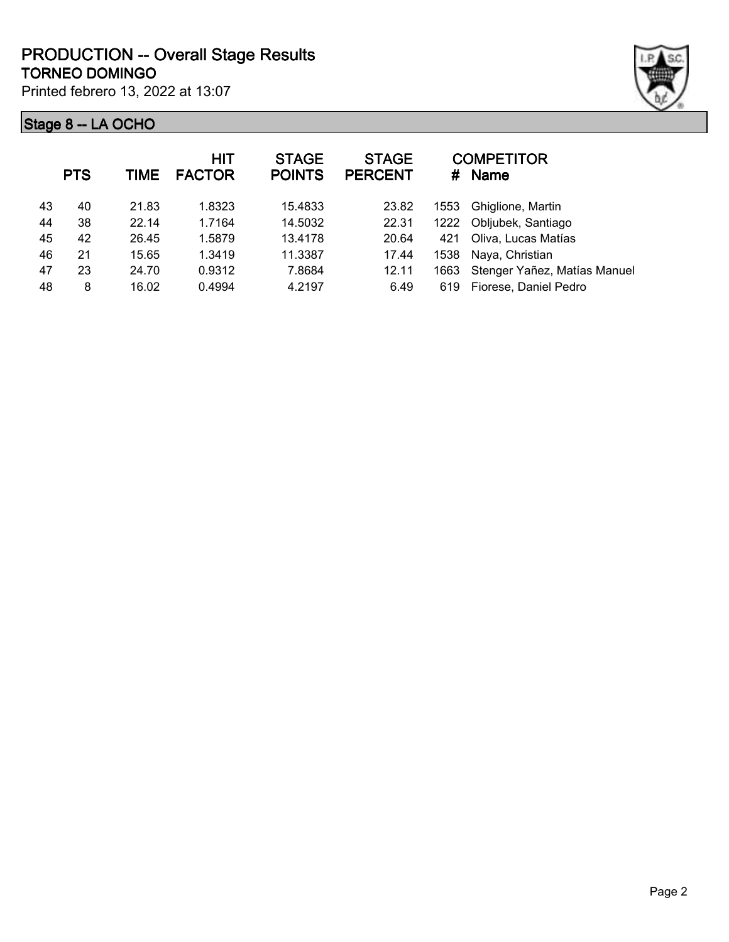|    | <b>PTS</b> | TIME  | <b>HIT</b><br><b>FACTOR</b> | <b>STAGE</b><br><b>POINTS</b> | <b>STAGE</b><br><b>PERCENT</b> | #    | <b>COMPETITOR</b><br><b>Name</b> |
|----|------------|-------|-----------------------------|-------------------------------|--------------------------------|------|----------------------------------|
| 43 | 40         | 21.83 | 1.8323                      | 15.4833                       | 23.82                          | 1553 | Ghiglione, Martin                |
| 44 | 38         | 22.14 | 1.7164                      | 14.5032                       | 22.31                          | 1222 | Obljubek, Santiago               |
| 45 | 42         | 26.45 | 1.5879                      | 13.4178                       | 20.64                          | 421  | Oliva, Lucas Matías              |
| 46 | 21         | 15.65 | 1.3419                      | 11.3387                       | 17.44                          | 1538 | Naya, Christian                  |
| 47 | 23         | 24.70 | 0.9312                      | 7.8684                        | 12.11                          | 1663 | Stenger Yañez, Matías Manuel     |
| 48 | 8          | 16.02 | 0.4994                      | 4.2197                        | 6.49                           | 619  | Fiorese, Daniel Pedro            |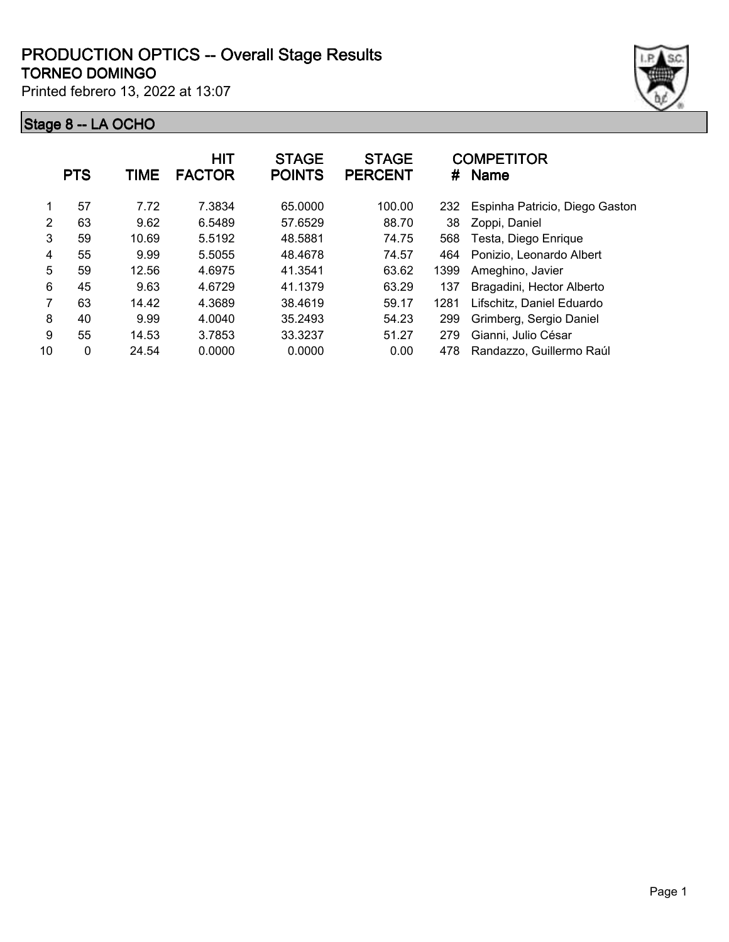

|    | <b>PTS</b> | <b>TIME</b> | <b>HIT</b><br><b>FACTOR</b> | <b>STAGE</b><br><b>POINTS</b> | <b>STAGE</b><br><b>PERCENT</b> | #    | <b>COMPETITOR</b><br>Name      |
|----|------------|-------------|-----------------------------|-------------------------------|--------------------------------|------|--------------------------------|
| 1  | 57         | 7.72        | 7.3834                      | 65.0000                       | 100.00                         | 232  | Espinha Patricio, Diego Gaston |
| 2  | 63         | 9.62        | 6.5489                      | 57.6529                       | 88.70                          | 38   | Zoppi, Daniel                  |
| 3  | 59         | 10.69       | 5.5192                      | 48.5881                       | 74.75                          | 568  | Testa, Diego Enrique           |
| 4  | 55         | 9.99        | 5.5055                      | 48.4678                       | 74.57                          | 464  | Ponizio, Leonardo Albert       |
| 5  | 59         | 12.56       | 4.6975                      | 41.3541                       | 63.62                          | 1399 | Ameghino, Javier               |
| 6  | 45         | 9.63        | 4.6729                      | 41.1379                       | 63.29                          | 137  | Bragadini, Hector Alberto      |
| 7  | 63         | 14.42       | 4.3689                      | 38.4619                       | 59.17                          | 1281 | Lifschitz, Daniel Eduardo      |
| 8  | 40         | 9.99        | 4.0040                      | 35.2493                       | 54.23                          | 299  | Grimberg, Sergio Daniel        |
| 9  | 55         | 14.53       | 3.7853                      | 33.3237                       | 51.27                          | 279  | Gianni, Julio César            |
| 10 | $\Omega$   | 24.54       | 0.0000                      | 0.0000                        | 0.00                           | 478  | Randazzo, Guillermo Raúl       |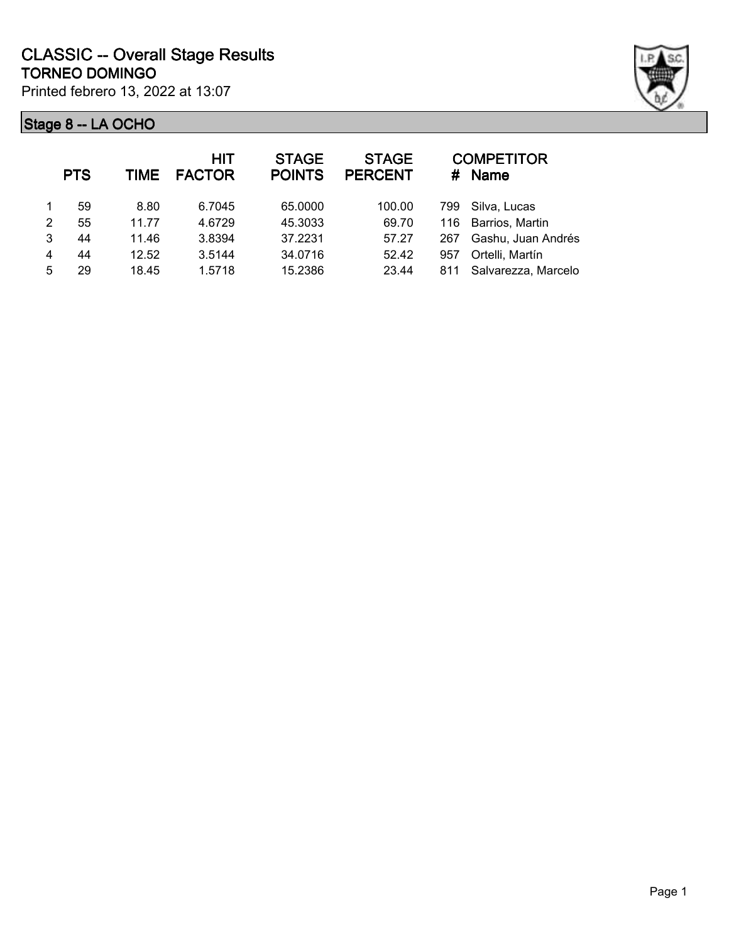

|               | <b>PTS</b> | TIME  | <b>HIT</b><br><b>FACTOR</b> | <b>STAGE</b><br><b>POINTS</b> | <b>STAGE</b><br><b>PERCENT</b> | #   | <b>COMPETITOR</b><br>Name |
|---------------|------------|-------|-----------------------------|-------------------------------|--------------------------------|-----|---------------------------|
|               | 59         | 8.80  | 6.7045                      | 65.0000                       | 100.00                         | 799 | Silva, Lucas              |
| $\mathcal{P}$ | 55         | 11.77 | 4.6729                      | 45.3033                       | 69.70                          |     | 116 Barrios, Martin       |
| 3             | 44         | 11.46 | 3.8394                      | 37.2231                       | 57.27                          | 267 | Gashu, Juan Andrés        |
| 4             | 44         | 12.52 | 3.5144                      | 34.0716                       | 52.42                          | 957 | Ortelli, Martín           |
| 5             | 29         | 18.45 | 1.5718                      | 15.2386                       | 23.44                          |     | 811 Salvarezza, Marcelo   |
|               |            |       |                             |                               |                                |     |                           |